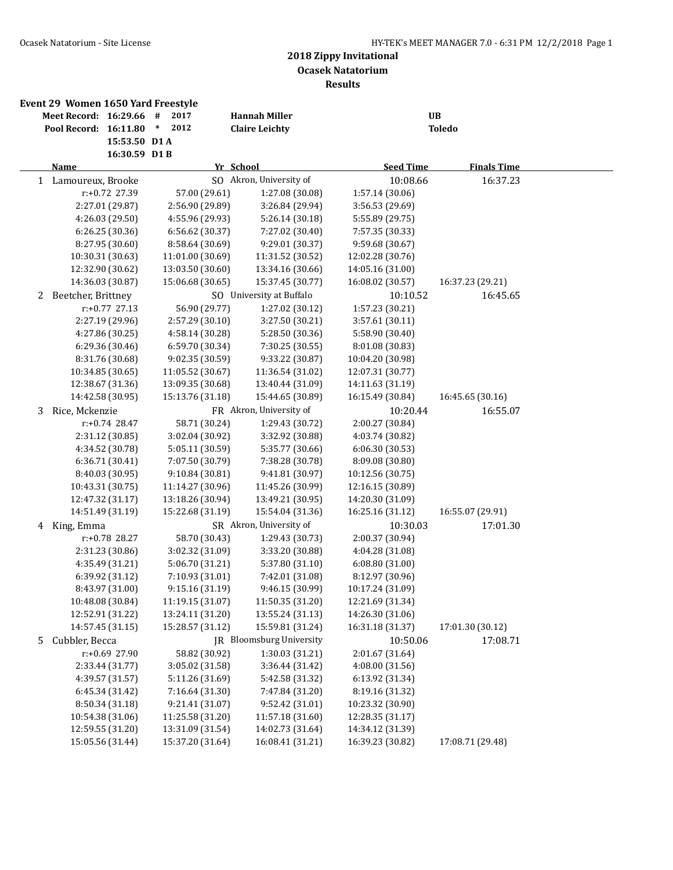|              | Event 29 Women 1650 Yard Freestyle |                  |                  |                          |                  |                    |  |
|--------------|------------------------------------|------------------|------------------|--------------------------|------------------|--------------------|--|
|              | Meet Record: 16:29.66              |                  | 2017<br>#        | <b>Hannah Miller</b>     |                  | UB                 |  |
|              | Pool Record: 16:11.80              |                  | 2012<br>$\ast$   | <b>Claire Leichty</b>    |                  | <b>Toledo</b>      |  |
|              |                                    | 15:53.50 D1A     |                  |                          |                  |                    |  |
|              |                                    | 16:30.59 D1B     |                  |                          |                  |                    |  |
|              | Name                               |                  |                  | Yr School                | <b>Seed Time</b> | <b>Finals Time</b> |  |
| $\mathbf{1}$ | Lamoureux, Brooke                  |                  |                  | SO Akron, University of  | 10:08.66         | 16:37.23           |  |
|              |                                    | r:+0.72 27.39    | 57.00 (29.61)    | 1:27.08 (30.08)          | 1:57.14 (30.06)  |                    |  |
|              |                                    | 2:27.01 (29.87)  | 2:56.90 (29.89)  | 3:26.84 (29.94)          | 3:56.53 (29.69)  |                    |  |
|              |                                    | 4:26.03 (29.50)  | 4:55.96 (29.93)  | 5:26.14 (30.18)          | 5:55.89 (29.75)  |                    |  |
|              |                                    | 6:26.25 (30.36)  | 6:56.62 (30.37)  | 7:27.02 (30.40)          | 7:57.35 (30.33)  |                    |  |
|              |                                    | 8:27.95 (30.60)  | 8:58.64 (30.69)  | 9:29.01 (30.37)          | 9:59.68 (30.67)  |                    |  |
|              | 10:30.31 (30.63)                   |                  | 11:01.00 (30.69) | 11:31.52 (30.52)         | 12:02.28 (30.76) |                    |  |
|              | 12:32.90 (30.62)                   |                  | 13:03.50 (30.60) | 13:34.16 (30.66)         | 14:05.16 (31.00) |                    |  |
|              | 14:36.03 (30.87)                   |                  | 15:06.68 (30.65) | 15:37.45 (30.77)         | 16:08.02 (30.57) | 16:37.23 (29.21)   |  |
| 2            | Beetcher, Brittney                 |                  |                  | SO University at Buffalo | 10:10.52         | 16:45.65           |  |
|              |                                    | $r: +0.77$ 27.13 | 56.90 (29.77)    | 1:27.02 (30.12)          | 1:57.23 (30.21)  |                    |  |
|              |                                    | 2:27.19 (29.96)  | 2:57.29 (30.10)  | 3:27.50 (30.21)          | 3:57.61 (30.11)  |                    |  |
|              |                                    | 4:27.86 (30.25)  | 4:58.14 (30.28)  | 5:28.50 (30.36)          | 5:58.90 (30.40)  |                    |  |
|              |                                    | 6:29.36 (30.46)  | 6:59.70 (30.34)  | 7:30.25 (30.55)          | 8:01.08 (30.83)  |                    |  |
|              |                                    | 8:31.76 (30.68)  | 9:02.35 (30.59)  | 9:33.22 (30.87)          | 10:04.20 (30.98) |                    |  |
|              | 10:34.85 (30.65)                   |                  | 11:05.52 (30.67) | 11:36.54 (31.02)         | 12:07.31 (30.77) |                    |  |
|              | 12:38.67 (31.36)                   |                  | 13:09.35 (30.68) | 13:40.44 (31.09)         | 14:11.63 (31.19) |                    |  |
|              | 14:42.58 (30.95)                   |                  | 15:13.76 (31.18) | 15:44.65 (30.89)         | 16:15.49 (30.84) | 16:45.65 (30.16)   |  |
| 3            | Rice, Mckenzie                     |                  |                  | FR Akron, University of  | 10:20.44         | 16:55.07           |  |
|              |                                    | $r: +0.74$ 28.47 | 58.71 (30.24)    | 1:29.43 (30.72)          | 2:00.27 (30.84)  |                    |  |
|              |                                    | 2:31.12 (30.85)  | 3:02.04 (30.92)  | 3:32.92 (30.88)          | 4:03.74 (30.82)  |                    |  |
|              |                                    | 4:34.52 (30.78)  | 5:05.11 (30.59)  | 5:35.77 (30.66)          | 6:06.30 (30.53)  |                    |  |
|              |                                    | 6:36.71 (30.41)  | 7:07.50 (30.79)  | 7:38.28 (30.78)          | 8:09.08 (30.80)  |                    |  |
|              |                                    | 8:40.03 (30.95)  | 9:10.84 (30.81)  | 9:41.81 (30.97)          | 10:12.56 (30.75) |                    |  |
|              | 10:43.31 (30.75)                   |                  | 11:14.27 (30.96) | 11:45.26 (30.99)         | 12:16.15 (30.89) |                    |  |
|              | 12:47.32 (31.17)                   |                  | 13:18.26 (30.94) | 13:49.21 (30.95)         | 14:20.30 (31.09) |                    |  |
|              | 14:51.49 (31.19)                   |                  | 15:22.68 (31.19) | 15:54.04 (31.36)         | 16:25.16 (31.12) | 16:55.07 (29.91)   |  |
| 4            | King, Emma                         |                  |                  | SR Akron, University of  | 10:30.03         | 17:01.30           |  |
|              |                                    | r:+0.78 28.27    | 58.70 (30.43)    | 1:29.43 (30.73)          | 2:00.37 (30.94)  |                    |  |
|              |                                    | 2:31.23 (30.86)  | 3:02.32 (31.09)  | 3:33.20 (30.88)          | 4:04.28 (31.08)  |                    |  |
|              |                                    | 4:35.49 (31.21)  | 5:06.70 (31.21)  | 5:37.80 (31.10)          | 6:08.80(31.00)   |                    |  |
|              |                                    | 6:39.92 (31.12)  | 7:10.93 (31.01)  | 7:42.01 (31.08)          | 8:12.97 (30.96)  |                    |  |
|              |                                    | 8:43.97 (31.00)  | 9:15.16 (31.19)  | 9:46.15 (30.99)          | 10:17.24 (31.09) |                    |  |
|              | 10:48.08 (30.84)                   |                  | 11:19.15 (31.07) | 11:50.35 (31.20)         | 12:21.69 (31.34) |                    |  |
|              | 12:52.91 (31.22)                   |                  | 13:24.11 (31.20) | 13:55.24 (31.13)         | 14:26.30 (31.06) |                    |  |
|              | 14:57.45 (31.15)                   |                  | 15:28.57 (31.12) | 15:59.81 (31.24)         | 16:31.18 (31.37) | 17:01.30 (30.12)   |  |
| 5            | Cubbler, Becca                     |                  |                  | JR Bloomsburg University | 10:50.06         | 17:08.71           |  |
|              |                                    | r:+0.69 27.90    | 58.82 (30.92)    | 1:30.03 (31.21)          | 2:01.67 (31.64)  |                    |  |
|              |                                    | 2:33.44 (31.77)  | 3:05.02 (31.58)  | 3:36.44 (31.42)          | 4:08.00(31.56)   |                    |  |
|              |                                    | 4:39.57 (31.57)  | 5:11.26 (31.69)  | 5:42.58 (31.32)          | 6:13.92 (31.34)  |                    |  |
|              |                                    | 6:45.34 (31.42)  | 7:16.64 (31.30)  | 7:47.84 (31.20)          | 8:19.16 (31.32)  |                    |  |
|              |                                    | 8:50.34 (31.18)  | 9:21.41 (31.07)  | 9:52.42 (31.01)          | 10:23.32 (30.90) |                    |  |
|              | 10:54.38 (31.06)                   |                  | 11:25.58 (31.20) | 11:57.18 (31.60)         | 12:28.35 (31.17) |                    |  |
|              | 12:59.55 (31.20)                   |                  | 13:31.09 (31.54) | 14:02.73 (31.64)         | 14:34.12 (31.39) |                    |  |
|              | 15:05.56 (31.44)                   |                  | 15:37.20 (31.64) | 16:08.41 (31.21)         | 16:39.23 (30.82) | 17:08.71 (29.48)   |  |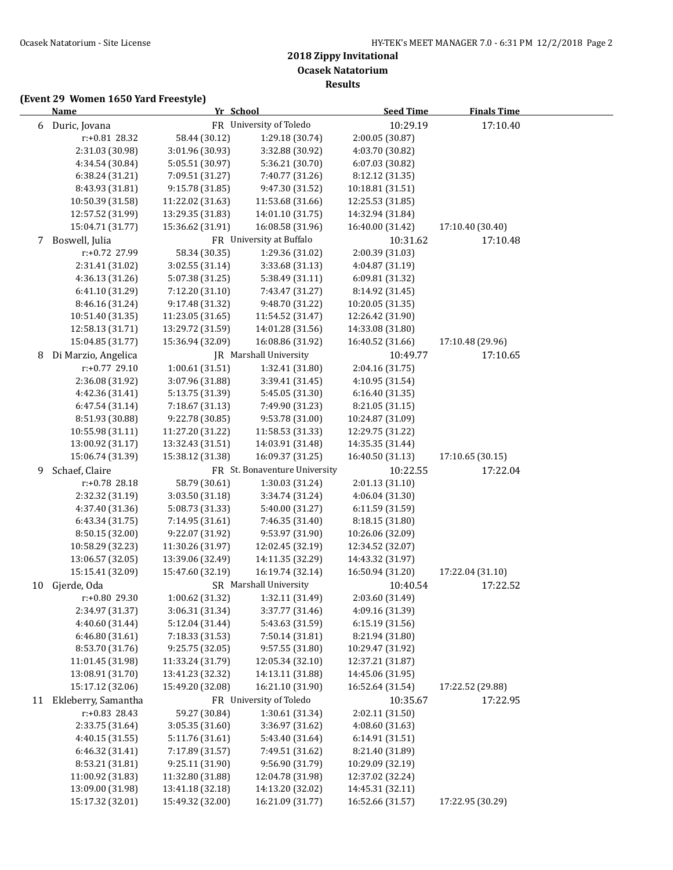**Results**

|    | <b>Name</b>         |                  | Yr School                     | <b>Seed Time</b> | <b>Finals Time</b> |  |
|----|---------------------|------------------|-------------------------------|------------------|--------------------|--|
|    | 6 Duric, Jovana     |                  | FR University of Toledo       | 10:29.19         | 17:10.40           |  |
|    | r:+0.81 28.32       | 58.44 (30.12)    | 1:29.18 (30.74)               | 2:00.05 (30.87)  |                    |  |
|    | 2:31.03 (30.98)     | 3:01.96 (30.93)  | 3:32.88 (30.92)               | 4:03.70 (30.82)  |                    |  |
|    | 4:34.54 (30.84)     | 5:05.51 (30.97)  | 5:36.21 (30.70)               | 6:07.03 (30.82)  |                    |  |
|    | 6:38.24 (31.21)     | 7:09.51 (31.27)  | 7:40.77 (31.26)               | 8:12.12 (31.35)  |                    |  |
|    | 8:43.93 (31.81)     | 9:15.78 (31.85)  | 9:47.30 (31.52)               | 10:18.81 (31.51) |                    |  |
|    | 10:50.39 (31.58)    | 11:22.02 (31.63) | 11:53.68 (31.66)              | 12:25.53 (31.85) |                    |  |
|    | 12:57.52 (31.99)    | 13:29.35 (31.83) | 14:01.10 (31.75)              | 14:32.94 (31.84) |                    |  |
|    | 15:04.71 (31.77)    | 15:36.62 (31.91) | 16:08.58 (31.96)              | 16:40.00 (31.42) | 17:10.40 (30.40)   |  |
| 7  | Boswell, Julia      |                  | FR University at Buffalo      | 10:31.62         | 17:10.48           |  |
|    | r:+0.72 27.99       | 58.34 (30.35)    | 1:29.36 (31.02)               | 2:00.39 (31.03)  |                    |  |
|    | 2:31.41 (31.02)     | 3:02.55 (31.14)  | 3:33.68 (31.13)               | 4:04.87 (31.19)  |                    |  |
|    | 4:36.13 (31.26)     | 5:07.38 (31.25)  | 5:38.49 (31.11)               | 6:09.81 (31.32)  |                    |  |
|    | 6:41.10 (31.29)     | 7:12.20 (31.10)  | 7:43.47 (31.27)               | 8:14.92 (31.45)  |                    |  |
|    | 8:46.16 (31.24)     | 9:17.48 (31.32)  | 9:48.70 (31.22)               | 10:20.05 (31.35) |                    |  |
|    | 10:51.40 (31.35)    | 11:23.05 (31.65) | 11:54.52 (31.47)              | 12:26.42 (31.90) |                    |  |
|    | 12:58.13 (31.71)    | 13:29.72 (31.59) | 14:01.28 (31.56)              | 14:33.08 (31.80) |                    |  |
|    | 15:04.85 (31.77)    | 15:36.94 (32.09) | 16:08.86 (31.92)              | 16:40.52 (31.66) | 17:10.48 (29.96)   |  |
| 8  | Di Marzio, Angelica |                  | JR Marshall University        | 10:49.77         | 17:10.65           |  |
|    | r:+0.77 29.10       | 1:00.61 (31.51)  | 1:32.41 (31.80)               | 2:04.16 (31.75)  |                    |  |
|    | 2:36.08 (31.92)     | 3:07.96 (31.88)  | 3:39.41 (31.45)               | 4:10.95 (31.54)  |                    |  |
|    | 4:42.36 (31.41)     | 5:13.75 (31.39)  | 5:45.05 (31.30)               | 6:16.40(31.35)   |                    |  |
|    | 6:47.54 (31.14)     | 7:18.67 (31.13)  | 7:49.90 (31.23)               | 8:21.05 (31.15)  |                    |  |
|    | 8:51.93 (30.88)     | 9:22.78 (30.85)  | 9:53.78 (31.00)               | 10:24.87 (31.09) |                    |  |
|    | 10:55.98 (31.11)    | 11:27.20 (31.22) | 11:58.53 (31.33)              | 12:29.75 (31.22) |                    |  |
|    | 13:00.92 (31.17)    | 13:32.43 (31.51) | 14:03.91 (31.48)              | 14:35.35 (31.44) |                    |  |
|    | 15:06.74 (31.39)    | 15:38.12 (31.38) | 16:09.37 (31.25)              | 16:40.50 (31.13) | 17:10.65 (30.15)   |  |
| 9  | Schaef, Claire      |                  | FR St. Bonaventure University | 10:22.55         | 17:22.04           |  |
|    | r:+0.78 28.18       | 58.79 (30.61)    | 1:30.03 (31.24)               | 2:01.13 (31.10)  |                    |  |
|    | 2:32.32 (31.19)     | 3:03.50 (31.18)  | 3:34.74 (31.24)               | 4:06.04 (31.30)  |                    |  |
|    | 4:37.40 (31.36)     | 5:08.73 (31.33)  | 5:40.00 (31.27)               | 6:11.59 (31.59)  |                    |  |
|    | 6:43.34 (31.75)     | 7:14.95 (31.61)  | 7:46.35 (31.40)               | 8:18.15 (31.80)  |                    |  |
|    | 8:50.15 (32.00)     | 9:22.07 (31.92)  | 9:53.97 (31.90)               | 10:26.06 (32.09) |                    |  |
|    | 10:58.29 (32.23)    | 11:30.26 (31.97) | 12:02.45 (32.19)              | 12:34.52 (32.07) |                    |  |
|    | 13:06.57 (32.05)    | 13:39.06 (32.49) | 14:11.35 (32.29)              | 14:43.32 (31.97) |                    |  |
|    | 15:15.41 (32.09)    | 15:47.60 (32.19) | 16:19.74 (32.14)              | 16:50.94 (31.20) | 17:22.04 (31.10)   |  |
| 10 | Gjerde, Oda         |                  | SR Marshall University        | 10:40.54         | 17:22.52           |  |
|    | r:+0.80 29.30       | 1:00.62 (31.32)  | 1:32.11 (31.49)               | 2:03.60 (31.49)  |                    |  |
|    | 2:34.97 (31.37)     | 3:06.31 (31.34)  | 3:37.77 (31.46)               | 4:09.16 (31.39)  |                    |  |
|    | 4:40.60 (31.44)     | 5:12.04 (31.44)  | 5:43.63 (31.59)               | 6:15.19 (31.56)  |                    |  |
|    | 6:46.80 (31.61)     | 7:18.33 (31.53)  | 7:50.14 (31.81)               | 8:21.94 (31.80)  |                    |  |
|    | 8:53.70 (31.76)     | 9:25.75 (32.05)  | 9:57.55 (31.80)               | 10:29.47 (31.92) |                    |  |
|    | 11:01.45 (31.98)    | 11:33.24 (31.79) | 12:05.34 (32.10)              | 12:37.21 (31.87) |                    |  |
|    | 13:08.91 (31.70)    | 13:41.23 (32.32) | 14:13.11 (31.88)              | 14:45.06 (31.95) |                    |  |
|    | 15:17.12 (32.06)    | 15:49.20 (32.08) | 16:21.10 (31.90)              | 16:52.64 (31.54) | 17:22.52 (29.88)   |  |
| 11 | Ekleberry, Samantha |                  | FR University of Toledo       | 10:35.67         | 17:22.95           |  |
|    | r:+0.83 28.43       | 59.27 (30.84)    | 1:30.61 (31.34)               | 2:02.11 (31.50)  |                    |  |
|    | 2:33.75 (31.64)     | 3:05.35 (31.60)  | 3:36.97 (31.62)               | 4:08.60 (31.63)  |                    |  |
|    | 4:40.15 (31.55)     | 5:11.76 (31.61)  | 5:43.40 (31.64)               | 6:14.91 (31.51)  |                    |  |
|    | 6:46.32 (31.41)     | 7:17.89 (31.57)  | 7:49.51 (31.62)               | 8:21.40 (31.89)  |                    |  |
|    | 8:53.21 (31.81)     | 9:25.11 (31.90)  | 9:56.90 (31.79)               | 10:29.09 (32.19) |                    |  |
|    | 11:00.92 (31.83)    | 11:32.80 (31.88) | 12:04.78 (31.98)              | 12:37.02 (32.24) |                    |  |
|    | 13:09.00 (31.98)    | 13:41.18 (32.18) | 14:13.20 (32.02)              | 14:45.31 (32.11) |                    |  |
|    | 15:17.32 (32.01)    | 15:49.32 (32.00) | 16:21.09 (31.77)              | 16:52.66 (31.57) | 17:22.95 (30.29)   |  |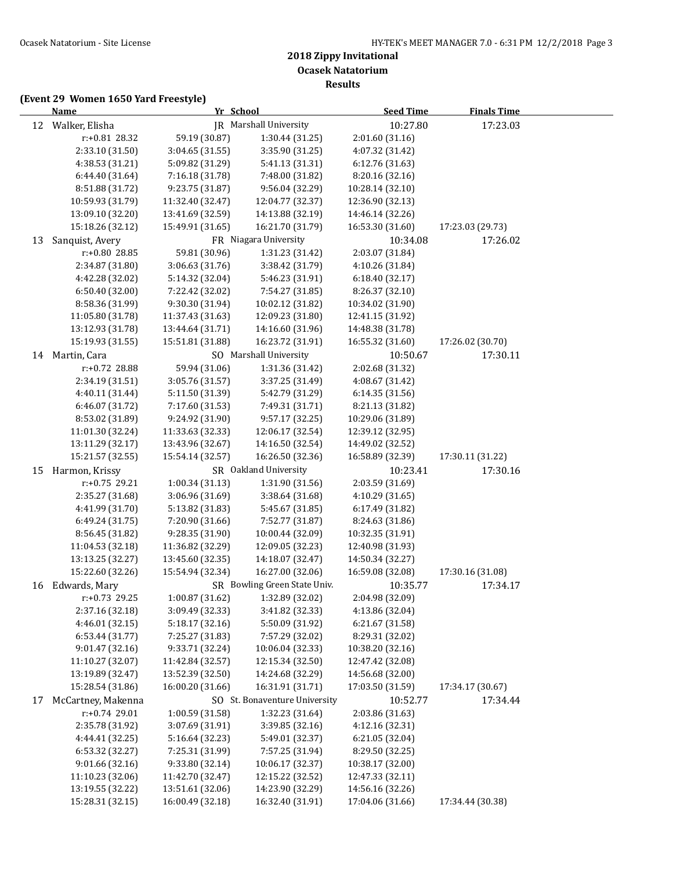**Results**

|    | <b>Name</b>        |                  | Yr School                     | <b>Seed Time</b> | <b>Finals Time</b> |  |
|----|--------------------|------------------|-------------------------------|------------------|--------------------|--|
|    | 12 Walker, Elisha  |                  | <b>IR</b> Marshall University | 10:27.80         | 17:23.03           |  |
|    | r:+0.81 28.32      | 59.19 (30.87)    | 1:30.44 (31.25)               | 2:01.60 (31.16)  |                    |  |
|    | 2:33.10 (31.50)    | 3:04.65 (31.55)  | 3:35.90 (31.25)               | 4:07.32 (31.42)  |                    |  |
|    | 4:38.53 (31.21)    | 5:09.82 (31.29)  | 5:41.13 (31.31)               | 6:12.76 (31.63)  |                    |  |
|    | 6:44.40 (31.64)    | 7:16.18 (31.78)  | 7:48.00 (31.82)               | 8:20.16 (32.16)  |                    |  |
|    | 8:51.88 (31.72)    | 9:23.75 (31.87)  | 9:56.04 (32.29)               | 10:28.14 (32.10) |                    |  |
|    | 10:59.93 (31.79)   | 11:32.40 (32.47) | 12:04.77 (32.37)              | 12:36.90 (32.13) |                    |  |
|    | 13:09.10 (32.20)   | 13:41.69 (32.59) | 14:13.88 (32.19)              | 14:46.14 (32.26) |                    |  |
|    | 15:18.26 (32.12)   | 15:49.91 (31.65) | 16:21.70 (31.79)              | 16:53.30 (31.60) | 17:23.03 (29.73)   |  |
| 13 | Sanquist, Avery    |                  | FR Niagara University         | 10:34.08         | 17:26.02           |  |
|    | r:+0.80 28.85      | 59.81 (30.96)    | 1:31.23 (31.42)               | 2:03.07 (31.84)  |                    |  |
|    | 2:34.87 (31.80)    | 3:06.63 (31.76)  | 3:38.42 (31.79)               | 4:10.26 (31.84)  |                    |  |
|    | 4:42.28 (32.02)    | 5:14.32 (32.04)  | 5:46.23 (31.91)               | 6:18.40 (32.17)  |                    |  |
|    | 6:50.40 (32.00)    | 7:22.42 (32.02)  | 7:54.27 (31.85)               | 8:26.37 (32.10)  |                    |  |
|    | 8:58.36 (31.99)    | 9:30.30 (31.94)  | 10:02.12 (31.82)              | 10:34.02 (31.90) |                    |  |
|    | 11:05.80 (31.78)   | 11:37.43 (31.63) | 12:09.23 (31.80)              | 12:41.15 (31.92) |                    |  |
|    | 13:12.93 (31.78)   | 13:44.64 (31.71) | 14:16.60 (31.96)              | 14:48.38 (31.78) |                    |  |
|    | 15:19.93 (31.55)   | 15:51.81 (31.88) | 16:23.72 (31.91)              | 16:55.32 (31.60) | 17:26.02 (30.70)   |  |
|    | 14 Martin, Cara    |                  | SO Marshall University        | 10:50.67         | 17:30.11           |  |
|    | r:+0.72 28.88      | 59.94 (31.06)    | 1:31.36 (31.42)               | 2:02.68 (31.32)  |                    |  |
|    | 2:34.19 (31.51)    | 3:05.76 (31.57)  | 3:37.25 (31.49)               | 4:08.67 (31.42)  |                    |  |
|    | 4:40.11 (31.44)    | 5:11.50 (31.39)  | 5:42.79 (31.29)               | 6:14.35 (31.56)  |                    |  |
|    | 6:46.07 (31.72)    | 7:17.60 (31.53)  | 7:49.31 (31.71)               | 8:21.13 (31.82)  |                    |  |
|    | 8:53.02 (31.89)    | 9:24.92 (31.90)  | 9:57.17 (32.25)               | 10:29.06 (31.89) |                    |  |
|    | 11:01.30 (32.24)   | 11:33.63 (32.33) | 12:06.17 (32.54)              | 12:39.12 (32.95) |                    |  |
|    | 13:11.29 (32.17)   | 13:43.96 (32.67) | 14:16.50 (32.54)              | 14:49.02 (32.52) |                    |  |
|    | 15:21.57 (32.55)   | 15:54.14 (32.57) | 16:26.50 (32.36)              | 16:58.89 (32.39) | 17:30.11 (31.22)   |  |
| 15 | Harmon, Krissy     |                  | SR Oakland University         | 10:23.41         | 17:30.16           |  |
|    | r:+0.75 29.21      | 1:00.34 (31.13)  | 1:31.90 (31.56)               | 2:03.59 (31.69)  |                    |  |
|    | 2:35.27 (31.68)    | 3:06.96 (31.69)  | 3:38.64 (31.68)               | 4:10.29 (31.65)  |                    |  |
|    | 4:41.99 (31.70)    | 5:13.82 (31.83)  | 5:45.67 (31.85)               | 6:17.49 (31.82)  |                    |  |
|    | 6:49.24 (31.75)    | 7:20.90 (31.66)  | 7:52.77 (31.87)               | 8:24.63 (31.86)  |                    |  |
|    | 8:56.45 (31.82)    | 9:28.35 (31.90)  | 10:00.44 (32.09)              | 10:32.35 (31.91) |                    |  |
|    | 11:04.53 (32.18)   | 11:36.82 (32.29) | 12:09.05 (32.23)              | 12:40.98 (31.93) |                    |  |
|    | 13:13.25 (32.27)   | 13:45.60 (32.35) | 14:18.07 (32.47)              | 14:50.34 (32.27) |                    |  |
|    | 15:22.60 (32.26)   | 15:54.94 (32.34) | 16:27.00 (32.06)              | 16:59.08 (32.08) | 17:30.16 (31.08)   |  |
| 16 | Edwards, Mary      |                  | SR Bowling Green State Univ.  | 10:35.77         | 17:34.17           |  |
|    | $r: +0.73$ 29.25   | 1:00.87 (31.62)  | 1:32.89 (32.02)               | 2:04.98 (32.09)  |                    |  |
|    | 2:37.16 (32.18)    | 3:09.49 (32.33)  | 3:41.82 (32.33)               | 4:13.86 (32.04)  |                    |  |
|    | 4:46.01 (32.15)    | 5:18.17 (32.16)  | 5:50.09 (31.92)               | 6:21.67 (31.58)  |                    |  |
|    | 6:53.44 (31.77)    | 7:25.27 (31.83)  | 7:57.29 (32.02)               | 8:29.31 (32.02)  |                    |  |
|    | 9:01.47 (32.16)    | 9:33.71 (32.24)  | 10:06.04 (32.33)              | 10:38.20 (32.16) |                    |  |
|    | 11:10.27 (32.07)   | 11:42.84 (32.57) | 12:15.34 (32.50)              | 12:47.42 (32.08) |                    |  |
|    | 13:19.89 (32.47)   | 13:52.39 (32.50) | 14:24.68 (32.29)              | 14:56.68 (32.00) |                    |  |
|    | 15:28.54 (31.86)   | 16:00.20 (31.66) | 16:31.91 (31.71)              | 17:03.50 (31.59) | 17:34.17 (30.67)   |  |
| 17 | McCartney, Makenna |                  | SO St. Bonaventure University | 10:52.77         | 17:34.44           |  |
|    | $r: +0.74$ 29.01   | 1:00.59 (31.58)  | 1:32.23 (31.64)               | 2:03.86 (31.63)  |                    |  |
|    | 2:35.78 (31.92)    | 3:07.69 (31.91)  | 3:39.85 (32.16)               | 4:12.16 (32.31)  |                    |  |
|    | 4:44.41 (32.25)    | 5:16.64 (32.23)  | 5:49.01 (32.37)               | 6:21.05 (32.04)  |                    |  |
|    | 6:53.32 (32.27)    | 7:25.31 (31.99)  | 7:57.25 (31.94)               | 8:29.50 (32.25)  |                    |  |
|    | 9:01.66 (32.16)    | 9:33.80 (32.14)  | 10:06.17 (32.37)              | 10:38.17 (32.00) |                    |  |
|    | 11:10.23 (32.06)   | 11:42.70 (32.47) | 12:15.22 (32.52)              | 12:47.33 (32.11) |                    |  |
|    | 13:19.55 (32.22)   | 13:51.61 (32.06) | 14:23.90 (32.29)              | 14:56.16 (32.26) |                    |  |
|    | 15:28.31 (32.15)   | 16:00.49 (32.18) | 16:32.40 (31.91)              | 17:04.06 (31.66) | 17:34.44 (30.38)   |  |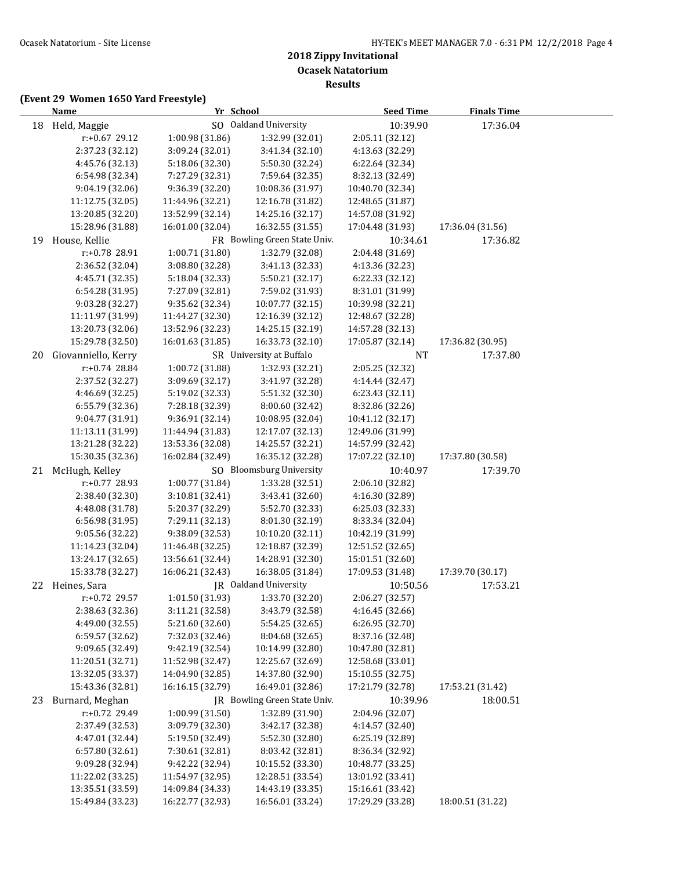|    | <b>Name</b>         |                  | Yr School                    | <b>Seed Time</b> | <b>Finals Time</b> |  |
|----|---------------------|------------------|------------------------------|------------------|--------------------|--|
|    | 18 Held, Maggie     |                  | SO Oakland University        | 10:39.90         | 17:36.04           |  |
|    | r:+0.67 29.12       | 1:00.98 (31.86)  | 1:32.99 (32.01)              | 2:05.11 (32.12)  |                    |  |
|    | 2:37.23 (32.12)     | 3:09.24 (32.01)  | 3:41.34 (32.10)              | 4:13.63 (32.29)  |                    |  |
|    | 4:45.76 (32.13)     | 5:18.06 (32.30)  | 5:50.30 (32.24)              | 6:22.64 (32.34)  |                    |  |
|    | 6:54.98 (32.34)     | 7:27.29 (32.31)  | 7:59.64 (32.35)              | 8:32.13 (32.49)  |                    |  |
|    | 9:04.19 (32.06)     | 9:36.39 (32.20)  | 10:08.36 (31.97)             | 10:40.70 (32.34) |                    |  |
|    | 11:12.75 (32.05)    | 11:44.96 (32.21) | 12:16.78 (31.82)             | 12:48.65 (31.87) |                    |  |
|    | 13:20.85 (32.20)    | 13:52.99 (32.14) | 14:25.16 (32.17)             | 14:57.08 (31.92) |                    |  |
|    | 15:28.96 (31.88)    | 16:01.00 (32.04) | 16:32.55 (31.55)             | 17:04.48 (31.93) | 17:36.04 (31.56)   |  |
| 19 | House, Kellie       |                  | FR Bowling Green State Univ. | 10:34.61         | 17:36.82           |  |
|    | r:+0.78 28.91       | 1:00.71 (31.80)  | 1:32.79 (32.08)              | 2:04.48 (31.69)  |                    |  |
|    | 2:36.52 (32.04)     | 3:08.80 (32.28)  | 3:41.13 (32.33)              | 4:13.36 (32.23)  |                    |  |
|    | 4:45.71 (32.35)     | 5:18.04 (32.33)  | 5:50.21 (32.17)              | 6:22.33 (32.12)  |                    |  |
|    | 6:54.28 (31.95)     | 7:27.09 (32.81)  | 7:59.02 (31.93)              | 8:31.01 (31.99)  |                    |  |
|    | 9:03.28 (32.27)     | 9:35.62 (32.34)  | 10:07.77 (32.15)             | 10:39.98 (32.21) |                    |  |
|    | 11:11.97 (31.99)    | 11:44.27 (32.30) | 12:16.39 (32.12)             | 12:48.67 (32.28) |                    |  |
|    | 13:20.73 (32.06)    | 13:52.96 (32.23) | 14:25.15 (32.19)             | 14:57.28 (32.13) |                    |  |
|    | 15:29.78 (32.50)    | 16:01.63 (31.85) | 16:33.73 (32.10)             | 17:05.87 (32.14) | 17:36.82 (30.95)   |  |
| 20 | Giovanniello, Kerry |                  | SR University at Buffalo     | <b>NT</b>        | 17:37.80           |  |
|    | r:+0.74 28.84       | 1:00.72 (31.88)  | 1:32.93 (32.21)              | 2:05.25 (32.32)  |                    |  |
|    | 2:37.52 (32.27)     | 3:09.69 (32.17)  | 3:41.97 (32.28)              | 4:14.44 (32.47)  |                    |  |
|    | 4:46.69 (32.25)     | 5:19.02 (32.33)  | 5:51.32 (32.30)              | 6:23.43 (32.11)  |                    |  |
|    | 6:55.79 (32.36)     | 7:28.18 (32.39)  | 8:00.60 (32.42)              | 8:32.86 (32.26)  |                    |  |
|    | 9:04.77 (31.91)     | 9:36.91 (32.14)  | 10:08.95 (32.04)             | 10:41.12 (32.17) |                    |  |
|    | 11:13.11 (31.99)    | 11:44.94 (31.83) | 12:17.07 (32.13)             | 12:49.06 (31.99) |                    |  |
|    | 13:21.28 (32.22)    | 13:53.36 (32.08) | 14:25.57 (32.21)             | 14:57.99 (32.42) |                    |  |
|    | 15:30.35 (32.36)    | 16:02.84 (32.49) | 16:35.12 (32.28)             | 17:07.22 (32.10) | 17:37.80 (30.58)   |  |
|    | 21 McHugh, Kelley   |                  | SO Bloomsburg University     | 10:40.97         | 17:39.70           |  |
|    | r:+0.77 28.93       | 1:00.77 (31.84)  | 1:33.28 (32.51)              | 2:06.10 (32.82)  |                    |  |
|    | 2:38.40 (32.30)     | 3:10.81 (32.41)  | 3:43.41 (32.60)              | 4:16.30 (32.89)  |                    |  |
|    | 4:48.08 (31.78)     | 5:20.37 (32.29)  | 5:52.70 (32.33)              | 6:25.03 (32.33)  |                    |  |
|    | 6:56.98 (31.95)     | 7:29.11 (32.13)  | 8:01.30 (32.19)              | 8:33.34 (32.04)  |                    |  |
|    | 9:05.56 (32.22)     | 9:38.09 (32.53)  | 10:10.20 (32.11)             | 10:42.19 (31.99) |                    |  |
|    | 11:14.23 (32.04)    | 11:46.48 (32.25) | 12:18.87 (32.39)             | 12:51.52 (32.65) |                    |  |
|    | 13:24.17 (32.65)    | 13:56.61 (32.44) | 14:28.91 (32.30)             | 15:01.51 (32.60) |                    |  |
|    | 15:33.78 (32.27)    | 16:06.21 (32.43) | 16:38.05 (31.84)             | 17:09.53 (31.48) | 17:39.70 (30.17)   |  |
|    | 22 Heines, Sara     |                  | JR Oakland University        | 10:50.56         | 17:53.21           |  |
|    | $r+0.72$ 29.57      | 1:01.50 (31.93)  | 1:33.70 (32.20)              | 2:06.27 (32.57)  |                    |  |
|    | 2:38.63 (32.36)     | 3:11.21 (32.58)  | 3:43.79 (32.58)              | 4:16.45 (32.66)  |                    |  |
|    | 4:49.00 (32.55)     | 5:21.60 (32.60)  | 5:54.25 (32.65)              | 6:26.95 (32.70)  |                    |  |
|    | 6:59.57 (32.62)     | 7:32.03 (32.46)  | 8:04.68 (32.65)              | 8:37.16 (32.48)  |                    |  |
|    | 9:09.65 (32.49)     | 9:42.19 (32.54)  | 10:14.99 (32.80)             | 10:47.80 (32.81) |                    |  |
|    | 11:20.51 (32.71)    | 11:52.98 (32.47) | 12:25.67 (32.69)             | 12:58.68 (33.01) |                    |  |
|    | 13:32.05 (33.37)    | 14:04.90 (32.85) | 14:37.80 (32.90)             | 15:10.55 (32.75) |                    |  |
|    | 15:43.36 (32.81)    | 16:16.15 (32.79) | 16:49.01 (32.86)             | 17:21.79 (32.78) | 17:53.21 (31.42)   |  |
| 23 | Burnard, Meghan     |                  | JR Bowling Green State Univ. | 10:39.96         | 18:00.51           |  |
|    | r:+0.72 29.49       | 1:00.99 (31.50)  | 1:32.89 (31.90)              | 2:04.96 (32.07)  |                    |  |
|    | 2:37.49 (32.53)     | 3:09.79 (32.30)  | 3:42.17 (32.38)              | 4:14.57 (32.40)  |                    |  |
|    | 4:47.01 (32.44)     | 5:19.50 (32.49)  | 5:52.30 (32.80)              | 6:25.19 (32.89)  |                    |  |
|    | 6:57.80 (32.61)     | 7:30.61 (32.81)  | 8:03.42 (32.81)              | 8:36.34 (32.92)  |                    |  |
|    | 9:09.28 (32.94)     | 9:42.22 (32.94)  | 10:15.52 (33.30)             | 10:48.77 (33.25) |                    |  |
|    | 11:22.02 (33.25)    | 11:54.97 (32.95) | 12:28.51 (33.54)             | 13:01.92 (33.41) |                    |  |
|    | 13:35.51 (33.59)    | 14:09.84 (34.33) | 14:43.19 (33.35)             | 15:16.61 (33.42) |                    |  |
|    | 15:49.84 (33.23)    | 16:22.77 (32.93) | 16:56.01 (33.24)             | 17:29.29 (33.28) | 18:00.51 (31.22)   |  |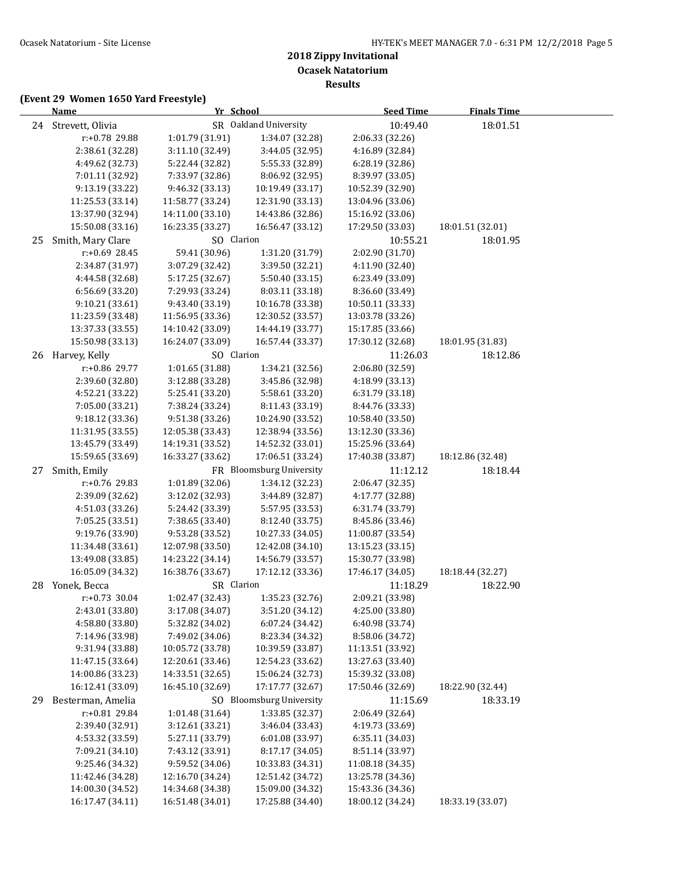**Results**

|    | <b>Name</b>                        | Yr School        |                          | <b>Seed Time</b> | <b>Finals Time</b> |  |
|----|------------------------------------|------------------|--------------------------|------------------|--------------------|--|
|    | 24 Strevett, Olivia                |                  | SR Oakland University    | 10:49.40         | 18:01.51           |  |
|    | r:+0.78 29.88                      | 1:01.79 (31.91)  | 1:34.07 (32.28)          | 2:06.33 (32.26)  |                    |  |
|    | 2:38.61 (32.28)                    | 3:11.10 (32.49)  | 3:44.05 (32.95)          | 4:16.89 (32.84)  |                    |  |
|    | 4:49.62 (32.73)                    | 5:22.44 (32.82)  | 5:55.33 (32.89)          | 6:28.19 (32.86)  |                    |  |
|    | 7:01.11 (32.92)                    | 7:33.97 (32.86)  | 8:06.92 (32.95)          | 8:39.97 (33.05)  |                    |  |
|    | 9:13.19 (33.22)                    | 9:46.32 (33.13)  | 10:19.49 (33.17)         | 10:52.39 (32.90) |                    |  |
|    | 11:25.53 (33.14)                   | 11:58.77 (33.24) | 12:31.90 (33.13)         | 13:04.96 (33.06) |                    |  |
|    | 13:37.90 (32.94)                   | 14:11.00 (33.10) | 14:43.86 (32.86)         | 15:16.92 (33.06) |                    |  |
|    | 15:50.08 (33.16)                   | 16:23.35 (33.27) | 16:56.47 (33.12)         | 17:29.50 (33.03) | 18:01.51 (32.01)   |  |
| 25 | Smith, Mary Clare                  | SO Clarion       |                          | 10:55.21         | 18:01.95           |  |
|    | r:+0.69 28.45                      | 59.41 (30.96)    | 1:31.20 (31.79)          | 2:02.90 (31.70)  |                    |  |
|    | 2:34.87 (31.97)                    | 3:07.29 (32.42)  | 3:39.50 (32.21)          | 4:11.90 (32.40)  |                    |  |
|    | 4:44.58 (32.68)                    | 5:17.25 (32.67)  | 5:50.40 (33.15)          | 6:23.49 (33.09)  |                    |  |
|    | 6:56.69 (33.20)                    | 7:29.93 (33.24)  | 8:03.11 (33.18)          | 8:36.60 (33.49)  |                    |  |
|    | 9:10.21 (33.61)                    | 9:43.40 (33.19)  | 10:16.78 (33.38)         | 10:50.11 (33.33) |                    |  |
|    | 11:23.59 (33.48)                   | 11:56.95 (33.36) | 12:30.52 (33.57)         | 13:03.78 (33.26) |                    |  |
|    | 13:37.33 (33.55)                   | 14:10.42 (33.09) | 14:44.19 (33.77)         | 15:17.85 (33.66) |                    |  |
|    | 15:50.98 (33.13)                   | 16:24.07 (33.09) | 16:57.44 (33.37)         | 17:30.12 (32.68) | 18:01.95 (31.83)   |  |
|    | 26 Harvey, Kelly                   | SO Clarion       |                          | 11:26.03         | 18:12.86           |  |
|    | r:+0.86 29.77                      | 1:01.65 (31.88)  | 1:34.21 (32.56)          | 2:06.80 (32.59)  |                    |  |
|    | 2:39.60 (32.80)                    | 3:12.88 (33.28)  | 3:45.86 (32.98)          | 4:18.99 (33.13)  |                    |  |
|    | 4:52.21 (33.22)                    | 5:25.41 (33.20)  | 5:58.61 (33.20)          | 6:31.79 (33.18)  |                    |  |
|    | 7:05.00 (33.21)                    | 7:38.24 (33.24)  | 8:11.43 (33.19)          | 8:44.76 (33.33)  |                    |  |
|    | 9:18.12 (33.36)                    | 9:51.38 (33.26)  | 10:24.90 (33.52)         | 10:58.40 (33.50) |                    |  |
|    | 11:31.95 (33.55)                   | 12:05.38 (33.43) | 12:38.94 (33.56)         | 13:12.30 (33.36) |                    |  |
|    | 13:45.79 (33.49)                   | 14:19.31 (33.52) | 14:52.32 (33.01)         | 15:25.96 (33.64) |                    |  |
|    | 15:59.65 (33.69)                   | 16:33.27 (33.62) | 17:06.51 (33.24)         | 17:40.38 (33.87) | 18:12.86 (32.48)   |  |
| 27 | Smith, Emily                       |                  | FR Bloomsburg University | 11:12.12         | 18:18.44           |  |
|    | r:+0.76 29.83                      | 1:01.89 (32.06)  | 1:34.12 (32.23)          | 2:06.47 (32.35)  |                    |  |
|    | 2:39.09 (32.62)                    | 3:12.02 (32.93)  | 3:44.89 (32.87)          | 4:17.77 (32.88)  |                    |  |
|    | 4:51.03 (33.26)                    | 5:24.42 (33.39)  | 5:57.95 (33.53)          | 6:31.74 (33.79)  |                    |  |
|    | 7:05.25 (33.51)                    | 7:38.65 (33.40)  | 8:12.40 (33.75)          | 8:45.86 (33.46)  |                    |  |
|    | 9:19.76 (33.90)                    | 9:53.28 (33.52)  | 10:27.33 (34.05)         | 11:00.87 (33.54) |                    |  |
|    | 11:34.48 (33.61)                   | 12:07.98 (33.50) | 12:42.08 (34.10)         | 13:15.23 (33.15) |                    |  |
|    | 13:49.08 (33.85)                   | 14:23.22 (34.14) | 14:56.79 (33.57)         | 15:30.77 (33.98) |                    |  |
|    | 16:05.09 (34.32)                   | 16:38.76 (33.67) | 17:12.12 (33.36)         | 17:46.17 (34.05) | 18:18.44 (32.27)   |  |
| 28 | Yonek, Becca                       | SR Clarion       |                          | 11:18.29         | 18:22.90           |  |
|    | $r: +0.73$ 30.04                   | 1:02.47 (32.43)  | 1:35.23(32.76)           | 2:09.21 (33.98)  |                    |  |
|    | 2:43.01 (33.80)                    | 3:17.08 (34.07)  | 3:51.20 (34.12)          | 4:25.00 (33.80)  |                    |  |
|    | 4:58.80 (33.80)                    | 5:32.82 (34.02)  | 6:07.24 (34.42)          | 6:40.98 (33.74)  |                    |  |
|    | 7:14.96 (33.98)                    | 7:49.02 (34.06)  | 8:23.34 (34.32)          | 8:58.06 (34.72)  |                    |  |
|    | 9:31.94 (33.88)                    | 10:05.72 (33.78) | 10:39.59 (33.87)         | 11:13.51 (33.92) |                    |  |
|    | 11:47.15 (33.64)                   | 12:20.61 (33.46) | 12:54.23 (33.62)         | 13:27.63 (33.40) |                    |  |
|    | 14:00.86 (33.23)                   | 14:33.51 (32.65) | 15:06.24 (32.73)         | 15:39.32 (33.08) |                    |  |
|    | 16:12.41 (33.09)                   | 16:45.10 (32.69) | 17:17.77 (32.67)         | 17:50.46 (32.69) | 18:22.90 (32.44)   |  |
|    |                                    |                  | SO Bloomsburg University |                  |                    |  |
| 29 | Besterman, Amelia<br>r:+0.81 29.84 |                  | 1:33.85 (32.37)          | 11:15.69         | 18:33.19           |  |
|    |                                    | 1:01.48 (31.64)  |                          | 2:06.49 (32.64)  |                    |  |
|    | 2:39.40 (32.91)                    | 3:12.61 (33.21)  | 3:46.04 (33.43)          | 4:19.73 (33.69)  |                    |  |
|    | 4:53.32 (33.59)                    | 5:27.11 (33.79)  | 6:01.08 (33.97)          | 6:35.11 (34.03)  |                    |  |
|    | 7:09.21 (34.10)                    | 7:43.12 (33.91)  | 8:17.17 (34.05)          | 8:51.14 (33.97)  |                    |  |
|    | 9:25.46 (34.32)                    | 9:59.52 (34.06)  | 10:33.83 (34.31)         | 11:08.18 (34.35) |                    |  |
|    | 11:42.46 (34.28)                   | 12:16.70 (34.24) | 12:51.42 (34.72)         | 13:25.78 (34.36) |                    |  |
|    | 14:00.30 (34.52)                   | 14:34.68 (34.38) | 15:09.00 (34.32)         | 15:43.36 (34.36) |                    |  |
|    | 16:17.47 (34.11)                   | 16:51.48 (34.01) | 17:25.88 (34.40)         | 18:00.12 (34.24) | 18:33.19 (33.07)   |  |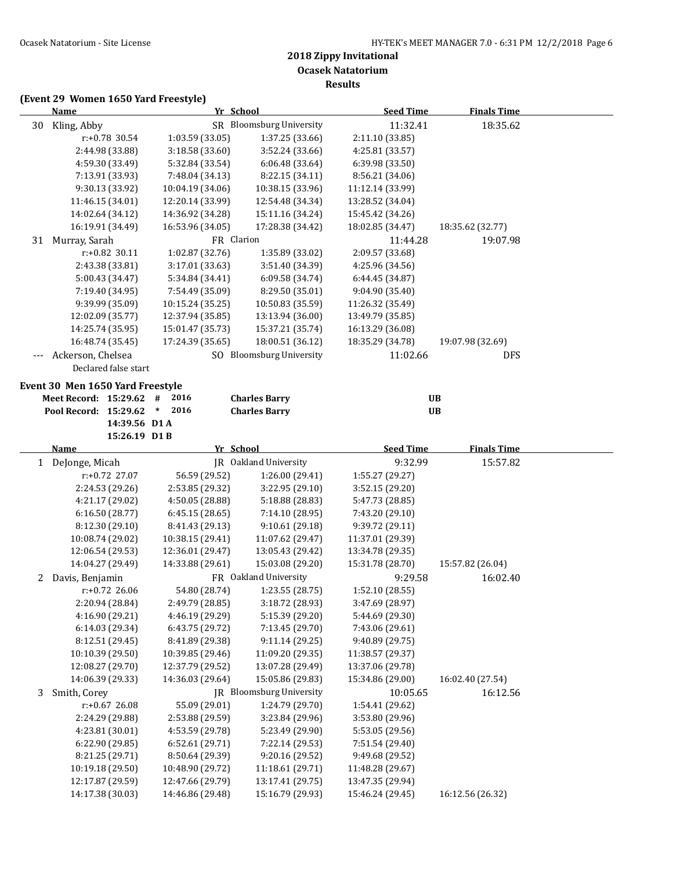|              | <b>Name</b>                         |                                     | Yr School                           | <b>Seed Time</b>                    | <b>Finals Time</b> |  |
|--------------|-------------------------------------|-------------------------------------|-------------------------------------|-------------------------------------|--------------------|--|
| 30           | Kling, Abby                         |                                     | SR Bloomsburg University            | 11:32.41                            | 18:35.62           |  |
|              | r:+0.78 30.54                       | 1:03.59 (33.05)                     | 1:37.25 (33.66)                     | 2:11.10 (33.85)                     |                    |  |
|              | 2:44.98 (33.88)                     | 3:18.58 (33.60)                     | 3:52.24 (33.66)                     | 4:25.81 (33.57)                     |                    |  |
|              | 4:59.30 (33.49)                     | 5:32.84 (33.54)                     | 6:06.48 (33.64)                     | 6:39.98 (33.50)                     |                    |  |
|              | 7:13.91 (33.93)                     | 7:48.04 (34.13)                     | 8:22.15 (34.11)                     | 8:56.21 (34.06)                     |                    |  |
|              | 9:30.13 (33.92)                     | 10:04.19 (34.06)                    | 10:38.15 (33.96)                    | 11:12.14 (33.99)                    |                    |  |
|              | 11:46.15 (34.01)                    | 12:20.14 (33.99)                    | 12:54.48 (34.34)                    | 13:28.52 (34.04)                    |                    |  |
|              | 14:02.64 (34.12)                    | 14:36.92 (34.28)                    | 15:11.16 (34.24)                    | 15:45.42 (34.26)                    |                    |  |
|              | 16:19.91 (34.49)                    | 16:53.96 (34.05)                    | 17:28.38 (34.42)                    | 18:02.85 (34.47)                    | 18:35.62 (32.77)   |  |
| 31           | Murray, Sarah                       |                                     | FR Clarion                          | 11:44.28                            | 19:07.98           |  |
|              | r:+0.82 30.11                       | 1:02.87 (32.76)                     | 1:35.89 (33.02)                     | 2:09.57 (33.68)                     |                    |  |
|              | 2:43.38 (33.81)                     | 3:17.01 (33.63)                     | 3:51.40 (34.39)                     | 4:25.96 (34.56)                     |                    |  |
|              | 5:00.43 (34.47)                     | 5:34.84 (34.41)                     | 6:09.58 (34.74)                     | 6:44.45 (34.87)                     |                    |  |
|              | 7:19.40 (34.95)                     | 7:54.49 (35.09)                     | 8:29.50 (35.01)                     | 9:04.90 (35.40)                     |                    |  |
|              | 9:39.99 (35.09)                     | 10:15.24 (35.25)                    | 10:50.83 (35.59)                    | 11:26.32 (35.49)                    |                    |  |
|              | 12:02.09 (35.77)                    | 12:37.94 (35.85)                    | 13:13.94 (36.00)                    | 13:49.79 (35.85)                    |                    |  |
|              | 14:25.74 (35.95)                    | 15:01.47 (35.73)                    | 15:37.21 (35.74)                    | 16:13.29 (36.08)                    |                    |  |
|              | 16:48.74 (35.45)                    | 17:24.39 (35.65)                    | 18:00.51 (36.12)                    | 18:35.29 (34.78)                    | 19:07.98 (32.69)   |  |
|              | Ackerson, Chelsea                   |                                     | SO Bloomsburg University            | 11:02.66                            | DFS                |  |
|              | Declared false start                |                                     |                                     |                                     |                    |  |
|              | Event 30 Men 1650 Yard Freestyle    |                                     |                                     |                                     |                    |  |
|              | Meet Record: 15:29.62 #             | 2016                                | <b>Charles Barry</b>                |                                     | <b>UB</b>          |  |
|              | Pool Record: 15:29.62               | 2016<br>$\ast$                      | <b>Charles Barry</b>                |                                     | <b>UB</b>          |  |
|              | 14:39.56 D1 A                       |                                     |                                     |                                     |                    |  |
|              | 15:26.19 D1B                        |                                     |                                     |                                     |                    |  |
|              | <b>Name</b>                         |                                     | Yr School                           | <b>Seed Time</b>                    | <b>Finals Time</b> |  |
| $\mathbf{1}$ | DeJonge, Micah                      |                                     | JR Oakland University               | 9:32.99                             | 15:57.82           |  |
|              | r:+0.72 27.07                       | 56.59 (29.52)                       | 1:26.00 (29.41)                     | 1:55.27 (29.27)                     |                    |  |
|              | 2:24.53 (29.26)                     | 2:53.85 (29.32)                     | 3:22.95 (29.10)                     | 3:52.15 (29.20)                     |                    |  |
|              | 4:21.17 (29.02)                     | 4:50.05 (28.88)                     | 5:18.88 (28.83)                     | 5:47.73 (28.85)                     |                    |  |
|              | 6:16.50 (28.77)                     | 6:45.15 (28.65)                     | 7:14.10 (28.95)                     | 7:43.20 (29.10)                     |                    |  |
|              | 8:12.30 (29.10)                     | 8:41.43 (29.13)                     | 9:10.61 (29.18)                     | 9:39.72 (29.11)                     |                    |  |
|              | 10:08.74 (29.02)                    | 10:38.15 (29.41)                    | 11:07.62 (29.47)                    | 11:37.01 (29.39)                    |                    |  |
|              | 12:06.54 (29.53)                    | 12:36.01 (29.47)                    | 13:05.43 (29.42)                    | 13:34.78 (29.35)                    |                    |  |
|              | 14:04.27 (29.49)                    | 14:33.88 (29.61)                    | 15:03.08 (29.20)                    | 15:31.78 (28.70)                    | 15:57.82 (26.04)   |  |
| 2            | Davis, Benjamin                     |                                     | FR Oakland University               | 9:29.58                             | 16:02.40           |  |
|              | $r: +0.72$ 26.06                    | 54.80 (28.74)                       | 1:23.55 (28.75)                     | 1:52.10 (28.55)                     |                    |  |
|              | 2:20.94 (28.84)                     | 2:49.79 (28.85)                     | 3:18.72 (28.93)                     | 3:47.69 (28.97)                     |                    |  |
|              | 4:16.90 (29.21)                     | 4:46.19 (29.29)                     | 5:15.39 (29.20)                     | 5:44.69 (29.30)                     |                    |  |
|              | 6:14.03 (29.34)                     | 6:43.75 (29.72)                     | 7:13.45 (29.70)                     | 7:43.06 (29.61)                     |                    |  |
|              | 8:12.51 (29.45)                     | 8:41.89 (29.38)                     | 9:11.14 (29.25)                     | 9:40.89 (29.75)                     |                    |  |
|              | 10:10.39 (29.50)                    | 10:39.85 (29.46)                    | 11:09.20 (29.35)                    | 11:38.57 (29.37)                    |                    |  |
|              | 12:08.27 (29.70)                    | 12:37.79 (29.52)                    | 13:07.28 (29.49)                    | 13:37.06 (29.78)                    |                    |  |
|              | 14:06.39 (29.33)                    | 14:36.03 (29.64)                    | 15:05.86 (29.83)                    | 15:34.86 (29.00)                    | 16:02.40 (27.54)   |  |
|              | 3 Smith, Corey                      |                                     | JR Bloomsburg University            | 10:05.65                            | 16:12.56           |  |
|              | $r: +0.67$ 26.08                    | 55.09 (29.01)                       | 1:24.79 (29.70)                     | 1:54.41 (29.62)                     |                    |  |
|              | 2:24.29 (29.88)                     | 2:53.88 (29.59)                     | 3:23.84 (29.96)                     | 3:53.80 (29.96)                     |                    |  |
|              | 4:23.81 (30.01)                     | 4:53.59 (29.78)                     | 5:23.49 (29.90)                     | 5:53.05 (29.56)                     |                    |  |
|              | 6:22.90 (29.85)                     | 6:52.61 (29.71)                     | 7:22.14 (29.53)                     | 7:51.54 (29.40)                     |                    |  |
|              | 8:21.25 (29.71)<br>10:19.18 (29.50) | 8:50.64 (29.39)<br>10:48.90 (29.72) | 9:20.16 (29.52)<br>11:18.61 (29.71) | 9:49.68 (29.52)<br>11:48.28 (29.67) |                    |  |
|              | 12:17.87 (29.59)                    | 12:47.66 (29.79)                    | 13:17.41 (29.75)                    | 13:47.35 (29.94)                    |                    |  |
|              | 14:17.38 (30.03)                    | 14:46.86 (29.48)                    | 15:16.79 (29.93)                    | 15:46.24 (29.45)                    | 16:12.56 (26.32)   |  |
|              |                                     |                                     |                                     |                                     |                    |  |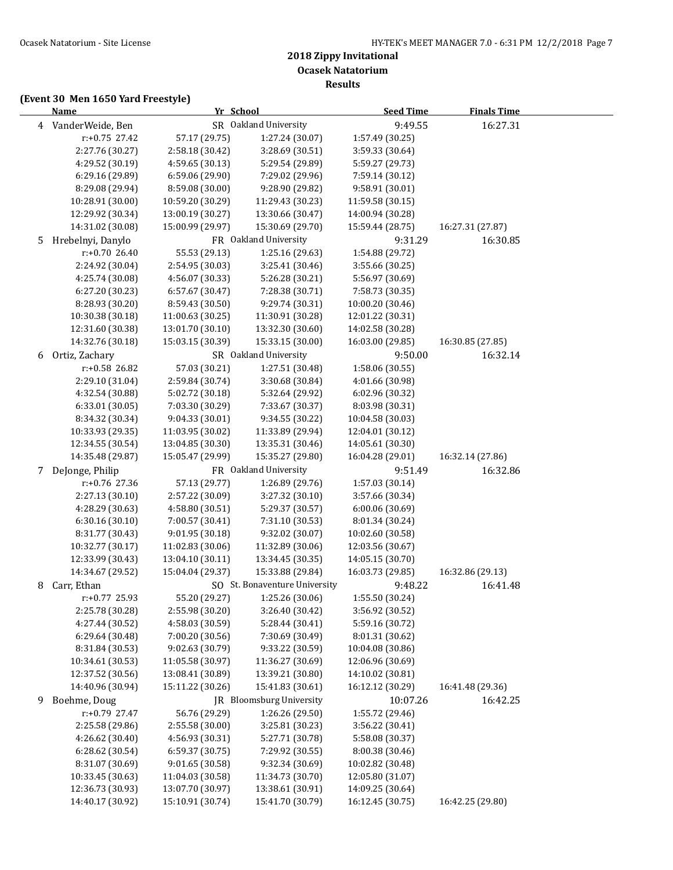**Results**

# **(Event 30 Men 1650 Yard Freestyle)**

|    | <b>Name</b>        | Yr School        |                               | <b>Seed Time</b> | <b>Finals Time</b> |  |
|----|--------------------|------------------|-------------------------------|------------------|--------------------|--|
|    | 4 VanderWeide, Ben |                  | SR Oakland University         | 9:49.55          | 16:27.31           |  |
|    | r:+0.75 27.42      | 57.17 (29.75)    | 1:27.24 (30.07)               | 1:57.49 (30.25)  |                    |  |
|    | 2:27.76 (30.27)    | 2:58.18 (30.42)  | 3:28.69 (30.51)               | 3:59.33 (30.64)  |                    |  |
|    | 4:29.52 (30.19)    | 4:59.65 (30.13)  | 5:29.54 (29.89)               | 5:59.27 (29.73)  |                    |  |
|    | 6:29.16 (29.89)    | 6:59.06 (29.90)  | 7:29.02 (29.96)               | 7:59.14 (30.12)  |                    |  |
|    | 8:29.08 (29.94)    | 8:59.08 (30.00)  | 9:28.90 (29.82)               | 9:58.91 (30.01)  |                    |  |
|    | 10:28.91 (30.00)   | 10:59.20 (30.29) | 11:29.43 (30.23)              | 11:59.58 (30.15) |                    |  |
|    | 12:29.92 (30.34)   | 13:00.19 (30.27) | 13:30.66 (30.47)              | 14:00.94 (30.28) |                    |  |
|    | 14:31.02 (30.08)   | 15:00.99 (29.97) | 15:30.69 (29.70)              | 15:59.44 (28.75) | 16:27.31 (27.87)   |  |
| 5. | Hrebelnyi, Danylo  |                  | FR Oakland University         | 9:31.29          | 16:30.85           |  |
|    | $r: +0.70$ 26.40   | 55.53 (29.13)    | 1:25.16 (29.63)               | 1:54.88 (29.72)  |                    |  |
|    | 2:24.92 (30.04)    | 2:54.95 (30.03)  | 3:25.41 (30.46)               | 3:55.66 (30.25)  |                    |  |
|    | 4:25.74 (30.08)    | 4:56.07 (30.33)  | 5:26.28 (30.21)               | 5:56.97 (30.69)  |                    |  |
|    | 6:27.20 (30.23)    | 6:57.67 (30.47)  | 7:28.38 (30.71)               | 7:58.73 (30.35)  |                    |  |
|    | 8:28.93 (30.20)    | 8:59.43 (30.50)  | 9:29.74 (30.31)               | 10:00.20 (30.46) |                    |  |
|    | 10:30.38 (30.18)   | 11:00.63 (30.25) | 11:30.91 (30.28)              | 12:01.22 (30.31) |                    |  |
|    | 12:31.60 (30.38)   | 13:01.70 (30.10) | 13:32.30 (30.60)              | 14:02.58 (30.28) |                    |  |
|    | 14:32.76 (30.18)   | 15:03.15 (30.39) | 15:33.15 (30.00)              | 16:03.00 (29.85) | 16:30.85 (27.85)   |  |
| 6  | Ortiz, Zachary     |                  | SR Oakland University         | 9:50.00          | 16:32.14           |  |
|    | r:+0.58 26.82      | 57.03 (30.21)    | 1:27.51 (30.48)               | 1:58.06 (30.55)  |                    |  |
|    | 2:29.10 (31.04)    | 2:59.84 (30.74)  | 3:30.68 (30.84)               | 4:01.66 (30.98)  |                    |  |
|    | 4:32.54 (30.88)    | 5:02.72 (30.18)  | 5:32.64 (29.92)               | 6:02.96 (30.32)  |                    |  |
|    | 6:33.01 (30.05)    | 7:03.30 (30.29)  | 7:33.67 (30.37)               | 8:03.98 (30.31)  |                    |  |
|    | 8:34.32 (30.34)    | 9:04.33 (30.01)  | 9:34.55 (30.22)               | 10:04.58 (30.03) |                    |  |
|    | 10:33.93 (29.35)   | 11:03.95 (30.02) | 11:33.89 (29.94)              | 12:04.01 (30.12) |                    |  |
|    | 12:34.55 (30.54)   | 13:04.85 (30.30) | 13:35.31 (30.46)              | 14:05.61 (30.30) |                    |  |
|    | 14:35.48 (29.87)   | 15:05.47 (29.99) | 15:35.27 (29.80)              | 16:04.28 (29.01) | 16:32.14 (27.86)   |  |
|    | 7 DeJonge, Philip  |                  | FR Oakland University         | 9:51.49          | 16:32.86           |  |
|    | r:+0.76 27.36      | 57.13 (29.77)    | 1:26.89 (29.76)               | 1:57.03 (30.14)  |                    |  |
|    | 2:27.13 (30.10)    | 2:57.22 (30.09)  | 3:27.32 (30.10)               | 3:57.66 (30.34)  |                    |  |
|    | 4:28.29 (30.63)    | 4:58.80 (30.51)  | 5:29.37 (30.57)               | 6:00.06 (30.69)  |                    |  |
|    | 6:30.16 (30.10)    | 7:00.57 (30.41)  | 7:31.10 (30.53)               | 8:01.34 (30.24)  |                    |  |
|    | 8:31.77 (30.43)    | 9:01.95 (30.18)  | 9:32.02 (30.07)               | 10:02.60 (30.58) |                    |  |
|    | 10:32.77 (30.17)   | 11:02.83 (30.06) | 11:32.89 (30.06)              | 12:03.56 (30.67) |                    |  |
|    | 12:33.99 (30.43)   | 13:04.10 (30.11) | 13:34.45 (30.35)              | 14:05.15 (30.70) |                    |  |
|    | 14:34.67 (29.52)   | 15:04.04 (29.37) | 15:33.88 (29.84)              | 16:03.73 (29.85) | 16:32.86 (29.13)   |  |
| 8  | Carr, Ethan        |                  | SO St. Bonaventure University | 9:48.22          | 16:41.48           |  |
|    | $r: +0.77$ 25.93   | 55.20 (29.27)    | 1:25.26 (30.06)               | 1:55.50 (30.24)  |                    |  |
|    | 2:25.78 (30.28)    | 2:55.98 (30.20)  | 3:26.40 (30.42)               | 3:56.92 (30.52)  |                    |  |
|    | 4:27.44 (30.52)    | 4:58.03 (30.59)  | 5:28.44 (30.41)               | 5:59.16 (30.72)  |                    |  |
|    | 6:29.64 (30.48)    | 7:00.20 (30.56)  | 7:30.69 (30.49)               | 8:01.31 (30.62)  |                    |  |
|    | 8:31.84 (30.53)    | 9:02.63 (30.79)  | 9:33.22 (30.59)               | 10:04.08 (30.86) |                    |  |
|    | 10:34.61 (30.53)   | 11:05.58 (30.97) | 11:36.27 (30.69)              | 12:06.96 (30.69) |                    |  |
|    | 12:37.52 (30.56)   | 13:08.41 (30.89) | 13:39.21 (30.80)              | 14:10.02 (30.81) |                    |  |
|    | 14:40.96 (30.94)   | 15:11.22 (30.26) | 15:41.83 (30.61)              | 16:12.12 (30.29) | 16:41.48 (29.36)   |  |
| 9  | Boehme, Doug       |                  | JR Bloomsburg University      | 10:07.26         | 16:42.25           |  |
|    | r:+0.79 27.47      | 56.76 (29.29)    | 1:26.26 (29.50)               | 1:55.72 (29.46)  |                    |  |
|    | 2:25.58 (29.86)    | 2:55.58 (30.00)  | 3:25.81 (30.23)               | 3:56.22 (30.41)  |                    |  |
|    | 4:26.62 (30.40)    | 4:56.93 (30.31)  | 5:27.71 (30.78)               | 5:58.08 (30.37)  |                    |  |
|    | 6:28.62 (30.54)    | 6:59.37 (30.75)  | 7:29.92 (30.55)               | 8:00.38 (30.46)  |                    |  |
|    | 8:31.07 (30.69)    | 9:01.65 (30.58)  | 9:32.34 (30.69)               | 10:02.82 (30.48) |                    |  |
|    | 10:33.45 (30.63)   | 11:04.03 (30.58) | 11:34.73 (30.70)              | 12:05.80 (31.07) |                    |  |
|    | 12:36.73 (30.93)   | 13:07.70 (30.97) | 13:38.61 (30.91)              | 14:09.25 (30.64) |                    |  |
|    | 14:40.17 (30.92)   | 15:10.91 (30.74) | 15:41.70 (30.79)              | 16:12.45 (30.75) | 16:42.25 (29.80)   |  |
|    |                    |                  |                               |                  |                    |  |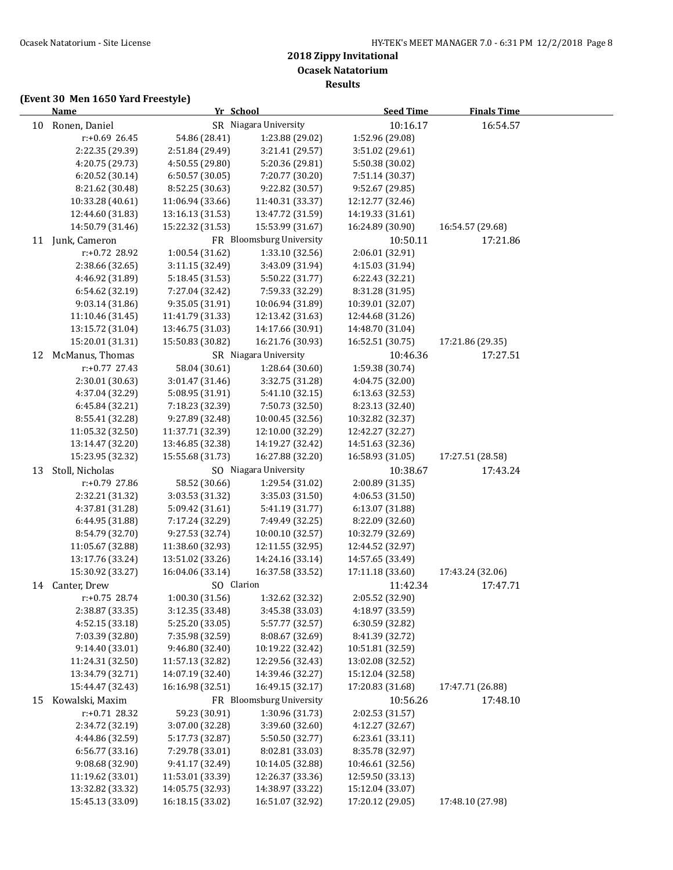**Results**

# **(Event 30 Men 1650 Yard Freestyle)**

|    | <b>Name</b>                        | Yr School                          |                                    | <b>Seed Time</b>                   | <b>Finals Time</b> |  |
|----|------------------------------------|------------------------------------|------------------------------------|------------------------------------|--------------------|--|
| 10 | Ronen, Daniel                      |                                    | SR Niagara University              | 10:16.17                           | 16:54.57           |  |
|    | r:+0.69 26.45                      | 54.86 (28.41)                      | 1:23.88 (29.02)                    | 1:52.96 (29.08)                    |                    |  |
|    | 2:22.35 (29.39)                    | 2:51.84 (29.49)                    | 3:21.41 (29.57)                    | 3:51.02 (29.61)                    |                    |  |
|    | 4:20.75 (29.73)                    | 4:50.55 (29.80)                    | 5:20.36 (29.81)                    | 5:50.38 (30.02)                    |                    |  |
|    | 6:20.52 (30.14)                    | 6:50.57 (30.05)                    | 7:20.77 (30.20)                    | 7:51.14 (30.37)                    |                    |  |
|    | 8:21.62 (30.48)                    | 8:52.25 (30.63)                    | 9:22.82 (30.57)                    | 9:52.67 (29.85)                    |                    |  |
|    | 10:33.28 (40.61)                   | 11:06.94 (33.66)                   | 11:40.31 (33.37)                   | 12:12.77 (32.46)                   |                    |  |
|    | 12:44.60 (31.83)                   | 13:16.13 (31.53)                   | 13:47.72 (31.59)                   | 14:19.33 (31.61)                   |                    |  |
|    | 14:50.79 (31.46)                   | 15:22.32 (31.53)                   | 15:53.99 (31.67)                   | 16:24.89 (30.90)                   | 16:54.57 (29.68)   |  |
| 11 | Junk, Cameron                      |                                    | FR Bloomsburg University           | 10:50.11                           | 17:21.86           |  |
|    | r:+0.72 28.92                      | 1:00.54 (31.62)                    | 1:33.10 (32.56)                    | 2:06.01 (32.91)                    |                    |  |
|    | 2:38.66 (32.65)                    | 3:11.15 (32.49)                    | 3:43.09 (31.94)                    | 4:15.03 (31.94)                    |                    |  |
|    | 4:46.92 (31.89)                    | 5:18.45 (31.53)                    | 5:50.22 (31.77)                    | 6:22.43 (32.21)                    |                    |  |
|    | 6:54.62 (32.19)                    | 7:27.04 (32.42)                    | 7:59.33 (32.29)                    | 8:31.28 (31.95)                    |                    |  |
|    | 9:03.14 (31.86)                    | 9:35.05 (31.91)                    | 10:06.94 (31.89)                   | 10:39.01 (32.07)                   |                    |  |
|    | 11:10.46 (31.45)                   | 11:41.79 (31.33)                   | 12:13.42 (31.63)                   | 12:44.68 (31.26)                   |                    |  |
|    | 13:15.72 (31.04)                   | 13:46.75 (31.03)                   | 14:17.66 (30.91)                   | 14:48.70 (31.04)                   |                    |  |
|    | 15:20.01 (31.31)                   | 15:50.83 (30.82)                   | 16:21.76 (30.93)                   | 16:52.51 (30.75)                   | 17:21.86 (29.35)   |  |
| 12 | McManus, Thomas                    |                                    | SR Niagara University              | 10:46.36                           | 17:27.51           |  |
|    | r:+0.77 27.43                      | 58.04 (30.61)                      | 1:28.64 (30.60)                    | 1:59.38 (30.74)                    |                    |  |
|    | 2:30.01 (30.63)                    | 3:01.47 (31.46)                    | 3:32.75 (31.28)                    | 4:04.75 (32.00)                    |                    |  |
|    | 4:37.04 (32.29)                    | 5:08.95 (31.91)                    | 5:41.10 (32.15)                    | 6:13.63 (32.53)                    |                    |  |
|    | 6:45.84 (32.21)                    | 7:18.23 (32.39)                    | 7:50.73 (32.50)                    | 8:23.13 (32.40)                    |                    |  |
|    | 8:55.41 (32.28)                    | 9:27.89 (32.48)                    | 10:00.45 (32.56)                   | 10:32.82 (32.37)                   |                    |  |
|    | 11:05.32 (32.50)                   | 11:37.71 (32.39)                   | 12:10.00 (32.29)                   | 12:42.27 (32.27)                   |                    |  |
|    | 13:14.47 (32.20)                   | 13:46.85 (32.38)                   | 14:19.27 (32.42)                   | 14:51.63 (32.36)                   |                    |  |
|    | 15:23.95 (32.32)                   | 15:55.68 (31.73)                   | 16:27.88 (32.20)                   | 16:58.93 (31.05)                   | 17:27.51 (28.58)   |  |
| 13 | Stoll, Nicholas                    |                                    | SO Niagara University              | 10:38.67                           | 17:43.24           |  |
|    | r:+0.79 27.86                      | 58.52 (30.66)                      | 1:29.54 (31.02)                    | 2:00.89 (31.35)                    |                    |  |
|    | 2:32.21 (31.32)                    | 3:03.53 (31.32)                    | 3:35.03 (31.50)                    | 4:06.53 (31.50)                    |                    |  |
|    | 4:37.81 (31.28)<br>6:44.95 (31.88) | 5:09.42 (31.61)<br>7:17.24 (32.29) | 5:41.19 (31.77)<br>7:49.49 (32.25) | 6:13.07 (31.88)<br>8:22.09 (32.60) |                    |  |
|    | 8:54.79 (32.70)                    | 9:27.53 (32.74)                    | 10:00.10 (32.57)                   | 10:32.79 (32.69)                   |                    |  |
|    | 11:05.67 (32.88)                   | 11:38.60 (32.93)                   | 12:11.55 (32.95)                   | 12:44.52 (32.97)                   |                    |  |
|    | 13:17.76 (33.24)                   | 13:51.02 (33.26)                   | 14:24.16 (33.14)                   | 14:57.65 (33.49)                   |                    |  |
|    | 15:30.92 (33.27)                   | 16:04.06 (33.14)                   | 16:37.58 (33.52)                   | 17:11.18 (33.60)                   | 17:43.24 (32.06)   |  |
|    | 14 Canter, Drew                    | SO Clarion                         |                                    | 11:42.34                           | 17:47.71           |  |
|    | r:+0.75 28.74                      | 1:00.30 (31.56)                    | 1:32.62 (32.32)                    | 2:05.52 (32.90)                    |                    |  |
|    | 2:38.87 (33.35)                    | 3:12.35 (33.48)                    | 3:45.38 (33.03)                    | 4:18.97 (33.59)                    |                    |  |
|    | 4:52.15 (33.18)                    | 5:25.20 (33.05)                    | 5:57.77 (32.57)                    | 6:30.59 (32.82)                    |                    |  |
|    | 7:03.39 (32.80)                    | 7:35.98 (32.59)                    | 8:08.67 (32.69)                    | 8:41.39 (32.72)                    |                    |  |
|    | 9:14.40 (33.01)                    | 9:46.80 (32.40)                    | 10:19.22 (32.42)                   | 10:51.81 (32.59)                   |                    |  |
|    | 11:24.31 (32.50)                   | 11:57.13 (32.82)                   | 12:29.56 (32.43)                   | 13:02.08 (32.52)                   |                    |  |
|    | 13:34.79 (32.71)                   | 14:07.19 (32.40)                   | 14:39.46 (32.27)                   | 15:12.04 (32.58)                   |                    |  |
|    | 15:44.47 (32.43)                   | 16:16.98 (32.51)                   | 16:49.15 (32.17)                   | 17:20.83 (31.68)                   | 17:47.71 (26.88)   |  |
| 15 | Kowalski, Maxim                    |                                    | FR Bloomsburg University           | 10:56.26                           | 17:48.10           |  |
|    | r:+0.71 28.32                      | 59.23 (30.91)                      | 1:30.96 (31.73)                    | 2:02.53 (31.57)                    |                    |  |
|    | 2:34.72 (32.19)                    | 3:07.00 (32.28)                    | 3:39.60 (32.60)                    | 4:12.27 (32.67)                    |                    |  |
|    | 4:44.86 (32.59)                    | 5:17.73 (32.87)                    | 5:50.50 (32.77)                    | 6:23.61 (33.11)                    |                    |  |
|    | 6:56.77 (33.16)                    | 7:29.78 (33.01)                    | 8:02.81 (33.03)                    | 8:35.78 (32.97)                    |                    |  |
|    | 9:08.68 (32.90)                    | 9:41.17 (32.49)                    | 10:14.05 (32.88)                   | 10:46.61 (32.56)                   |                    |  |
|    | 11:19.62 (33.01)                   | 11:53.01 (33.39)                   | 12:26.37 (33.36)                   | 12:59.50 (33.13)                   |                    |  |
|    | 13:32.82 (33.32)                   | 14:05.75 (32.93)                   | 14:38.97 (33.22)                   | 15:12.04 (33.07)                   |                    |  |
|    | 15:45.13 (33.09)                   | 16:18.15 (33.02)                   | 16:51.07 (32.92)                   | 17:20.12 (29.05)                   | 17:48.10 (27.98)   |  |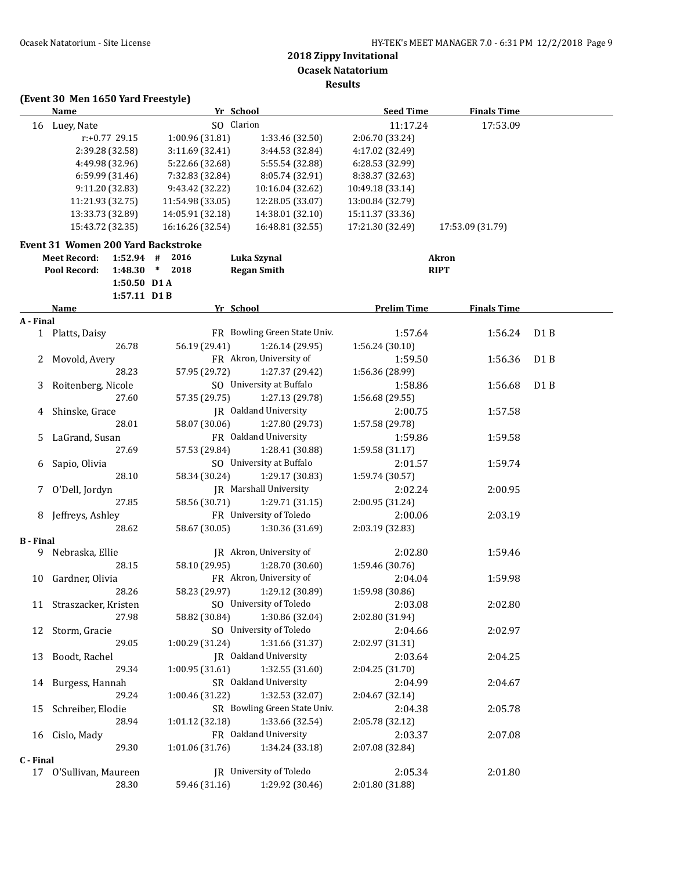### **(Event 30 Men 1650 Yard Freestyle) Name** *Yr* **School <b>Seed Time Finals Time** 16 Luey, Nate SO Clarion 11:17.24 17:53.09 r:+0.77 29.15 1:00.96 (31.81) 1:33.46 (32.50) 2:06.70 (33.24) 2:39.28 (32.58) 3:11.69 (32.41) 3:44.53 (32.84) 4:17.02 (32.49) 4:49.98 (32.96) 5:22.66 (32.68) 5:55.54 (32.88) 6:28.53 (32.99) 6:59.99 (31.46) 7:32.83 (32.84) 8:05.74 (32.91) 8:38.37 (32.63) 9:11.20 (32.83) 9:43.42 (32.22) 10:16.04 (32.62) 10:49.18 (33.14) 11:21.93 (32.75) 11:54.98 (33.05) 12:28.05 (33.07) 13:00.84 (32.79) 13:33.73 (32.89) 14:05.91 (32.18) 14:38.01 (32.10) 15:11.37 (33.36) 15:43.72 (32.35) 16:16.26 (32.54) 16:48.81 (32.55) 17:21.30 (32.49) 17:53.09 (31.79) **Event 31 Women 200 Yard Backstroke Meet Record: 1:52.94 # 2016 Luka Szynal Akron Pool Record: 1:48.30 \* 2018 Regan Smith RIPT 1:50.50 D1 A 1:57.11 D1 B Name Yr School Prelim Time Finals Time A - Final** 1 Platts, Daisy FR Bowling Green State Univ. 1:57.64 1:56.24 D1 B 26.78 56.19 (29.41) 1:26.14 (29.95) 1:56.24 (30.10) 2 Movold, Avery **FR** Akron, University of 1:59.50 1:56.36 D1 B 28.23 57.95 (29.72) 1:27.37 (29.42) 1:56.36 (28.99) 3 Roitenberg, Nicole 50 University at Buffalo 1:58.86 1:56.68 D1 B 27.60 57.35 (29.75) 1:27.13 (29.78) 1:56.68 (29.55) 4 Shinske, Grace TR Oakland University 2:00.75 1:57.58 28.01 58.07 (30.06) 1:27.80 (29.73) 1:57.58 (29.78) 5 LaGrand, Susan **FR** Oakland University 1:59.86 1:59.58 27.69 57.53 (29.84) 1:28.41 (30.88) 1:59.58 (31.17) 6 Sapio, Olivia SO University at Buffalo 2:01.57 1:59.74 28.10 58.34 (30.24) 1:29.17 (30.83) 1:59.74 (30.57) 7 O'Dell, Jordyn JR Marshall University 2:02.24 2:00.95 27.85 58.56 (30.71) 1:29.71 (31.15) 2:00.95 (31.24) 8 Jeffreys, Ashley **FR** University of Toledo 2:00.06 2:03.19 28.62 58.67 (30.05) 1:30.36 (31.69) 2:03.19 (32.83) **B - Final** 9 Nebraska, Ellie **IR** Akron, University of 2:02.80 1:59.46 28.15 58.10 (29.95) 1:28.70 (30.60) 1:59.46 (30.76) 10 Gardner, Olivia FR Akron, University of 2:04.04 1:59.98 28.26 58.23 (29.97) 1:29.12 (30.89) 1:59.98 (30.86) 11 Straszacker, Kristen SO University of Toledo 2:03.08 2:02.80 27.98 58.82 (30.84) 1:30.86 (32.04) 2:02.80 (31.94) 12 Storm, Gracie SO University of Toledo 2:04.66 2:02.97 29.05 1:00.29 (31.24) 1:31.66 (31.37) 2:02.97 (31.31) 13 Boodt, Rachel **IR** Oakland University 2:03.64 2:04.25 29.34 1:00.95 (31.61) 1:32.55 (31.60) 2:04.25 (31.70) 14 Burgess, Hannah SR Oakland University 2:04.99 2:04.67 29.24 1:00.46 (31.22) 1:32.53 (32.07) 2:04.67 (32.14) 15 Schreiber, Elodie SR Bowling Green State Univ. 2:04.38 2:05.78 28.94 1:01.12 (32.18) 1:33.66 (32.54) 2:05.78 (32.12) 16 Cislo, Mady FR Oakland University 2:03.37 2:07.08 29.30 1:01.06 (31.76) 1:34.24 (33.18) 2:07.08 (32.84) **C - Final** 17 O'Sullivan, Maureen JR University of Toledo 2:05.34 2:01.80 28.30 59.46 (31.16) 1:29.92 (30.46) 2:01.80 (31.88)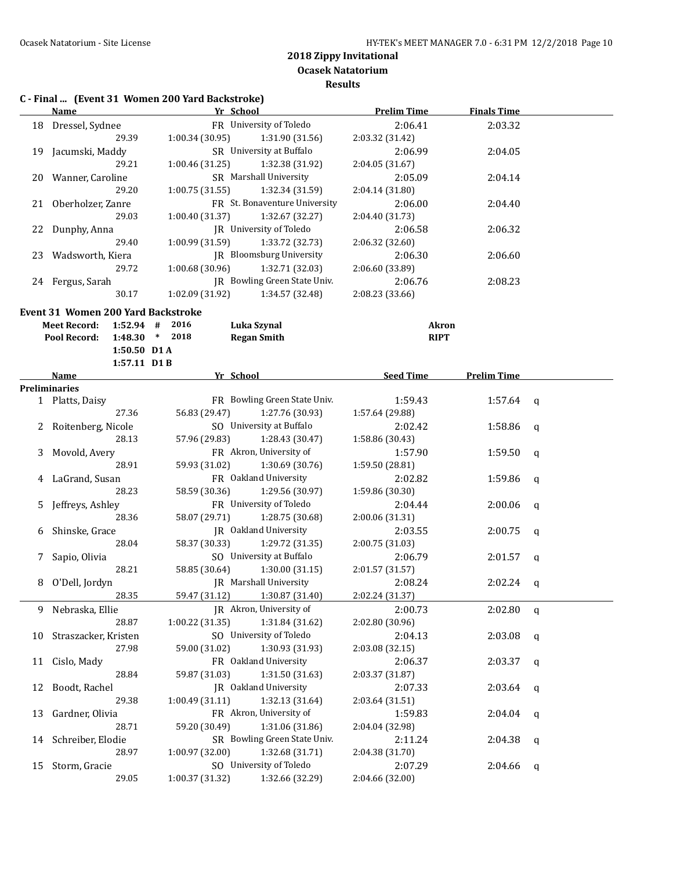**Results**

# **C - Final ... (Event 31 Women 200 Yard Backstroke)**

|    | <b>Name</b>                        | Yr School                                       | <b>Prelim Time</b>          | <b>Finals Time</b> |             |
|----|------------------------------------|-------------------------------------------------|-----------------------------|--------------------|-------------|
|    | 18 Dressel, Sydnee                 | FR University of Toledo                         | 2:06.41                     | 2:03.32            |             |
|    | 29.39                              | 1:00.34(30.95)<br>1:31.90 (31.56)               | 2:03.32 (31.42)             |                    |             |
|    | 19 Jacumski, Maddy                 | SR University at Buffalo                        | 2:06.99                     | 2:04.05            |             |
|    | 29.21                              | 1:00.46(31.25)<br>1:32.38 (31.92)               | 2:04.05 (31.67)             |                    |             |
|    | 20 Wanner, Caroline                | SR Marshall University                          | 2:05.09                     | 2:04.14            |             |
|    | 29.20                              | 1:00.75(31.55)<br>1:32.34 (31.59)               | 2:04.14 (31.80)             |                    |             |
|    | 21 Oberholzer, Zanre               | FR St. Bonaventure University                   | 2:06.00                     | 2:04.40            |             |
|    | 29.03                              | 1:00.40 (31.37)<br>1:32.67 (32.27)              | 2:04.40 (31.73)             |                    |             |
|    | 22 Dunphy, Anna                    | JR University of Toledo                         | 2:06.58                     | 2:06.32            |             |
|    | 29.40                              | 1:00.99 (31.59)<br>1:33.72 (32.73)              | 2:06.32 (32.60)             |                    |             |
|    | 23 Wadsworth, Kiera                | JR Bloomsburg University                        | 2:06.30                     | 2:06.60            |             |
|    | 29.72                              | 1:00.68(30.96)<br>1:32.71 (32.03)               | 2:06.60 (33.89)             |                    |             |
|    | 24 Fergus, Sarah                   | JR Bowling Green State Univ.                    | 2:06.76                     | 2:08.23            |             |
|    | 30.17                              | 1:02.09(31.92)<br>1:34.57 (32.48)               | 2:08.23 (33.66)             |                    |             |
|    |                                    |                                                 |                             |                    |             |
|    | Event 31 Women 200 Yard Backstroke |                                                 |                             |                    |             |
|    | <b>Meet Record:</b>                | 1:52.94 # 2016<br>Luka Szynal<br>1:48.30 * 2018 | <b>Akron</b><br><b>RIPT</b> |                    |             |
|    | Pool Record:<br>1:50.50 D1 A       | <b>Regan Smith</b>                              |                             |                    |             |
|    | 1:57.11 D1B                        |                                                 |                             |                    |             |
|    | Name                               | Yr School                                       | <b>Seed Time</b>            | <b>Prelim Time</b> |             |
|    | <b>Preliminaries</b>               |                                                 |                             |                    |             |
|    | 1 Platts, Daisy                    | FR Bowling Green State Univ.                    | 1:59.43                     | 1:57.64            | q           |
|    | 27.36                              | 56.83 (29.47)<br>1:27.76 (30.93)                | 1:57.64 (29.88)             |                    |             |
|    | 2 Roitenberg, Nicole               | SO University at Buffalo                        | 2:02.42                     | 1:58.86            | $\mathbf q$ |
|    | 28.13                              | 57.96 (29.83)<br>1:28.43 (30.47)                | 1:58.86 (30.43)             |                    |             |
| 3  | Movold, Avery                      | FR Akron, University of                         | 1:57.90                     | 1:59.50            | q           |
|    | 28.91                              | 59.93 (31.02)<br>1:30.69 (30.76)                | 1:59.50 (28.81)             |                    |             |
|    | 4 LaGrand, Susan                   | FR Oakland University                           | 2:02.82                     | 1:59.86            | q           |
|    | 28.23                              | 58.59 (30.36)<br>1:29.56 (30.97)                | 1:59.86 (30.30)             |                    |             |
| 5  | Jeffreys, Ashley                   | FR University of Toledo                         | 2:04.44                     | 2:00.06            | $\mathbf q$ |
|    | 28.36                              | 58.07 (29.71)<br>1:28.75 (30.68)                | 2:00.06 (31.31)             |                    |             |
|    | 6 Shinske, Grace                   | JR Oakland University                           | 2:03.55                     | 2:00.75            | $\mathbf q$ |
|    | 28.04                              | 58.37 (30.33)<br>1:29.72 (31.35)                | 2:00.75 (31.03)             |                    |             |
|    | 7 Sapio, Olivia                    | SO University at Buffalo                        | 2:06.79                     | 2:01.57            | q           |
|    | 28.21                              | 58.85 (30.64)<br>1:30.00(31.15)                 | 2:01.57 (31.57)             |                    |             |
|    | 8 O'Dell, Jordyn                   | JR Marshall University                          | 2:08.24                     | 2:02.24            | q           |
|    | 28.35                              | 59.47 (31.12)<br>1:30.87 (31.40)                | 2:02.24 (31.37)             |                    |             |
| 9  | Nebraska, Ellie                    | JR Akron, University of                         | 2:00.73                     | 2:02.80            | q           |
|    | 28.87                              | 1:00.22 (31.35)<br>1:31.84 (31.62)              | 2:02.80 (30.96)             |                    |             |
| 10 | Straszacker, Kristen               | SO University of Toledo                         | 2:04.13                     | 2:03.08            | q           |
|    | 27.98                              | 1:30.93 (31.93)<br>59.00 (31.02)                | 2:03.08 (32.15)             |                    |             |
| 11 | Cislo, Mady                        | FR Oakland University                           | 2:06.37                     | 2:03.37            | q           |
|    | 28.84                              | 1:31.50 (31.63)<br>59.87 (31.03)                | 2:03.37 (31.87)             |                    |             |
| 12 | Boodt, Rachel                      | JR Oakland University                           | 2:07.33                     | 2:03.64            | q           |
|    | 29.38                              | 1:00.49 (31.11)<br>1:32.13 (31.64)              | 2:03.64 (31.51)             |                    |             |
| 13 | Gardner, Olivia                    | FR Akron, University of                         | 1:59.83                     | 2:04.04            | q           |
|    | 28.71                              | 59.20 (30.49)<br>1:31.06 (31.86)                | 2:04.04 (32.98)             |                    |             |
| 14 | Schreiber, Elodie                  | SR Bowling Green State Univ.                    | 2:11.24                     | 2:04.38            | q           |
|    | 28.97                              | 1:00.97 (32.00)<br>1:32.68 (31.71)              | 2:04.38 (31.70)             |                    |             |
| 15 | Storm, Gracie                      | SO University of Toledo                         | 2:07.29                     | 2:04.66            | q           |
|    | 29.05                              | 1:32.66 (32.29)<br>1:00.37 (31.32)              | 2:04.66 (32.00)             |                    |             |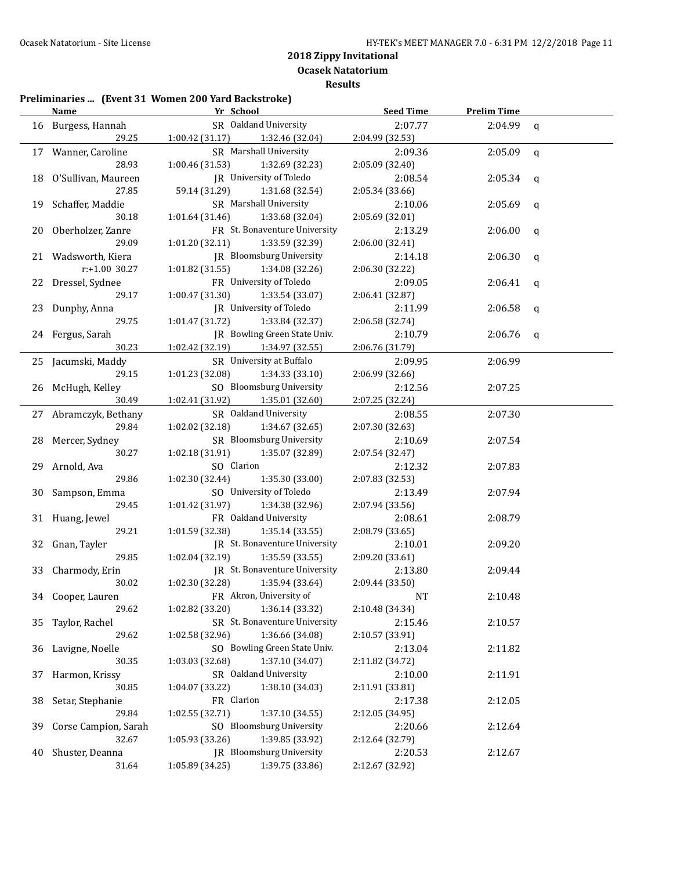**Results**

#### **Preliminaries ... (Event 31 Women 200 Yard Backstroke)**

|    | <b>Name</b>           |                 | Yr School                       | <b>Seed Time</b> | <b>Prelim Time</b> |             |
|----|-----------------------|-----------------|---------------------------------|------------------|--------------------|-------------|
|    | 16 Burgess, Hannah    |                 | SR Oakland University           | 2:07.77          | 2:04.99            | $\mathbf q$ |
|    | 29.25                 | 1:00.42 (31.17) | 1:32.46 (32.04)                 | 2:04.99 (32.53)  |                    |             |
|    | 17 Wanner, Caroline   |                 | SR Marshall University          | 2:09.36          | 2:05.09            | $\mathbf q$ |
|    | 28.93                 | 1:00.46 (31.53) | 1:32.69 (32.23)                 | 2:05.09 (32.40)  |                    |             |
| 18 | O'Sullivan, Maureen   |                 | JR University of Toledo         | 2:08.54          | 2:05.34            | q           |
|    | 27.85                 | 59.14 (31.29)   | 1:31.68 (32.54)                 | 2:05.34 (33.66)  |                    |             |
| 19 | Schaffer, Maddie      |                 | SR Marshall University          | 2:10.06          | 2:05.69            | q           |
|    | 30.18                 | 1:01.64(31.46)  | 1:33.68 (32.04)                 | 2:05.69 (32.01)  |                    |             |
| 20 | Oberholzer, Zanre     |                 | FR St. Bonaventure University   | 2:13.29          | 2:06.00            | q           |
|    | 29.09                 | 1:01.20 (32.11) | 1:33.59 (32.39)                 | 2:06.00 (32.41)  |                    |             |
|    | 21 Wadsworth, Kiera   |                 | <b>IR</b> Bloomsburg University | 2:14.18          | 2:06.30            | q           |
|    | r:+1.00 30.27         | 1:01.82 (31.55) | 1:34.08 (32.26)                 | 2:06.30 (32.22)  |                    |             |
|    | 22 Dressel, Sydnee    |                 | FR University of Toledo         | 2:09.05          | 2:06.41            | q           |
|    | 29.17                 | 1:00.47 (31.30) | 1:33.54 (33.07)                 | 2:06.41 (32.87)  |                    |             |
|    | 23 Dunphy, Anna       |                 | JR University of Toledo         | 2:11.99          | 2:06.58            | q           |
|    | 29.75                 | 1:01.47 (31.72) | 1:33.84 (32.37)                 | 2:06.58 (32.74)  |                    |             |
|    | 24 Fergus, Sarah      |                 | IR Bowling Green State Univ.    | 2:10.79          | 2:06.76            | q           |
|    | 30.23                 | 1:02.42 (32.19) | 1:34.97 (32.55)                 | 2:06.76 (31.79)  |                    |             |
|    | 25 Jacumski, Maddy    |                 | SR University at Buffalo        | 2:09.95          | 2:06.99            |             |
|    | 29.15                 | 1:01.23 (32.08) | 1:34.33(33.10)                  | 2:06.99 (32.66)  |                    |             |
|    | 26 McHugh, Kelley     |                 | SO Bloomsburg University        | 2:12.56          | 2:07.25            |             |
|    | 30.49                 | 1:02.41 (31.92) | 1:35.01 (32.60)                 | 2:07.25 (32.24)  |                    |             |
|    | 27 Abramczyk, Bethany |                 | SR Oakland University           | 2:08.55          | 2:07.30            |             |
|    | 29.84                 | 1:02.02 (32.18) | 1:34.67 (32.65)                 | 2:07.30 (32.63)  |                    |             |
| 28 | Mercer, Sydney        |                 | SR Bloomsburg University        | 2:10.69          | 2:07.54            |             |
|    | 30.27                 | 1:02.18 (31.91) | 1:35.07 (32.89)                 | 2:07.54 (32.47)  |                    |             |
| 29 | Arnold, Ava           | SO Clarion      |                                 | 2:12.32          | 2:07.83            |             |
|    | 29.86                 | 1:02.30 (32.44) | 1:35.30 (33.00)                 | 2:07.83 (32.53)  |                    |             |
| 30 | Sampson, Emma         |                 | SO University of Toledo         | 2:13.49          | 2:07.94            |             |
|    | 29.45                 | 1:01.42 (31.97) | 1:34.38 (32.96)                 | 2:07.94 (33.56)  |                    |             |
|    | 31 Huang, Jewel       |                 | FR Oakland University           | 2:08.61          | 2:08.79            |             |
|    | 29.21                 | 1:01.59 (32.38) | 1:35.14(33.55)                  | 2:08.79 (33.65)  |                    |             |
|    | 32 Gnan, Tayler       |                 | JR St. Bonaventure University   | 2:10.01          | 2:09.20            |             |
|    | 29.85                 | 1:02.04 (32.19) | 1:35.59(33.55)                  | 2:09.20 (33.61)  |                    |             |
| 33 | Charmody, Erin        |                 | JR St. Bonaventure University   | 2:13.80          | 2:09.44            |             |
|    | 30.02                 | 1:02.30(32.28)  | 1:35.94 (33.64)                 | 2:09.44 (33.50)  |                    |             |
|    | 34 Cooper, Lauren     |                 | FR Akron, University of         | NT               | 2:10.48            |             |
|    | 29.62                 | 1:02.82 (33.20) | 1:36.14 (33.32)                 | 2:10.48 (34.34)  |                    |             |
| 35 | Taylor, Rachel        |                 | SR St. Bonaventure University   | 2:15.46          | 2:10.57            |             |
|    | 29.62                 | 1:02.58 (32.96) | 1:36.66 (34.08)                 | 2:10.57 (33.91)  |                    |             |
| 36 | Lavigne, Noelle       |                 | SO Bowling Green State Univ.    | 2:13.04          | 2:11.82            |             |
|    | 30.35                 | 1:03.03 (32.68) | 1:37.10 (34.07)                 | 2:11.82 (34.72)  |                    |             |
| 37 | Harmon, Krissy        |                 | SR Oakland University           | 2:10.00          | 2:11.91            |             |
|    | 30.85                 | 1:04.07 (33.22) | 1:38.10 (34.03)                 | 2:11.91 (33.81)  |                    |             |
| 38 | Setar, Stephanie      | FR Clarion      |                                 | 2:17.38          | 2:12.05            |             |
|    | 29.84                 | 1:02.55 (32.71) | 1:37.10 (34.55)                 | 2:12.05 (34.95)  |                    |             |
| 39 | Corse Campion, Sarah  |                 | SO Bloomsburg University        | 2:20.66          | 2:12.64            |             |
|    | 32.67                 | 1:05.93 (33.26) | 1:39.85 (33.92)                 | 2:12.64 (32.79)  |                    |             |
| 40 | Shuster, Deanna       |                 | JR Bloomsburg University        | 2:20.53          | 2:12.67            |             |
|    | 31.64                 | 1:05.89 (34.25) | 1:39.75 (33.86)                 | 2:12.67 (32.92)  |                    |             |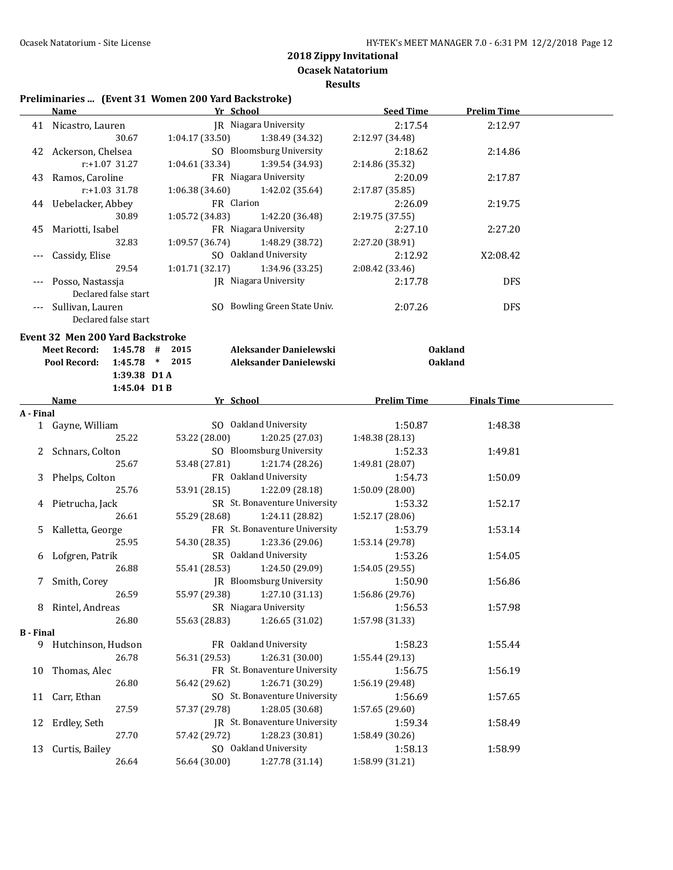**Ocasek Natatorium Results**

#### **Preliminaries ... (Event 31 Women 200 Yard Backstroke)**

|                  | <b>Name</b>                                                                        | Yr School Manual Art School        | <b>Seed Time</b>   | <b>Prelim Time</b> |  |
|------------------|------------------------------------------------------------------------------------|------------------------------------|--------------------|--------------------|--|
|                  | 41 Nicastro, Lauren                                                                | JR Niagara University              | 2:17.54            | 2:12.97            |  |
|                  | 30.67                                                                              | 1:04.17(33.50)<br>1:38.49 (34.32)  | 2:12.97 (34.48)    |                    |  |
|                  | 42 Ackerson, Chelsea                                                               | SO Bloomsburg University           | 2:18.62            | 2:14.86            |  |
|                  | r:+1.07 31.27                                                                      | 1:04.61(33.34)<br>1:39.54 (34.93)  | 2:14.86 (35.32)    |                    |  |
|                  | 43 Ramos, Caroline                                                                 | FR Niagara University              | 2:20.09            | 2:17.87            |  |
|                  | r:+1.03 31.78                                                                      | 1:06.38(34.60)<br>1:42.02 (35.64)  | 2:17.87 (35.85)    |                    |  |
|                  | 44 Uebelacker, Abbey                                                               | FR Clarion                         | 2:26.09            | 2:19.75            |  |
|                  | 30.89                                                                              | 1:05.72 (34.83)<br>1:42.20 (36.48) | 2:19.75 (37.55)    |                    |  |
| 45               | Mariotti, Isabel                                                                   | FR Niagara University              | 2:27.10            | 2:27.20            |  |
|                  | 32.83                                                                              | 1:09.57 (36.74)<br>1:48.29 (38.72) | 2:27.20 (38.91)    |                    |  |
|                  | Cassidy, Elise                                                                     | SO Oakland University              | 2:12.92            | X2:08.42           |  |
|                  | 29.54                                                                              | 1:01.71(32.17)<br>1:34.96 (33.25)  | 2:08.42 (33.46)    |                    |  |
|                  | Posso, Nastassja                                                                   | JR Niagara University              | 2:17.78            | <b>DFS</b>         |  |
|                  | Declared false start                                                               |                                    |                    |                    |  |
|                  | Sullivan, Lauren                                                                   | SO Bowling Green State Univ.       | 2:07.26            | <b>DFS</b>         |  |
|                  | Declared false start                                                               |                                    |                    |                    |  |
|                  |                                                                                    |                                    |                    |                    |  |
|                  | <b>Event 32 Men 200 Yard Backstroke</b><br><b>Meet Record:</b><br>$1:45.78$ # 2015 | Aleksander Danielewski             | <b>Oakland</b>     |                    |  |
|                  | 1:45.78 * 2015<br>Pool Record:                                                     | Aleksander Danielewski             | <b>Oakland</b>     |                    |  |
|                  | 1:39.38 D1 A                                                                       |                                    |                    |                    |  |
|                  | 1:45.04 D1B                                                                        |                                    |                    |                    |  |
|                  | <u>Name</u>                                                                        | Yr School                          | <b>Prelim Time</b> | <b>Finals Time</b> |  |
| A - Final        |                                                                                    |                                    |                    |                    |  |
|                  | 1 Gayne, William                                                                   | SO Oakland University              | 1:50.87            | 1:48.38            |  |
|                  | 25.22                                                                              | 53.22 (28.00)<br>1:20.25 (27.03)   | 1:48.38 (28.13)    |                    |  |
|                  | 2 Schnars, Colton                                                                  | SO Bloomsburg University           | 1:52.33            | 1:49.81            |  |
|                  | 25.67                                                                              | 53.48 (27.81)<br>1:21.74 (28.26)   | 1:49.81 (28.07)    |                    |  |
| 3                | Phelps, Colton                                                                     | FR Oakland University              | 1:54.73            | 1:50.09            |  |
|                  | 25.76                                                                              | 53.91 (28.15)<br>1:22.09 (28.18)   | 1:50.09 (28.00)    |                    |  |
| 4                | Pietrucha, Jack                                                                    | SR St. Bonaventure University      | 1:53.32            | 1:52.17            |  |
|                  | 26.61                                                                              | 55.29 (28.68)<br>1:24.11 (28.82)   | 1:52.17 (28.06)    |                    |  |
| 5.               | Kalletta, George                                                                   | FR St. Bonaventure University      | 1:53.79            | 1:53.14            |  |
|                  | 25.95                                                                              | 54.30 (28.35)<br>1:23.36 (29.06)   | 1:53.14 (29.78)    |                    |  |
|                  | 6 Lofgren, Patrik                                                                  | SR Oakland University              | 1:53.26            | 1:54.05            |  |
|                  | 26.88                                                                              | 55.41 (28.53)<br>1:24.50 (29.09)   | 1:54.05 (29.55)    |                    |  |
|                  | 7 Smith, Corey                                                                     | JR Bloomsburg University           | 1:50.90            | 1:56.86            |  |
|                  | 26.59                                                                              | 55.97 (29.38) 1:27.10 (31.13)      | 1:56.86 (29.76)    |                    |  |
|                  | 8 Rintel, Andreas                                                                  | SR Niagara University              | 1:56.53            | 1:57.98            |  |
|                  | 26.80                                                                              | 55.63 (28.83)<br>1:26.65 (31.02)   | 1:57.98 (31.33)    |                    |  |
| <b>B</b> - Final |                                                                                    |                                    |                    |                    |  |
|                  | 9 Hutchinson, Hudson                                                               | FR Oakland University              | 1:58.23            | 1:55.44            |  |
|                  | 26.78                                                                              | 1:26.31 (30.00)<br>56.31 (29.53)   | 1:55.44 (29.13)    |                    |  |
| 10               | Thomas, Alec                                                                       | FR St. Bonaventure University      | 1:56.75            | 1:56.19            |  |
|                  | 26.80                                                                              | 56.42 (29.62)<br>1:26.71 (30.29)   | 1:56.19 (29.48)    |                    |  |
| 11               | Carr, Ethan                                                                        | SO St. Bonaventure University      | 1:56.69            | 1:57.65            |  |
|                  | 27.59                                                                              | 57.37 (29.78)<br>1:28.05 (30.68)   | 1:57.65 (29.60)    |                    |  |
| 12               | Erdley, Seth                                                                       | JR St. Bonaventure University      | 1:59.34            | 1:58.49            |  |
|                  | 27.70                                                                              | 57.42 (29.72)<br>1:28.23 (30.81)   | 1:58.49 (30.26)    |                    |  |
| 13               | Curtis, Bailey                                                                     | SO Oakland University              | 1:58.13            | 1:58.99            |  |
|                  | 26.64                                                                              | 56.64 (30.00)<br>1:27.78 (31.14)   | 1:58.99 (31.21)    |                    |  |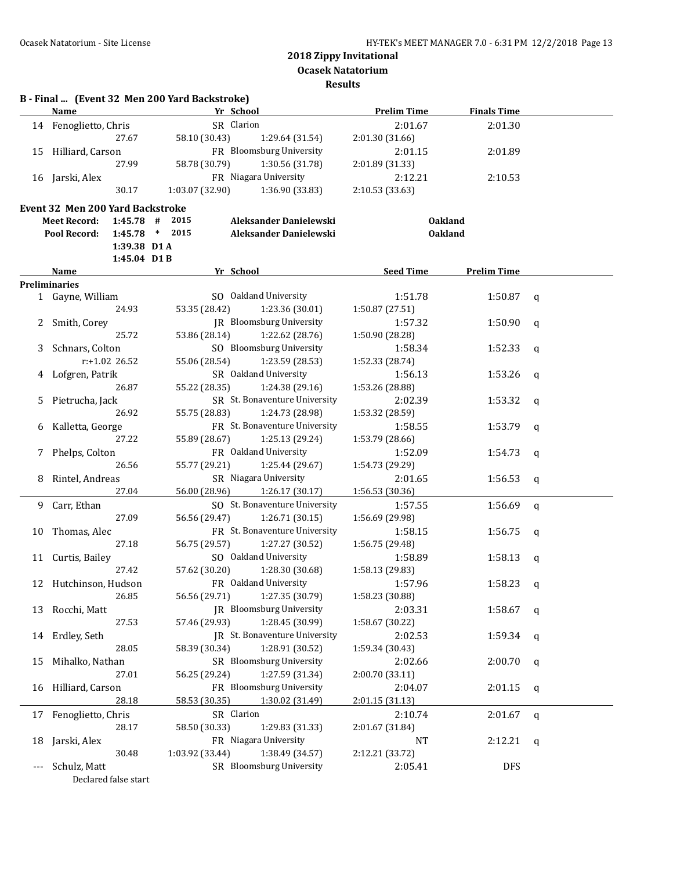**Ocasek Natatorium**

**Results**

| 14 |                                         | Yr School                                                      | <b>Prelim Time</b>         | <b>Finals Time</b> |             |
|----|-----------------------------------------|----------------------------------------------------------------|----------------------------|--------------------|-------------|
|    | Fenoglietto, Chris                      | SR Clarion                                                     | 2:01.67                    | 2:01.30            |             |
|    | 27.67                                   | 58.10 (30.43)<br>1:29.64 (31.54)                               | 2:01.30 (31.66)            |                    |             |
| 15 | Hilliard, Carson                        | FR Bloomsburg University                                       | 2:01.15                    | 2:01.89            |             |
|    | 27.99                                   | 58.78 (30.79)<br>1:30.56 (31.78)                               | 2:01.89 (31.33)            |                    |             |
|    | 16 Jarski, Alex                         | FR Niagara University                                          | 2:12.21                    | 2:10.53            |             |
|    | 30.17                                   | 1:03.07 (32.90)<br>1:36.90 (33.83)                             | 2:10.53 (33.63)            |                    |             |
|    | <b>Event 32 Men 200 Yard Backstroke</b> |                                                                |                            |                    |             |
|    | <b>Meet Record:</b><br>$1:45.78$ #      | 2015<br>Aleksander Danielewski                                 | <b>Oakland</b>             |                    |             |
|    | Pool Record:<br>1:45.78                 | 2015<br>Aleksander Danielewski<br>$\ast$                       | <b>Oakland</b>             |                    |             |
|    | 1:39.38 D1A                             |                                                                |                            |                    |             |
|    | 1:45.04 D1B                             |                                                                |                            |                    |             |
|    | Name                                    | Yr School                                                      | <b>Seed Time</b>           | <b>Prelim Time</b> |             |
|    | <b>Preliminaries</b>                    |                                                                |                            |                    |             |
|    | 1 Gayne, William                        | SO Oakland University                                          | 1:51.78                    | 1:50.87            | q           |
|    | 24.93                                   | 53.35 (28.42)<br>1:23.36 (30.01)                               | 1:50.87 (27.51)            |                    |             |
|    | Smith, Corey                            | JR Bloomsburg University                                       | 1:57.32                    | 1:50.90            | q           |
|    | 25.72                                   | 53.86 (28.14)<br>1:22.62 (28.76)                               | 1:50.90 (28.28)            |                    |             |
| 3  | Schnars, Colton                         | SO Bloomsburg University                                       | 1:58.34                    | 1:52.33            | a           |
|    | $r: +1.02$ 26.52                        | 55.06 (28.54)<br>1:23.59 (28.53)                               | 1:52.33 (28.74)            |                    |             |
|    | Lofgren, Patrik                         | SR Oakland University                                          | 1:56.13                    | 1:53.26            | a           |
|    | 26.87                                   | 1:24.38(29.16)<br>55.22 (28.35)                                | 1:53.26 (28.88)            |                    |             |
| 5  | Pietrucha, Jack                         | SR St. Bonaventure University                                  | 2:02.39                    | 1:53.32            | a           |
|    | 26.92                                   | 55.75 (28.83)<br>1:24.73 (28.98)                               | 1:53.32 (28.59)            |                    |             |
| 6  | Kalletta, George                        | FR St. Bonaventure University                                  | 1:58.55                    | 1:53.79            | a           |
|    | 27.22                                   | 1:25.13 (29.24)<br>55.89 (28.67)                               | 1:53.79 (28.66)            |                    |             |
| 7  | Phelps, Colton                          | FR Oakland University                                          | 1:52.09                    | 1:54.73            | q           |
|    | 26.56                                   | 55.77 (29.21)<br>1:25.44 (29.67)                               | 1:54.73 (29.29)            |                    |             |
| 8  | Rintel, Andreas                         | SR Niagara University                                          | 2:01.65                    | 1:56.53            | a           |
|    | 27.04                                   | 56.00 (28.96)<br>1:26.17 (30.17)                               | 1:56.53 (30.36)            |                    |             |
|    | Carr, Ethan                             | SO St. Bonaventure University                                  | 1:57.55                    |                    |             |
| 9. | 27.09                                   | 56.56 (29.47)<br>1:26.71(30.15)                                | 1:56.69 (29.98)            | 1:56.69            | a           |
|    |                                         | FR St. Bonaventure University                                  | 1:58.15                    | 1:56.75            |             |
| 10 | Thomas, Alec<br>27.18                   | 56.75 (29.57)<br>1:27.27 (30.52)                               | 1:56.75 (29.48)            |                    | q           |
|    |                                         | SO Oakland University                                          | 1:58.89                    | 1:58.13            |             |
|    | 11 Curtis, Bailey<br>27.42              | 57.62 (30.20)<br>1:28.30 (30.68)                               |                            |                    | a           |
|    |                                         | FR Oakland University                                          | 1:58.13 (29.83)            |                    |             |
|    | 12 Hutchinson, Hudson<br>26.85          | 1:27.35 (30.79)<br>56.56 (29.71)                               | 1:57.96<br>1:58.23 (30.88) | 1:58.23 $q$        |             |
|    |                                         | JR Bloomsburg University                                       |                            |                    |             |
| 13 | Rocchi, Matt<br>27.53                   | 1:28.45 (30.99)                                                | 2:03.31                    | 1:58.67            | q           |
|    |                                         | 57.46 (29.93)<br>JR St. Bonaventure University                 | 1:58.67 (30.22)            |                    |             |
| 14 | Erdley, Seth                            |                                                                | 2:02.53                    | 1:59.34            | q           |
|    | 28.05                                   | 1:28.91 (30.52)<br>58.39 (30.34)<br>SR Bloomsburg University   | 1:59.34 (30.43)            |                    |             |
| 15 | Mihalko, Nathan                         |                                                                | 2:02.66                    | 2:00.70            | q           |
|    | 27.01                                   | 1:27.59 (31.34)<br>56.25 (29.24)<br>FR Bloomsburg University   | 2:00.70 (33.11)            |                    |             |
| 16 | Hilliard, Carson                        |                                                                | 2:04.07                    | 2:01.15            | q           |
|    | 28.18                                   | 58.53 (30.35)<br>1:30.02 (31.49)                               | 2:01.15 (31.13)            |                    |             |
|    | 17 Fenoglietto, Chris                   | SR Clarion                                                     | 2:10.74                    | 2:01.67            | $\mathbf q$ |
|    | 28.17                                   | 1:29.83 (31.33)<br>58.50 (30.33)                               | 2:01.67 (31.84)            |                    |             |
|    |                                         | FR Niagara University                                          | NT                         | 2:12.21            | q           |
| 18 | Jarski, Alex                            |                                                                |                            |                    |             |
|    | 30.48<br>Schulz, Matt                   | 1:38.49 (34.57)<br>1:03.92 (33.44)<br>SR Bloomsburg University | 2:12.21 (33.72)<br>2:05.41 | <b>DFS</b>         |             |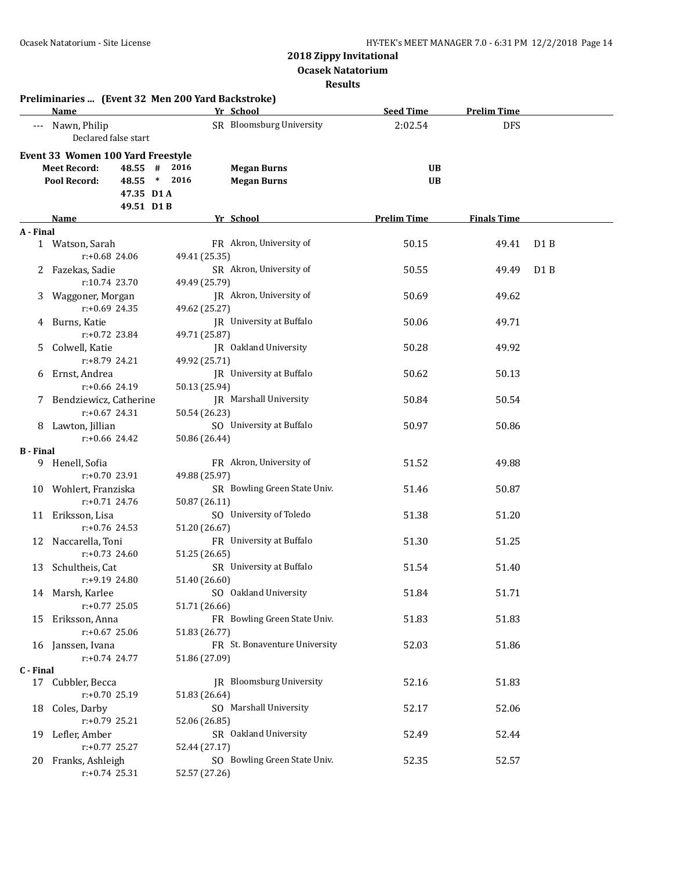**Ocasek Natatorium**

**Results**

|                  | Preliminaries  (Event 32 Men 200 Yard Backstroke) |               |                               |                    |                    |                  |
|------------------|---------------------------------------------------|---------------|-------------------------------|--------------------|--------------------|------------------|
|                  | <b>Name</b>                                       |               | Yr School                     | <b>Seed Time</b>   | <b>Prelim Time</b> |                  |
|                  | --- Nawn, Philip<br>Declared false start          |               | SR Bloomsburg University      | 2:02.54            | <b>DFS</b>         |                  |
|                  | Event 33 Women 100 Yard Freestyle                 |               |                               |                    |                    |                  |
|                  | <b>Meet Record:</b><br>48.55 #                    | 2016          | <b>Megan Burns</b>            | <b>UB</b>          |                    |                  |
|                  | Pool Record:<br>$48.55$ *                         | 2016          | <b>Megan Burns</b>            | <b>UB</b>          |                    |                  |
|                  | 47.35 D1A                                         |               |                               |                    |                    |                  |
|                  | 49.51 D1B                                         |               |                               |                    |                    |                  |
|                  | Name                                              |               | Yr School                     | <b>Prelim Time</b> | <b>Finals Time</b> |                  |
| A - Final        |                                                   |               |                               |                    |                    |                  |
|                  | 1 Watson, Sarah                                   |               | FR Akron, University of       | 50.15              | 49.41              | D <sub>1</sub> B |
|                  | $r: +0.68$ 24.06                                  | 49.41 (25.35) |                               |                    |                    |                  |
| $\mathbf{Z}$     | Fazekas, Sadie                                    |               | SR Akron, University of       | 50.55              | 49.49              | D <sub>1</sub> B |
|                  | r:10.74 23.70                                     | 49.49 (25.79) |                               |                    |                    |                  |
| 3                | Waggoner, Morgan                                  |               | JR Akron, University of       | 50.69              | 49.62              |                  |
|                  | $r: +0.69$ 24.35                                  | 49.62 (25.27) |                               |                    |                    |                  |
|                  | 4 Burns, Katie                                    |               | JR University at Buffalo      | 50.06              | 49.71              |                  |
|                  | r:+0.72 23.84                                     | 49.71 (25.87) |                               |                    |                    |                  |
| 5.               | Colwell, Katie                                    |               | JR Oakland University         | 50.28              | 49.92              |                  |
|                  | r:+8.79 24.21                                     | 49.92 (25.71) |                               |                    |                    |                  |
| 6                | Ernst, Andrea                                     |               | JR University at Buffalo      | 50.62              | 50.13              |                  |
|                  | $r: +0.66$ 24.19                                  | 50.13 (25.94) |                               |                    |                    |                  |
|                  | Bendziewicz, Catherine                            |               | JR Marshall University        | 50.84              | 50.54              |                  |
|                  | $r: +0.67$ 24.31                                  | 50.54 (26.23) |                               |                    |                    |                  |
|                  | 8 Lawton, Jillian                                 |               | SO University at Buffalo      | 50.97              | 50.86              |                  |
|                  | $r: +0.66$ 24.42                                  | 50.86 (26.44) |                               |                    |                    |                  |
| <b>B</b> - Final |                                                   |               |                               |                    |                    |                  |
|                  | 9 Henell, Sofia                                   |               | FR Akron, University of       | 51.52              | 49.88              |                  |
|                  | r:+0.70 23.91                                     | 49.88 (25.97) |                               |                    |                    |                  |
|                  | 10 Wohlert, Franziska                             |               | SR Bowling Green State Univ.  | 51.46              | 50.87              |                  |
|                  | r:+0.71 24.76                                     | 50.87 (26.11) |                               |                    |                    |                  |
|                  | 11 Eriksson, Lisa                                 |               | SO University of Toledo       | 51.38              | 51.20              |                  |
|                  | r:+0.76 24.53                                     | 51.20 (26.67) |                               |                    |                    |                  |
|                  | 12 Naccarella, Toni                               |               | FR University at Buffalo      | 51.30              | 51.25              |                  |
|                  | r:+0.73 24.60                                     | 51.25 (26.65) |                               |                    |                    |                  |
|                  | 13 Schultheis, Cat                                |               | SR University at Buffalo      | 51.54              | 51.40              |                  |
|                  | r:+9.19 24.80                                     | 51.40 (26.60) |                               |                    |                    |                  |
|                  | 14 Marsh, Karlee                                  |               | SO Oakland University         | 51.84              | 51.71              |                  |
|                  | r:+0.77 25.05                                     | 51.71 (26.66) | FR Bowling Green State Univ.  |                    |                    |                  |
|                  | 15 Eriksson, Anna                                 |               |                               | 51.83              | 51.83              |                  |
|                  | $r: +0.67$ 25.06                                  | 51.83 (26.77) | FR St. Bonaventure University |                    |                    |                  |
|                  | 16 Janssen, Ivana                                 |               |                               | 52.03              | 51.86              |                  |
|                  | $r: +0.74$ 24.77                                  | 51.86 (27.09) |                               |                    |                    |                  |
| C - Final        | 17 Cubbler, Becca                                 |               | JR Bloomsburg University      | 52.16              | 51.83              |                  |
|                  | r:+0.70 25.19                                     | 51.83 (26.64) |                               |                    |                    |                  |
| 18               | Coles, Darby                                      |               | SO Marshall University        | 52.17              | 52.06              |                  |
|                  | $r: +0.79$ 25.21                                  | 52.06 (26.85) |                               |                    |                    |                  |
|                  | 19 Lefler, Amber                                  |               | SR Oakland University         | 52.49              | 52.44              |                  |
|                  | $r: +0.77$ 25.27                                  | 52.44 (27.17) |                               |                    |                    |                  |
|                  | 20 Franks, Ashleigh                               |               | SO Bowling Green State Univ.  | 52.35              | 52.57              |                  |
|                  | r:+0.74 25.31                                     | 52.57 (27.26) |                               |                    |                    |                  |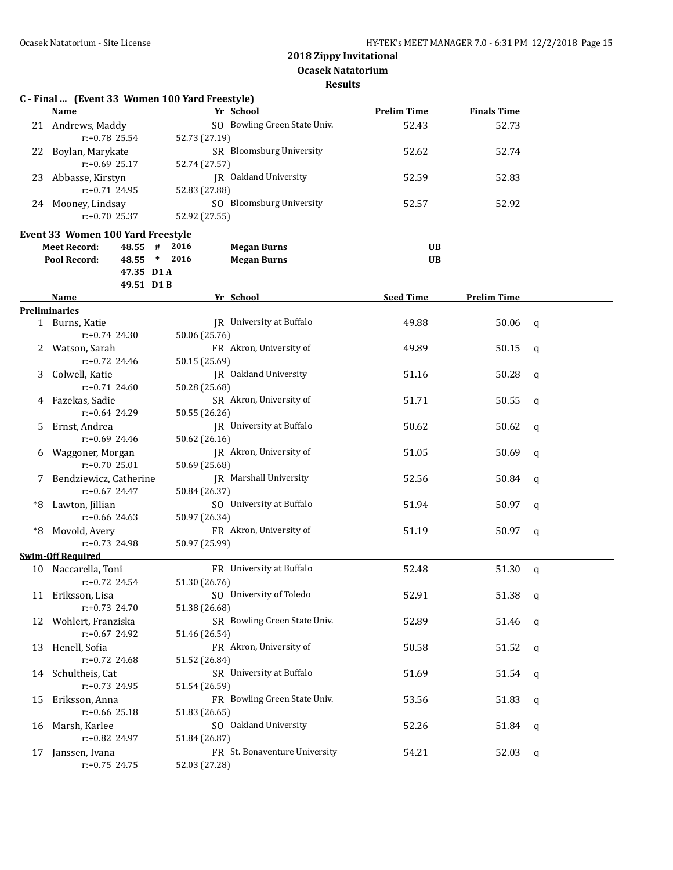**Ocasek Natatorium**

**Results**

| <b>Name</b><br>Yr School<br><b>Prelim Time</b><br><b>Finals Time</b><br>SO Bowling Green State Univ.<br>52.43<br>52.73<br>21 Andrews, Maddy<br>r:+0.78 25.54<br>52.73 (27.19)<br>SR Bloomsburg University<br>52.62<br>52.74<br>Boylan, Marykate<br>22<br>$r: +0.69$ 25.17<br>52.74 (27.57)<br>JR Oakland University<br>52.59<br>52.83<br>23<br>Abbasse, Kirstyn<br>$r: +0.71$ 24.95<br>52.83 (27.88)<br>SO Bloomsburg University<br>52.57<br>52.92<br>24 Mooney, Lindsay<br>$r: +0.70$ 25.37<br>52.92 (27.55)<br>Event 33 Women 100 Yard Freestyle<br>48.55 #<br>2016<br><b>Meet Record:</b><br><b>Megan Burns</b><br>UB<br>$*$<br>2016<br>Pool Record:<br>48.55<br><b>Megan Burns</b><br><b>UB</b><br>47.35 D1 A<br>49.51 D1B<br><b>Seed Time</b><br><b>Prelim Time</b><br>Yr School<br>Name<br><b>Preliminaries</b><br>JR University at Buffalo<br>49.88<br>50.06<br>1 Burns, Katie<br>q<br>r:+0.74 24.30<br>50.06 (25.76)<br>FR Akron, University of<br>Watson, Sarah<br>49.89<br>50.15<br>a<br>$r: +0.72$ 24.46<br>50.15 (25.69)<br>JR Oakland University<br>Colwell, Katie<br>51.16<br>50.28<br>3<br>a<br>$r: +0.71$ 24.60<br>50.28 (25.68)<br>SR Akron, University of<br>Fazekas, Sadie<br>51.71<br>50.55<br>a<br>4<br>$r: +0.64$ 24.29<br>50.55 (26.26)<br>JR University at Buffalo<br>Ernst, Andrea<br>50.62<br>50.62<br>5<br>a<br>r:+0.69 24.46<br>50.62 (26.16)<br>JR Akron, University of<br>Waggoner, Morgan<br>51.05<br>50.69<br>q<br>6<br>$r: +0.7025.01$<br>50.69 (25.68)<br>JR Marshall University<br>7 Bendziewicz, Catherine<br>52.56<br>50.84<br>a<br>r:+0.67 24.47<br>50.84 (26.37)<br>SO University at Buffalo<br>Lawton, Jillian<br>51.94<br>50.97<br>*8<br>q<br>$r: +0.66$ 24.63<br>50.97 (26.34)<br>FR Akron, University of<br>Movold, Avery<br>51.19<br>50.97<br>*8<br>q<br>r:+0.73 24.98<br>50.97 (25.99)<br><b>Swim-Off Required</b><br>FR University at Buffalo<br>52.48<br>51.30<br>10 Naccarella, Toni<br>$\mathbf q$<br>51.30 (26.76)<br>r:+0.72 24.54<br>SO University of Toledo<br>52.91<br>51.38<br>11 Eriksson, Lisa<br>q<br>$r: +0.73$ 24.70<br>51.38 (26.68)<br>SR Bowling Green State Univ.<br>Wohlert, Franziska<br>52.89<br>51.46<br>12<br>q<br>$r: +0.67$ 24.92<br>51.46 (26.54)<br>FR Akron, University of<br>Henell, Sofia<br>50.58<br>51.52<br>13<br>q<br>$r: +0.72$ 24.68<br>51.52 (26.84)<br>SR University at Buffalo<br>14 Schultheis, Cat<br>51.69<br>51.54<br>q<br>$r: +0.73$ 24.95<br>51.54 (26.59)<br>FR Bowling Green State Univ.<br>53.56<br>Eriksson, Anna<br>51.83<br>15<br>q<br>$r: +0.66$ 25.18<br>51.83 (26.65)<br>SO Oakland University<br>Marsh, Karlee<br>52.26<br>51.84<br>16<br>q<br>r:+0.82 24.97<br>51.84 (26.87)<br>FR St. Bonaventure University<br>54.21<br>17 Janssen, Ivana<br>52.03<br>q | C - Final  (Event 33 Women 100 Yard Freestyle) |               |  |  |
|-----------------------------------------------------------------------------------------------------------------------------------------------------------------------------------------------------------------------------------------------------------------------------------------------------------------------------------------------------------------------------------------------------------------------------------------------------------------------------------------------------------------------------------------------------------------------------------------------------------------------------------------------------------------------------------------------------------------------------------------------------------------------------------------------------------------------------------------------------------------------------------------------------------------------------------------------------------------------------------------------------------------------------------------------------------------------------------------------------------------------------------------------------------------------------------------------------------------------------------------------------------------------------------------------------------------------------------------------------------------------------------------------------------------------------------------------------------------------------------------------------------------------------------------------------------------------------------------------------------------------------------------------------------------------------------------------------------------------------------------------------------------------------------------------------------------------------------------------------------------------------------------------------------------------------------------------------------------------------------------------------------------------------------------------------------------------------------------------------------------------------------------------------------------------------------------------------------------------------------------------------------------------------------------------------------------------------------------------------------------------------------------------------------------------------------------------------------------------------------------------------------------------------------------------------------------------------------------------------------------------------------------------------------------------------------------------------------------------------------------------------------------|------------------------------------------------|---------------|--|--|
|                                                                                                                                                                                                                                                                                                                                                                                                                                                                                                                                                                                                                                                                                                                                                                                                                                                                                                                                                                                                                                                                                                                                                                                                                                                                                                                                                                                                                                                                                                                                                                                                                                                                                                                                                                                                                                                                                                                                                                                                                                                                                                                                                                                                                                                                                                                                                                                                                                                                                                                                                                                                                                                                                                                                                                 |                                                |               |  |  |
|                                                                                                                                                                                                                                                                                                                                                                                                                                                                                                                                                                                                                                                                                                                                                                                                                                                                                                                                                                                                                                                                                                                                                                                                                                                                                                                                                                                                                                                                                                                                                                                                                                                                                                                                                                                                                                                                                                                                                                                                                                                                                                                                                                                                                                                                                                                                                                                                                                                                                                                                                                                                                                                                                                                                                                 |                                                |               |  |  |
|                                                                                                                                                                                                                                                                                                                                                                                                                                                                                                                                                                                                                                                                                                                                                                                                                                                                                                                                                                                                                                                                                                                                                                                                                                                                                                                                                                                                                                                                                                                                                                                                                                                                                                                                                                                                                                                                                                                                                                                                                                                                                                                                                                                                                                                                                                                                                                                                                                                                                                                                                                                                                                                                                                                                                                 |                                                |               |  |  |
|                                                                                                                                                                                                                                                                                                                                                                                                                                                                                                                                                                                                                                                                                                                                                                                                                                                                                                                                                                                                                                                                                                                                                                                                                                                                                                                                                                                                                                                                                                                                                                                                                                                                                                                                                                                                                                                                                                                                                                                                                                                                                                                                                                                                                                                                                                                                                                                                                                                                                                                                                                                                                                                                                                                                                                 |                                                |               |  |  |
|                                                                                                                                                                                                                                                                                                                                                                                                                                                                                                                                                                                                                                                                                                                                                                                                                                                                                                                                                                                                                                                                                                                                                                                                                                                                                                                                                                                                                                                                                                                                                                                                                                                                                                                                                                                                                                                                                                                                                                                                                                                                                                                                                                                                                                                                                                                                                                                                                                                                                                                                                                                                                                                                                                                                                                 |                                                |               |  |  |
|                                                                                                                                                                                                                                                                                                                                                                                                                                                                                                                                                                                                                                                                                                                                                                                                                                                                                                                                                                                                                                                                                                                                                                                                                                                                                                                                                                                                                                                                                                                                                                                                                                                                                                                                                                                                                                                                                                                                                                                                                                                                                                                                                                                                                                                                                                                                                                                                                                                                                                                                                                                                                                                                                                                                                                 |                                                |               |  |  |
|                                                                                                                                                                                                                                                                                                                                                                                                                                                                                                                                                                                                                                                                                                                                                                                                                                                                                                                                                                                                                                                                                                                                                                                                                                                                                                                                                                                                                                                                                                                                                                                                                                                                                                                                                                                                                                                                                                                                                                                                                                                                                                                                                                                                                                                                                                                                                                                                                                                                                                                                                                                                                                                                                                                                                                 |                                                |               |  |  |
|                                                                                                                                                                                                                                                                                                                                                                                                                                                                                                                                                                                                                                                                                                                                                                                                                                                                                                                                                                                                                                                                                                                                                                                                                                                                                                                                                                                                                                                                                                                                                                                                                                                                                                                                                                                                                                                                                                                                                                                                                                                                                                                                                                                                                                                                                                                                                                                                                                                                                                                                                                                                                                                                                                                                                                 |                                                |               |  |  |
|                                                                                                                                                                                                                                                                                                                                                                                                                                                                                                                                                                                                                                                                                                                                                                                                                                                                                                                                                                                                                                                                                                                                                                                                                                                                                                                                                                                                                                                                                                                                                                                                                                                                                                                                                                                                                                                                                                                                                                                                                                                                                                                                                                                                                                                                                                                                                                                                                                                                                                                                                                                                                                                                                                                                                                 |                                                |               |  |  |
|                                                                                                                                                                                                                                                                                                                                                                                                                                                                                                                                                                                                                                                                                                                                                                                                                                                                                                                                                                                                                                                                                                                                                                                                                                                                                                                                                                                                                                                                                                                                                                                                                                                                                                                                                                                                                                                                                                                                                                                                                                                                                                                                                                                                                                                                                                                                                                                                                                                                                                                                                                                                                                                                                                                                                                 |                                                |               |  |  |
|                                                                                                                                                                                                                                                                                                                                                                                                                                                                                                                                                                                                                                                                                                                                                                                                                                                                                                                                                                                                                                                                                                                                                                                                                                                                                                                                                                                                                                                                                                                                                                                                                                                                                                                                                                                                                                                                                                                                                                                                                                                                                                                                                                                                                                                                                                                                                                                                                                                                                                                                                                                                                                                                                                                                                                 |                                                |               |  |  |
|                                                                                                                                                                                                                                                                                                                                                                                                                                                                                                                                                                                                                                                                                                                                                                                                                                                                                                                                                                                                                                                                                                                                                                                                                                                                                                                                                                                                                                                                                                                                                                                                                                                                                                                                                                                                                                                                                                                                                                                                                                                                                                                                                                                                                                                                                                                                                                                                                                                                                                                                                                                                                                                                                                                                                                 |                                                |               |  |  |
|                                                                                                                                                                                                                                                                                                                                                                                                                                                                                                                                                                                                                                                                                                                                                                                                                                                                                                                                                                                                                                                                                                                                                                                                                                                                                                                                                                                                                                                                                                                                                                                                                                                                                                                                                                                                                                                                                                                                                                                                                                                                                                                                                                                                                                                                                                                                                                                                                                                                                                                                                                                                                                                                                                                                                                 |                                                |               |  |  |
|                                                                                                                                                                                                                                                                                                                                                                                                                                                                                                                                                                                                                                                                                                                                                                                                                                                                                                                                                                                                                                                                                                                                                                                                                                                                                                                                                                                                                                                                                                                                                                                                                                                                                                                                                                                                                                                                                                                                                                                                                                                                                                                                                                                                                                                                                                                                                                                                                                                                                                                                                                                                                                                                                                                                                                 |                                                |               |  |  |
|                                                                                                                                                                                                                                                                                                                                                                                                                                                                                                                                                                                                                                                                                                                                                                                                                                                                                                                                                                                                                                                                                                                                                                                                                                                                                                                                                                                                                                                                                                                                                                                                                                                                                                                                                                                                                                                                                                                                                                                                                                                                                                                                                                                                                                                                                                                                                                                                                                                                                                                                                                                                                                                                                                                                                                 |                                                |               |  |  |
|                                                                                                                                                                                                                                                                                                                                                                                                                                                                                                                                                                                                                                                                                                                                                                                                                                                                                                                                                                                                                                                                                                                                                                                                                                                                                                                                                                                                                                                                                                                                                                                                                                                                                                                                                                                                                                                                                                                                                                                                                                                                                                                                                                                                                                                                                                                                                                                                                                                                                                                                                                                                                                                                                                                                                                 |                                                |               |  |  |
|                                                                                                                                                                                                                                                                                                                                                                                                                                                                                                                                                                                                                                                                                                                                                                                                                                                                                                                                                                                                                                                                                                                                                                                                                                                                                                                                                                                                                                                                                                                                                                                                                                                                                                                                                                                                                                                                                                                                                                                                                                                                                                                                                                                                                                                                                                                                                                                                                                                                                                                                                                                                                                                                                                                                                                 |                                                |               |  |  |
|                                                                                                                                                                                                                                                                                                                                                                                                                                                                                                                                                                                                                                                                                                                                                                                                                                                                                                                                                                                                                                                                                                                                                                                                                                                                                                                                                                                                                                                                                                                                                                                                                                                                                                                                                                                                                                                                                                                                                                                                                                                                                                                                                                                                                                                                                                                                                                                                                                                                                                                                                                                                                                                                                                                                                                 |                                                |               |  |  |
|                                                                                                                                                                                                                                                                                                                                                                                                                                                                                                                                                                                                                                                                                                                                                                                                                                                                                                                                                                                                                                                                                                                                                                                                                                                                                                                                                                                                                                                                                                                                                                                                                                                                                                                                                                                                                                                                                                                                                                                                                                                                                                                                                                                                                                                                                                                                                                                                                                                                                                                                                                                                                                                                                                                                                                 |                                                |               |  |  |
|                                                                                                                                                                                                                                                                                                                                                                                                                                                                                                                                                                                                                                                                                                                                                                                                                                                                                                                                                                                                                                                                                                                                                                                                                                                                                                                                                                                                                                                                                                                                                                                                                                                                                                                                                                                                                                                                                                                                                                                                                                                                                                                                                                                                                                                                                                                                                                                                                                                                                                                                                                                                                                                                                                                                                                 |                                                |               |  |  |
|                                                                                                                                                                                                                                                                                                                                                                                                                                                                                                                                                                                                                                                                                                                                                                                                                                                                                                                                                                                                                                                                                                                                                                                                                                                                                                                                                                                                                                                                                                                                                                                                                                                                                                                                                                                                                                                                                                                                                                                                                                                                                                                                                                                                                                                                                                                                                                                                                                                                                                                                                                                                                                                                                                                                                                 |                                                |               |  |  |
|                                                                                                                                                                                                                                                                                                                                                                                                                                                                                                                                                                                                                                                                                                                                                                                                                                                                                                                                                                                                                                                                                                                                                                                                                                                                                                                                                                                                                                                                                                                                                                                                                                                                                                                                                                                                                                                                                                                                                                                                                                                                                                                                                                                                                                                                                                                                                                                                                                                                                                                                                                                                                                                                                                                                                                 |                                                |               |  |  |
|                                                                                                                                                                                                                                                                                                                                                                                                                                                                                                                                                                                                                                                                                                                                                                                                                                                                                                                                                                                                                                                                                                                                                                                                                                                                                                                                                                                                                                                                                                                                                                                                                                                                                                                                                                                                                                                                                                                                                                                                                                                                                                                                                                                                                                                                                                                                                                                                                                                                                                                                                                                                                                                                                                                                                                 |                                                |               |  |  |
|                                                                                                                                                                                                                                                                                                                                                                                                                                                                                                                                                                                                                                                                                                                                                                                                                                                                                                                                                                                                                                                                                                                                                                                                                                                                                                                                                                                                                                                                                                                                                                                                                                                                                                                                                                                                                                                                                                                                                                                                                                                                                                                                                                                                                                                                                                                                                                                                                                                                                                                                                                                                                                                                                                                                                                 |                                                |               |  |  |
|                                                                                                                                                                                                                                                                                                                                                                                                                                                                                                                                                                                                                                                                                                                                                                                                                                                                                                                                                                                                                                                                                                                                                                                                                                                                                                                                                                                                                                                                                                                                                                                                                                                                                                                                                                                                                                                                                                                                                                                                                                                                                                                                                                                                                                                                                                                                                                                                                                                                                                                                                                                                                                                                                                                                                                 |                                                |               |  |  |
|                                                                                                                                                                                                                                                                                                                                                                                                                                                                                                                                                                                                                                                                                                                                                                                                                                                                                                                                                                                                                                                                                                                                                                                                                                                                                                                                                                                                                                                                                                                                                                                                                                                                                                                                                                                                                                                                                                                                                                                                                                                                                                                                                                                                                                                                                                                                                                                                                                                                                                                                                                                                                                                                                                                                                                 |                                                |               |  |  |
|                                                                                                                                                                                                                                                                                                                                                                                                                                                                                                                                                                                                                                                                                                                                                                                                                                                                                                                                                                                                                                                                                                                                                                                                                                                                                                                                                                                                                                                                                                                                                                                                                                                                                                                                                                                                                                                                                                                                                                                                                                                                                                                                                                                                                                                                                                                                                                                                                                                                                                                                                                                                                                                                                                                                                                 |                                                |               |  |  |
|                                                                                                                                                                                                                                                                                                                                                                                                                                                                                                                                                                                                                                                                                                                                                                                                                                                                                                                                                                                                                                                                                                                                                                                                                                                                                                                                                                                                                                                                                                                                                                                                                                                                                                                                                                                                                                                                                                                                                                                                                                                                                                                                                                                                                                                                                                                                                                                                                                                                                                                                                                                                                                                                                                                                                                 |                                                |               |  |  |
|                                                                                                                                                                                                                                                                                                                                                                                                                                                                                                                                                                                                                                                                                                                                                                                                                                                                                                                                                                                                                                                                                                                                                                                                                                                                                                                                                                                                                                                                                                                                                                                                                                                                                                                                                                                                                                                                                                                                                                                                                                                                                                                                                                                                                                                                                                                                                                                                                                                                                                                                                                                                                                                                                                                                                                 |                                                |               |  |  |
|                                                                                                                                                                                                                                                                                                                                                                                                                                                                                                                                                                                                                                                                                                                                                                                                                                                                                                                                                                                                                                                                                                                                                                                                                                                                                                                                                                                                                                                                                                                                                                                                                                                                                                                                                                                                                                                                                                                                                                                                                                                                                                                                                                                                                                                                                                                                                                                                                                                                                                                                                                                                                                                                                                                                                                 |                                                |               |  |  |
|                                                                                                                                                                                                                                                                                                                                                                                                                                                                                                                                                                                                                                                                                                                                                                                                                                                                                                                                                                                                                                                                                                                                                                                                                                                                                                                                                                                                                                                                                                                                                                                                                                                                                                                                                                                                                                                                                                                                                                                                                                                                                                                                                                                                                                                                                                                                                                                                                                                                                                                                                                                                                                                                                                                                                                 |                                                |               |  |  |
|                                                                                                                                                                                                                                                                                                                                                                                                                                                                                                                                                                                                                                                                                                                                                                                                                                                                                                                                                                                                                                                                                                                                                                                                                                                                                                                                                                                                                                                                                                                                                                                                                                                                                                                                                                                                                                                                                                                                                                                                                                                                                                                                                                                                                                                                                                                                                                                                                                                                                                                                                                                                                                                                                                                                                                 |                                                |               |  |  |
|                                                                                                                                                                                                                                                                                                                                                                                                                                                                                                                                                                                                                                                                                                                                                                                                                                                                                                                                                                                                                                                                                                                                                                                                                                                                                                                                                                                                                                                                                                                                                                                                                                                                                                                                                                                                                                                                                                                                                                                                                                                                                                                                                                                                                                                                                                                                                                                                                                                                                                                                                                                                                                                                                                                                                                 |                                                |               |  |  |
|                                                                                                                                                                                                                                                                                                                                                                                                                                                                                                                                                                                                                                                                                                                                                                                                                                                                                                                                                                                                                                                                                                                                                                                                                                                                                                                                                                                                                                                                                                                                                                                                                                                                                                                                                                                                                                                                                                                                                                                                                                                                                                                                                                                                                                                                                                                                                                                                                                                                                                                                                                                                                                                                                                                                                                 |                                                |               |  |  |
|                                                                                                                                                                                                                                                                                                                                                                                                                                                                                                                                                                                                                                                                                                                                                                                                                                                                                                                                                                                                                                                                                                                                                                                                                                                                                                                                                                                                                                                                                                                                                                                                                                                                                                                                                                                                                                                                                                                                                                                                                                                                                                                                                                                                                                                                                                                                                                                                                                                                                                                                                                                                                                                                                                                                                                 |                                                |               |  |  |
|                                                                                                                                                                                                                                                                                                                                                                                                                                                                                                                                                                                                                                                                                                                                                                                                                                                                                                                                                                                                                                                                                                                                                                                                                                                                                                                                                                                                                                                                                                                                                                                                                                                                                                                                                                                                                                                                                                                                                                                                                                                                                                                                                                                                                                                                                                                                                                                                                                                                                                                                                                                                                                                                                                                                                                 |                                                |               |  |  |
|                                                                                                                                                                                                                                                                                                                                                                                                                                                                                                                                                                                                                                                                                                                                                                                                                                                                                                                                                                                                                                                                                                                                                                                                                                                                                                                                                                                                                                                                                                                                                                                                                                                                                                                                                                                                                                                                                                                                                                                                                                                                                                                                                                                                                                                                                                                                                                                                                                                                                                                                                                                                                                                                                                                                                                 |                                                |               |  |  |
|                                                                                                                                                                                                                                                                                                                                                                                                                                                                                                                                                                                                                                                                                                                                                                                                                                                                                                                                                                                                                                                                                                                                                                                                                                                                                                                                                                                                                                                                                                                                                                                                                                                                                                                                                                                                                                                                                                                                                                                                                                                                                                                                                                                                                                                                                                                                                                                                                                                                                                                                                                                                                                                                                                                                                                 |                                                |               |  |  |
|                                                                                                                                                                                                                                                                                                                                                                                                                                                                                                                                                                                                                                                                                                                                                                                                                                                                                                                                                                                                                                                                                                                                                                                                                                                                                                                                                                                                                                                                                                                                                                                                                                                                                                                                                                                                                                                                                                                                                                                                                                                                                                                                                                                                                                                                                                                                                                                                                                                                                                                                                                                                                                                                                                                                                                 |                                                |               |  |  |
|                                                                                                                                                                                                                                                                                                                                                                                                                                                                                                                                                                                                                                                                                                                                                                                                                                                                                                                                                                                                                                                                                                                                                                                                                                                                                                                                                                                                                                                                                                                                                                                                                                                                                                                                                                                                                                                                                                                                                                                                                                                                                                                                                                                                                                                                                                                                                                                                                                                                                                                                                                                                                                                                                                                                                                 |                                                |               |  |  |
|                                                                                                                                                                                                                                                                                                                                                                                                                                                                                                                                                                                                                                                                                                                                                                                                                                                                                                                                                                                                                                                                                                                                                                                                                                                                                                                                                                                                                                                                                                                                                                                                                                                                                                                                                                                                                                                                                                                                                                                                                                                                                                                                                                                                                                                                                                                                                                                                                                                                                                                                                                                                                                                                                                                                                                 |                                                |               |  |  |
|                                                                                                                                                                                                                                                                                                                                                                                                                                                                                                                                                                                                                                                                                                                                                                                                                                                                                                                                                                                                                                                                                                                                                                                                                                                                                                                                                                                                                                                                                                                                                                                                                                                                                                                                                                                                                                                                                                                                                                                                                                                                                                                                                                                                                                                                                                                                                                                                                                                                                                                                                                                                                                                                                                                                                                 |                                                |               |  |  |
|                                                                                                                                                                                                                                                                                                                                                                                                                                                                                                                                                                                                                                                                                                                                                                                                                                                                                                                                                                                                                                                                                                                                                                                                                                                                                                                                                                                                                                                                                                                                                                                                                                                                                                                                                                                                                                                                                                                                                                                                                                                                                                                                                                                                                                                                                                                                                                                                                                                                                                                                                                                                                                                                                                                                                                 |                                                |               |  |  |
|                                                                                                                                                                                                                                                                                                                                                                                                                                                                                                                                                                                                                                                                                                                                                                                                                                                                                                                                                                                                                                                                                                                                                                                                                                                                                                                                                                                                                                                                                                                                                                                                                                                                                                                                                                                                                                                                                                                                                                                                                                                                                                                                                                                                                                                                                                                                                                                                                                                                                                                                                                                                                                                                                                                                                                 |                                                |               |  |  |
|                                                                                                                                                                                                                                                                                                                                                                                                                                                                                                                                                                                                                                                                                                                                                                                                                                                                                                                                                                                                                                                                                                                                                                                                                                                                                                                                                                                                                                                                                                                                                                                                                                                                                                                                                                                                                                                                                                                                                                                                                                                                                                                                                                                                                                                                                                                                                                                                                                                                                                                                                                                                                                                                                                                                                                 | $r: +0.75$ 24.75                               | 52.03 (27.28) |  |  |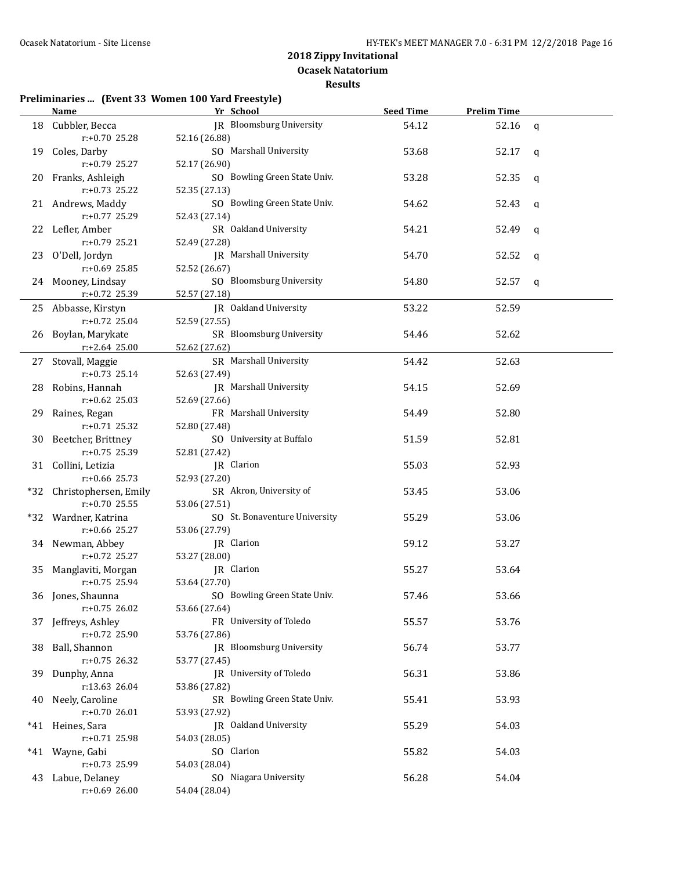**Ocasek Natatorium Results**

#### **Preliminaries ... (Event 33 Women 100 Yard Freestyle)**

|     | Name                                  | Yr School                                      | <b>Seed Time</b> | <b>Prelim Time</b> |              |
|-----|---------------------------------------|------------------------------------------------|------------------|--------------------|--------------|
|     | 18 Cubbler, Becca                     | JR Bloomsburg University                       | 54.12            | 52.16              | $\mathsf{q}$ |
|     | $r: +0.70$ 25.28                      | 52.16 (26.88)                                  |                  |                    |              |
|     | 19 Coles, Darby                       | SO Marshall University                         | 53.68            | 52.17              | q            |
|     | $r: +0.79$ 25.27                      | 52.17 (26.90)                                  |                  |                    |              |
|     | 20 Franks, Ashleigh                   | SO Bowling Green State Univ.                   | 53.28            | 52.35              | q            |
|     | $r: +0.73$ 25.22                      | 52.35 (27.13)                                  |                  |                    |              |
|     | 21 Andrews, Maddy                     | SO Bowling Green State Univ.                   | 54.62            | 52.43              | q            |
|     | $r: +0.77$ 25.29                      | 52.43 (27.14)                                  |                  |                    |              |
|     | 22 Lefler, Amber                      | SR Oakland University                          | 54.21            | 52.49              | q            |
|     | $r: +0.79$ 25.21                      | 52.49 (27.28)                                  |                  |                    |              |
|     | 23 O'Dell, Jordyn                     | JR Marshall University                         | 54.70            | 52.52              | q            |
|     | $r: +0.69$ 25.85                      | 52.52 (26.67)                                  |                  |                    |              |
|     | 24 Mooney, Lindsay                    | SO Bloomsburg University                       | 54.80            | 52.57              | q            |
|     | r:+0.72 25.39                         | 52.57 (27.18)                                  |                  |                    |              |
|     | 25 Abbasse, Kirstyn                   | JR Oakland University                          | 53.22            | 52.59              |              |
|     | $r: +0.72$ 25.04                      | 52.59 (27.55)                                  |                  |                    |              |
|     | 26 Boylan, Marykate                   | SR Bloomsburg University                       | 54.46            | 52.62              |              |
|     | r:+2.64 25.00                         | 52.62 (27.62)                                  |                  |                    |              |
|     | 27 Stovall, Maggie                    | SR Marshall University                         | 54.42            | 52.63              |              |
|     | $r: +0.73$ 25.14                      | 52.63 (27.49)                                  |                  |                    |              |
|     | 28 Robins, Hannah                     | <b>IR</b> Marshall University                  | 54.15            | 52.69              |              |
|     | $r: +0.62$ 25.03                      | 52.69 (27.66)                                  |                  |                    |              |
|     | 29 Raines, Regan                      | FR Marshall University                         | 54.49            | 52.80              |              |
|     | $r: +0.71$ 25.32                      | 52.80 (27.48)                                  |                  |                    |              |
|     | 30 Beetcher, Brittney                 | SO University at Buffalo                       | 51.59            | 52.81              |              |
|     | r:+0.75 25.39                         | 52.81 (27.42)                                  |                  |                    |              |
|     | 31 Collini, Letizia                   | JR Clarion                                     | 55.03            | 52.93              |              |
|     | $r: +0.66$ 25.73                      | 52.93 (27.20)                                  |                  |                    |              |
|     | *32 Christophersen, Emily             | SR Akron, University of                        | 53.45            | 53.06              |              |
|     | $r: +0.70$ 25.55                      | 53.06 (27.51)                                  |                  |                    |              |
|     | *32 Wardner, Katrina<br>r:+0.66 25.27 | SO St. Bonaventure University<br>53.06 (27.79) | 55.29            | 53.06              |              |
|     | 34 Newman, Abbey                      | JR Clarion                                     | 59.12            | 53.27              |              |
|     | $r: +0.72$ 25.27                      | 53.27 (28.00)                                  |                  |                    |              |
|     | 35 Manglaviti, Morgan                 | JR Clarion                                     | 55.27            | 53.64              |              |
|     | $r: +0.75$ 25.94                      | 53.64 (27.70)                                  |                  |                    |              |
|     | 36 Jones, Shaunna                     | SO Bowling Green State Univ.                   | 57.46            | 53.66              |              |
|     | $r: +0.75$ 26.02                      | 53.66 (27.64)                                  |                  |                    |              |
|     | 37 Jeffreys, Ashley                   | FR University of Toledo                        | 55.57            | 53.76              |              |
|     | r:+0.72 25.90                         | 53.76 (27.86)                                  |                  |                    |              |
| 38  | Ball, Shannon                         | JR Bloomsburg University                       | 56.74            | 53.77              |              |
|     | $r: +0.75$ 26.32                      | 53.77 (27.45)                                  |                  |                    |              |
| 39  | Dunphy, Anna                          | JR University of Toledo                        | 56.31            | 53.86              |              |
|     | r:13.63 26.04                         | 53.86 (27.82)                                  |                  |                    |              |
| 40  | Neely, Caroline                       | SR Bowling Green State Univ.                   | 55.41            | 53.93              |              |
|     | $r: +0.7026.01$                       | 53.93 (27.92)                                  |                  |                    |              |
|     | *41 Heines, Sara                      | JR Oakland University                          | 55.29            | 54.03              |              |
|     | r:+0.71 25.98                         | 54.03 (28.05)                                  |                  |                    |              |
| *41 | Wayne, Gabi                           | SO Clarion                                     | 55.82            | 54.03              |              |
|     | r:+0.73 25.99                         | 54.03 (28.04)                                  |                  |                    |              |
|     | 43 Labue, Delaney                     | SO Niagara University                          | 56.28            | 54.04              |              |
|     | $r: +0.69$ 26.00                      | 54.04 (28.04)                                  |                  |                    |              |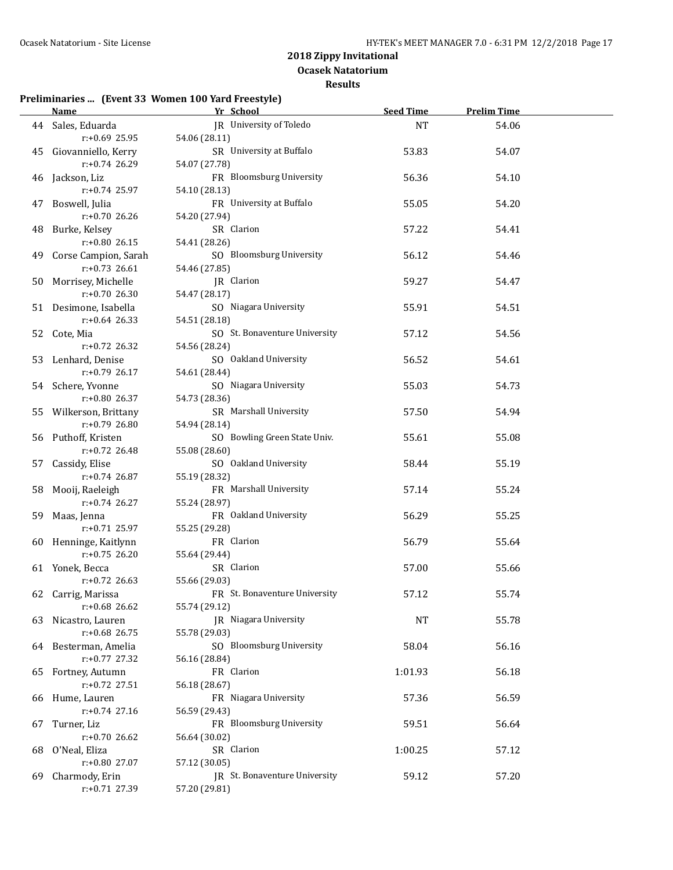**Ocasek Natatorium**

#### **Results**

### **Preliminaries ... (Event 33 Women 100 Yard Freestyle)**

|    | Name Yr School          |                               | <b>Seed Time</b> | <b>Prelim Time</b> |  |
|----|-------------------------|-------------------------------|------------------|--------------------|--|
|    | 44 Sales, Eduarda       | JR University of Toledo       | NT               | 54.06              |  |
|    | $r: +0.69$ 25.95        | 54.06 (28.11)                 |                  |                    |  |
|    | 45 Giovanniello, Kerry  | SR University at Buffalo      | 53.83            | 54.07              |  |
|    | r:+0.74 26.29           | 54.07 (27.78)                 |                  |                    |  |
|    | 46 Jackson, Liz         | FR Bloomsburg University      | 56.36            | 54.10              |  |
|    | $r: +0.74$ 25.97        | 54.10 (28.13)                 |                  |                    |  |
| 47 | Boswell, Julia          | FR University at Buffalo      | 55.05            | 54.20              |  |
|    | $r: +0.70$ 26.26        | 54.20 (27.94)                 |                  |                    |  |
| 48 | Burke, Kelsey           | SR Clarion                    | 57.22            | 54.41              |  |
|    | $r: +0.80$ 26.15        | 54.41 (28.26)                 |                  |                    |  |
|    | 49 Corse Campion, Sarah | SO Bloomsburg University      | 56.12            | 54.46              |  |
|    | $r: +0.73$ 26.61        | 54.46 (27.85)                 |                  |                    |  |
|    | 50 Morrisey, Michelle   | JR Clarion                    | 59.27            |                    |  |
|    | $r: +0.70$ 26.30        | 54.47 (28.17)                 |                  | 54.47              |  |
|    |                         | SO Niagara University         | 55.91            |                    |  |
|    | 51 Desimone, Isabella   |                               |                  | 54.51              |  |
|    | $r: +0.64$ 26.33        | 54.51 (28.18)                 |                  |                    |  |
|    | 52 Cote, Mia            | SO St. Bonaventure University | 57.12            | 54.56              |  |
|    | $r: +0.72$ 26.32        | 54.56 (28.24)                 |                  |                    |  |
|    | 53 Lenhard, Denise      | SO Oakland University         | 56.52            | 54.61              |  |
|    | $r: +0.79$ 26.17        | 54.61 (28.44)                 |                  |                    |  |
|    | 54 Schere, Yvonne       | SO Niagara University         | 55.03            | 54.73              |  |
|    | $r: +0.80$ 26.37        | 54.73 (28.36)                 |                  |                    |  |
|    | 55 Wilkerson, Brittany  | SR Marshall University        | 57.50            | 54.94              |  |
|    | r:+0.79 26.80           | 54.94 (28.14)                 |                  |                    |  |
|    | 56 Puthoff, Kristen     | SO Bowling Green State Univ.  | 55.61            | 55.08              |  |
|    | $r: +0.72$ 26.48        | 55.08 (28.60)                 |                  |                    |  |
|    | 57 Cassidy, Elise       | SO Oakland University         | 58.44            | 55.19              |  |
|    | $r+0.74$ 26.87          | 55.19 (28.32)                 |                  |                    |  |
|    | 58 Mooij, Raeleigh      | FR Marshall University        | 57.14            | 55.24              |  |
|    | $r: +0.74$ 26.27        | 55.24 (28.97)                 |                  |                    |  |
|    | 59 Maas, Jenna          | FR Oakland University         | 56.29            | 55.25              |  |
|    | $r: +0.71$ 25.97        | 55.25 (29.28)                 |                  |                    |  |
|    | 60 Henninge, Kaitlynn   | FR Clarion                    | 56.79            | 55.64              |  |
|    | $r: +0.75$ 26.20        | 55.64 (29.44)                 |                  |                    |  |
|    | 61 Yonek, Becca         | SR Clarion                    | 57.00            | 55.66              |  |
|    | $r: +0.72$ 26.63        | 55.66 (29.03)                 |                  |                    |  |
|    | 62 Carrig, Marissa      | FR St. Bonaventure University | 57.12            | 55.74              |  |
|    | $r: +0.68$ 26.62        | 55.74 (29.12)                 |                  |                    |  |
| 63 | Nicastro, Lauren        | JR Niagara University         | <b>NT</b>        | 55.78              |  |
|    | $r: +0.68$ 26.75        | 55.78 (29.03)                 |                  |                    |  |
|    | 64 Besterman, Amelia    | SO Bloomsburg University      | 58.04            | 56.16              |  |
|    | $r: +0.77$ 27.32        | 56.16 (28.84)                 |                  |                    |  |
| 65 | Fortney, Autumn         | FR Clarion                    | 1:01.93          | 56.18              |  |
|    | $r: +0.72$ 27.51        | 56.18 (28.67)                 |                  |                    |  |
| 66 | Hume, Lauren            | FR Niagara University         | 57.36            | 56.59              |  |
|    | $r: +0.74$ 27.16        | 56.59 (29.43)                 |                  |                    |  |
| 67 | Turner, Liz             | FR Bloomsburg University      | 59.51            | 56.64              |  |
|    | $r: +0.7026.62$         | 56.64 (30.02)                 |                  |                    |  |
| 68 | O'Neal, Eliza           | SR Clarion                    | 1:00.25          | 57.12              |  |
|    | r:+0.80 27.07           | 57.12 (30.05)                 |                  |                    |  |
| 69 | Charmody, Erin          | JR St. Bonaventure University | 59.12            | 57.20              |  |
|    | r:+0.71 27.39           | 57.20 (29.81)                 |                  |                    |  |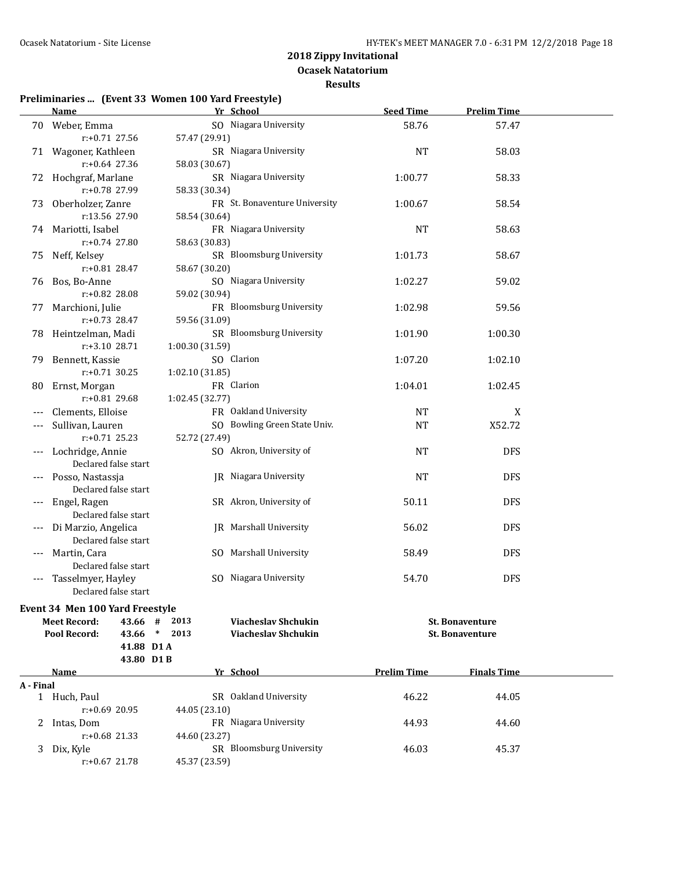**Ocasek Natatorium**

**Results**

# **Preliminaries ... (Event 33 Women 100 Yard Freestyle)**

|           | <b>Name</b>                         | Yr School                     |                               | <b>Seed Time</b>   | <b>Prelim Time</b>     |  |
|-----------|-------------------------------------|-------------------------------|-------------------------------|--------------------|------------------------|--|
|           | 70 Weber, Emma                      |                               | SO Niagara University         | 58.76              | 57.47                  |  |
|           | $r: +0.71$ 27.56                    | 57.47 (29.91)                 |                               |                    |                        |  |
|           | 71 Wagoner, Kathleen                |                               | SR Niagara University         | <b>NT</b>          | 58.03                  |  |
|           | $r: +0.64$ 27.36                    | 58.03 (30.67)                 |                               |                    |                        |  |
|           | 72 Hochgraf, Marlane                |                               | SR Niagara University         | 1:00.77            | 58.33                  |  |
|           | r:+0.78 27.99                       | 58.33 (30.34)                 |                               |                    |                        |  |
| 73        | Oberholzer, Zanre                   |                               | FR St. Bonaventure University | 1:00.67            | 58.54                  |  |
|           | r:13.56 27.90                       | 58.54 (30.64)                 |                               |                    |                        |  |
|           | 74 Mariotti, Isabel                 |                               | FR Niagara University         | <b>NT</b>          | 58.63                  |  |
|           | r:+0.74 27.80                       | 58.63 (30.83)                 |                               |                    |                        |  |
| 75        | Neff, Kelsey                        |                               | SR Bloomsburg University      | 1:01.73            | 58.67                  |  |
|           | r:+0.81 28.47                       | 58.67 (30.20)                 |                               |                    |                        |  |
| 76        | Bos, Bo-Anne                        |                               | SO Niagara University         | 1:02.27            | 59.02                  |  |
|           | r:+0.82 28.08                       | 59.02 (30.94)                 |                               |                    |                        |  |
| 77        | Marchioni, Julie                    |                               | FR Bloomsburg University      | 1:02.98            | 59.56                  |  |
|           | $r: +0.73$ 28.47                    | 59.56 (31.09)                 |                               |                    |                        |  |
|           | 78 Heintzelman, Madi                |                               | SR Bloomsburg University      | 1:01.90            | 1:00.30                |  |
|           | r:+3.10 28.71                       | 1:00.30 (31.59)               |                               |                    |                        |  |
|           |                                     | SO Clarion                    |                               | 1:07.20            | 1:02.10                |  |
| 79.       | Bennett, Kassie<br>$r: +0.71$ 30.25 |                               |                               |                    |                        |  |
|           |                                     | 1:02.10 (31.85)<br>FR Clarion |                               |                    |                        |  |
| 80        | Ernst, Morgan                       |                               |                               | 1:04.01            | 1:02.45                |  |
|           | r:+0.81 29.68                       | 1:02.45 (32.77)               |                               |                    |                        |  |
|           | Clements, Elloise                   |                               | FR Oakland University         | NT                 | X                      |  |
| ---       | Sullivan, Lauren                    |                               | SO Bowling Green State Univ.  | <b>NT</b>          | X52.72                 |  |
|           | $r: +0.71$ 25.23                    | 52.72 (27.49)                 |                               |                    |                        |  |
| ---       | Lochridge, Annie                    |                               | SO Akron, University of       | <b>NT</b>          | <b>DFS</b>             |  |
|           | Declared false start                |                               |                               |                    |                        |  |
|           | Posso, Nastassja                    |                               | <b>IR</b> Niagara University  | <b>NT</b>          | <b>DFS</b>             |  |
|           | Declared false start                |                               |                               |                    |                        |  |
|           | Engel, Ragen                        |                               | SR Akron, University of       | 50.11              | <b>DFS</b>             |  |
|           | Declared false start                |                               |                               |                    |                        |  |
|           | Di Marzio, Angelica                 |                               | <b>IR</b> Marshall University | 56.02              | <b>DFS</b>             |  |
|           | Declared false start                |                               |                               |                    |                        |  |
|           | Martin, Cara                        |                               | SO Marshall University        | 58.49              | <b>DFS</b>             |  |
|           | Declared false start                |                               |                               |                    |                        |  |
| ---       | Tasselmyer, Hayley                  |                               | SO Niagara University         | 54.70              | <b>DFS</b>             |  |
|           | Declared false start                |                               |                               |                    |                        |  |
|           | Event 34 Men 100 Yard Freestyle     |                               |                               |                    |                        |  |
|           | <b>Meet Record:</b><br>43.66 #      | 2013                          | Viacheslav Shchukin           |                    | <b>St. Bonaventure</b> |  |
|           | Pool Record:<br>43.66 * 2013        |                               | <b>Viacheslav Shchukin</b>    |                    | <b>St. Bonaventure</b> |  |
|           | 41.88 D1 A                          |                               |                               |                    |                        |  |
|           | 43.80 D1B                           |                               |                               |                    |                        |  |
|           | Name                                | Yr School                     |                               | <b>Prelim Time</b> | <b>Finals Time</b>     |  |
| A - Final | 1 Huch, Paul                        |                               | SR Oakland University         | 46.22              | 44.05                  |  |
|           | r:+0.69 20.95                       | 44.05 (23.10)                 |                               |                    |                        |  |
|           |                                     |                               | FR Niagara University         | 44.93              | 44.60                  |  |
| 2         | Intas, Dom<br>$r: +0.68$ 21.33      | 44.60 (23.27)                 |                               |                    |                        |  |
|           |                                     |                               | SR Bloomsburg University      |                    |                        |  |
| 3         | Dix, Kyle<br>r:+0.67 21.78          | 45.37 (23.59)                 |                               | 46.03              | 45.37                  |  |
|           |                                     |                               |                               |                    |                        |  |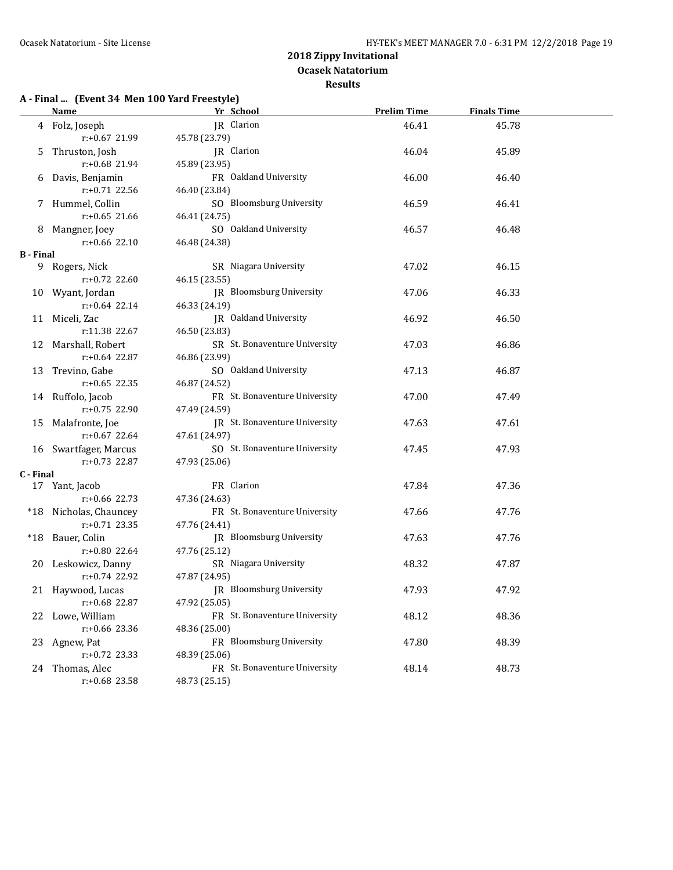**Ocasek Natatorium**

#### **Results**

# **A - Final ... (Event 34 Men 100 Yard Freestyle)**

|                  | <b>Name</b>            | Yr School                     | <b>Prelim Time</b> | <b>Finals Time</b> |  |
|------------------|------------------------|-------------------------------|--------------------|--------------------|--|
|                  | 4 Folz, Joseph         | JR Clarion                    | 46.41              | 45.78              |  |
|                  | r:+0.67 21.99          | 45.78 (23.79)                 |                    |                    |  |
|                  | 5 Thruston, Josh       | JR Clarion                    | 46.04              | 45.89              |  |
|                  | r:+0.68 21.94          | 45.89 (23.95)                 |                    |                    |  |
|                  | 6 Davis, Benjamin      | FR Oakland University         | 46.00              | 46.40              |  |
|                  | r:+0.71 22.56          | 46.40 (23.84)                 |                    |                    |  |
|                  | 7 Hummel, Collin       | SO Bloomsburg University      | 46.59              | 46.41              |  |
|                  | $r: +0.65$ 21.66       | 46.41 (24.75)                 |                    |                    |  |
|                  | 8 Mangner, Joey        | SO Oakland University         | 46.57              | 46.48              |  |
|                  | $r: +0.66$ 22.10       | 46.48 (24.38)                 |                    |                    |  |
| <b>B</b> - Final |                        |                               |                    |                    |  |
|                  | 9 Rogers, Nick         | SR Niagara University         | 47.02              | 46.15              |  |
|                  | r:+0.72 22.60          | 46.15 (23.55)                 |                    |                    |  |
|                  | 10 Wyant, Jordan       | JR Bloomsburg University      | 47.06              | 46.33              |  |
|                  | $r: +0.64$ 22.14       | 46.33 (24.19)                 |                    |                    |  |
|                  | 11 Miceli, Zac         | JR Oakland University         | 46.92              | 46.50              |  |
|                  | r:11.38 22.67          | 46.50 (23.83)                 |                    |                    |  |
|                  | 12 Marshall, Robert    | SR St. Bonaventure University | 47.03              | 46.86              |  |
|                  | $r: +0.64$ 22.87       | 46.86 (23.99)                 |                    |                    |  |
|                  | 13 Trevino, Gabe       | SO Oakland University         | 47.13              | 46.87              |  |
|                  | $r: +0.65$ 22.35       | 46.87 (24.52)                 |                    |                    |  |
|                  | 14 Ruffolo, Jacob      | FR St. Bonaventure University | 47.00              | 47.49              |  |
|                  | $r: +0.75$ 22.90       | 47.49 (24.59)                 |                    |                    |  |
|                  | 15 Malafronte, Joe     | JR St. Bonaventure University | 47.63              | 47.61              |  |
|                  | $r: +0.67$ 22.64       | 47.61 (24.97)                 |                    |                    |  |
|                  | 16 Swartfager, Marcus  | SO St. Bonaventure University | 47.45              | 47.93              |  |
|                  | r:+0.73 22.87          | 47.93 (25.06)                 |                    |                    |  |
| C - Final        | 17 Yant, Jacob         | FR Clarion                    | 47.84              | 47.36              |  |
|                  | $r: +0.66$ 22.73       | 47.36 (24.63)                 |                    |                    |  |
|                  | *18 Nicholas, Chauncey | FR St. Bonaventure University | 47.66              | 47.76              |  |
|                  | $r: +0.71$ 23.35       | 47.76 (24.41)                 |                    |                    |  |
|                  | *18 Bauer, Colin       | JR Bloomsburg University      | 47.63              | 47.76              |  |
|                  | $r: +0.80$ 22.64       | 47.76 (25.12)                 |                    |                    |  |
|                  | 20 Leskowicz, Danny    | SR Niagara University         | 48.32              | 47.87              |  |
|                  | $r: +0.74$ 22.92       | 47.87 (24.95)                 |                    |                    |  |
|                  | 21 Haywood, Lucas      | JR Bloomsburg University      | 47.93              | 47.92              |  |
|                  | r:+0.68 22.87          | 47.92 (25.05)                 |                    |                    |  |
|                  | 22 Lowe, William       | FR St. Bonaventure University | 48.12              | 48.36              |  |
|                  | r:+0.66 23.36          | 48.36 (25.00)                 |                    |                    |  |
|                  | 23 Agnew, Pat          | FR Bloomsburg University      | 47.80              | 48.39              |  |
|                  | r:+0.72 23.33          | 48.39 (25.06)                 |                    |                    |  |
|                  | 24 Thomas, Alec        | FR St. Bonaventure University | 48.14              | 48.73              |  |
|                  | r:+0.68 23.58          | 48.73 (25.15)                 |                    |                    |  |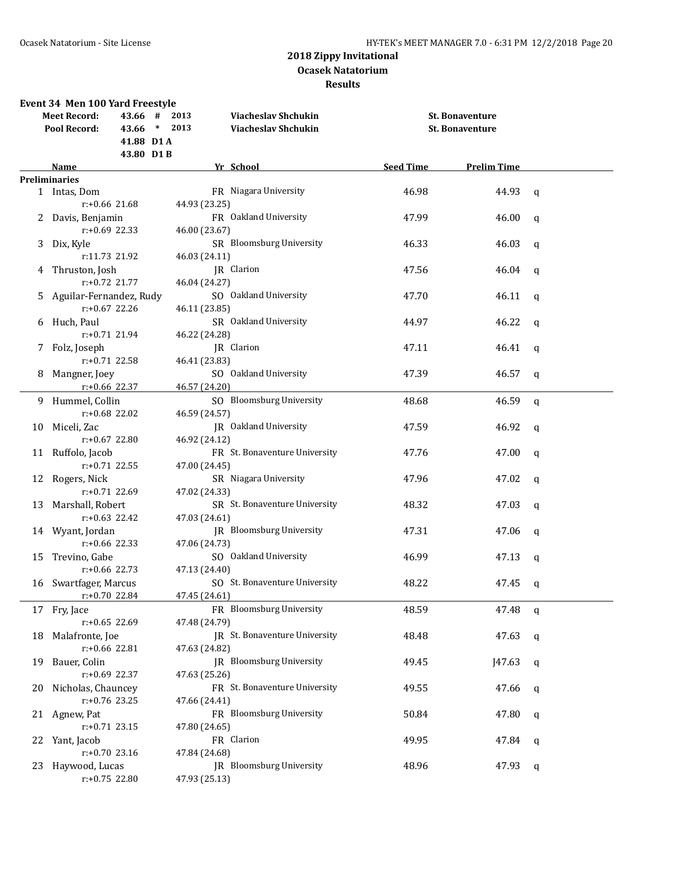|    | Event 34 Men 100 Yard Freestyle |               |                                 |                  |                        |              |
|----|---------------------------------|---------------|---------------------------------|------------------|------------------------|--------------|
|    | 43.66 #<br><b>Meet Record:</b>  | 2013          | Viacheslav Shchukin             |                  | <b>St. Bonaventure</b> |              |
|    | Pool Record:                    | 43.66 * 2013  | <b>Viacheslav Shchukin</b>      |                  | <b>St. Bonaventure</b> |              |
|    | 41.88 D1 A                      |               |                                 |                  |                        |              |
|    | 43.80 D1B                       |               |                                 |                  |                        |              |
|    | <b>Name</b>                     |               | Yr School                       | <b>Seed Time</b> | <b>Prelim Time</b>     |              |
|    | <b>Preliminaries</b>            |               |                                 |                  |                        |              |
|    | 1 Intas, Dom                    |               | FR Niagara University           | 46.98            | 44.93                  | q            |
|    | r:+0.66 21.68                   | 44.93 (23.25) |                                 |                  |                        |              |
|    | 2 Davis, Benjamin               |               | FR Oakland University           | 47.99            | 46.00                  | q            |
|    | $r: +0.69$ 22.33                | 46.00 (23.67) |                                 |                  |                        |              |
| 3  | Dix, Kyle                       |               | SR Bloomsburg University        | 46.33            | 46.03                  | q            |
|    | r:11.73 21.92                   | 46.03 (24.11) |                                 |                  |                        |              |
| 4  | Thruston, Josh                  |               | JR Clarion                      | 47.56            | 46.04                  | q            |
|    | r:+0.72 21.77                   | 46.04 (24.27) |                                 |                  |                        |              |
| 5. | Aguilar-Fernandez, Rudy         |               | SO Oakland University           | 47.70            | 46.11                  | $\mathbf q$  |
|    | r:+0.67 22.26                   | 46.11 (23.85) |                                 |                  |                        |              |
| 6  | Huch, Paul                      |               | SR Oakland University           | 44.97            | 46.22                  | $\mathsf{q}$ |
|    | r:+0.71 21.94                   | 46.22 (24.28) |                                 |                  |                        |              |
| 7  | Folz, Joseph                    |               | JR Clarion                      | 47.11            | 46.41                  | $\mathbf q$  |
|    | r:+0.71 22.58                   | 46.41 (23.83) |                                 |                  |                        |              |
|    | 8 Mangner, Joey                 |               | SO Oakland University           | 47.39            | 46.57                  | $\mathbf q$  |
|    | $r: +0.66$ 22.37                | 46.57 (24.20) |                                 |                  |                        |              |
|    | 9 Hummel, Collin                |               | SO Bloomsburg University        | 48.68            | 46.59                  | q            |
|    | r:+0.68 22.02                   | 46.59 (24.57) |                                 |                  |                        |              |
| 10 | Miceli, Zac                     |               | JR Oakland University           | 47.59            | 46.92                  | $\mathsf{q}$ |
|    | r:+0.67 22.80                   | 46.92 (24.12) |                                 |                  |                        |              |
|    | 11 Ruffolo, Jacob               |               | FR St. Bonaventure University   | 47.76            | 47.00                  | $\mathsf{q}$ |
|    | r:+0.71 22.55                   | 47.00 (24.45) |                                 |                  |                        |              |
|    | 12 Rogers, Nick                 |               | SR Niagara University           | 47.96            | 47.02                  | $\mathsf{q}$ |
|    | $r: +0.71$ 22.69                | 47.02 (24.33) |                                 |                  |                        |              |
|    | 13 Marshall, Robert             |               | SR St. Bonaventure University   | 48.32            | 47.03                  | q            |
|    | $r: +0.63$ 22.42                | 47.03 (24.61) |                                 |                  |                        |              |
|    | 14 Wyant, Jordan                |               | JR Bloomsburg University        | 47.31            | 47.06                  | q            |
|    | $r: +0.66$ 22.33                | 47.06 (24.73) |                                 |                  |                        |              |
|    | 15 Trevino, Gabe                |               | SO Oakland University           | 46.99            | 47.13                  | q            |
|    | $r: +0.66$ 22.73                | 47.13 (24.40) |                                 |                  |                        |              |
|    | 16 Swartfager, Marcus           |               | SO St. Bonaventure University   | 48.22            | 47.45 q                |              |
|    | r:+0.70 22.84                   | 47.45 (24.61) |                                 |                  |                        |              |
| 17 | Fry, Jace                       |               | FR Bloomsburg University        | 48.59            | 47.48                  | q            |
|    | r:+0.65 22.69                   | 47.48 (24.79) |                                 |                  |                        |              |
| 18 | Malafronte, Joe                 |               | JR St. Bonaventure University   | 48.48            | 47.63                  | q            |
|    | r:+0.66 22.81                   | 47.63 (24.82) |                                 |                  |                        |              |
| 19 | Bauer, Colin                    |               | <b>IR</b> Bloomsburg University | 49.45            | J47.63                 | q            |
|    | r:+0.69 22.37                   | 47.63 (25.26) |                                 |                  |                        |              |
| 20 | Nicholas, Chauncey              |               | FR St. Bonaventure University   | 49.55            | 47.66                  | q            |
|    | $r: +0.76$ 23.25                | 47.66 (24.41) |                                 |                  |                        |              |
|    | 21 Agnew, Pat                   |               | FR Bloomsburg University        | 50.84            | 47.80                  | q            |
|    | $r: +0.71$ 23.15                | 47.80 (24.65) |                                 |                  |                        |              |
| 22 | Yant, Jacob                     |               | FR Clarion                      | 49.95            | 47.84                  | q            |
|    | r:+0.70 23.16                   | 47.84 (24.68) |                                 |                  |                        |              |
| 23 | Haywood, Lucas                  |               | JR Bloomsburg University        | 48.96            | 47.93                  | q            |
|    | r:+0.75 22.80                   | 47.93 (25.13) |                                 |                  |                        |              |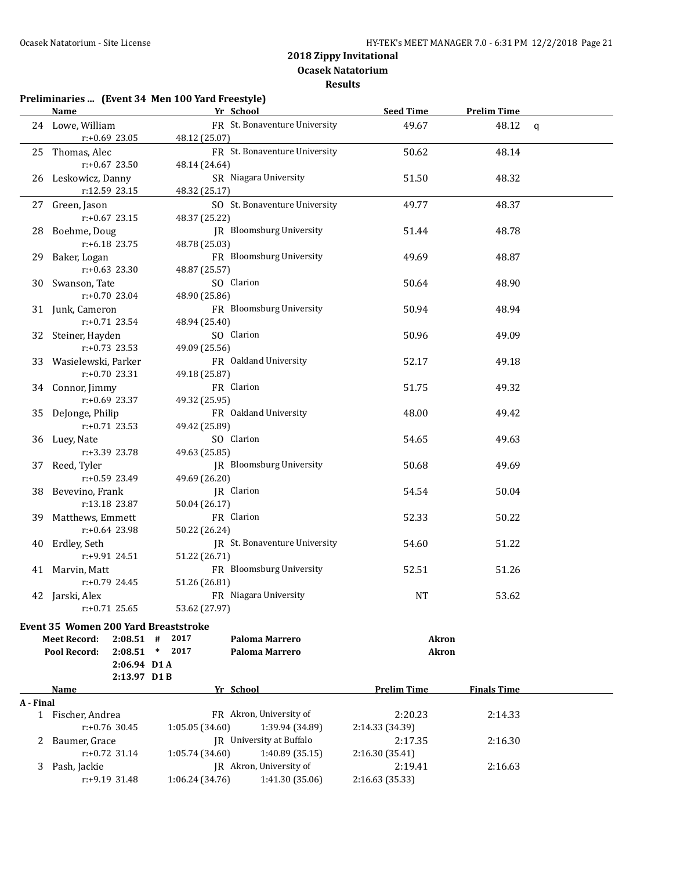**Results**

### **Preliminaries ... (Event 34 Men 100 Yard Freestyle) Name Yr School Seed Time Prelim Time** 24 Lowe, William **FR** St. Bonaventure University 49.67 48.12 q r:+0.69 23.05 48.12 (25.07) 25 Thomas, Alec **FR St. Bonaventure University** 50.62 48.14 r:+0.67 23.50 48.14 (24.64) 26 Leskowicz, Danny SR Niagara University 51.50 48.32 r:12.59 23.15 48.32 (25.17) 27 Green, Jason SO St. Bonaventure University 49.77 48.37 r:+0.67 23.15 48.37 (25.22) 28 Boehme, Doug JR Bloomsburg University 51.44 51.44 48.78 r:+6.18 23.75 48.78 (25.03) 29 Baker, Logan **FR** Bloomsburg University 49.69 48.87 r:+0.63 23.30 48.87 (25.57) 30 Swanson, Tate SO Clarion 50.64 50.64 48.90 r:+0.70 23.04 48.90 (25.86) 31 Junk, Cameron FR Bloomsburg University 50.94 48.94 r:+0.71 23.54 48.94 (25.40) 32 Steiner, Hayden SO Clarion 50.96 49.09 r:+0.73 23.53 49.09 (25.56) 33 Wasielewski, Parker FR Oakland University 52.17 49.18 r:+0.70 23.31 49.18 (25.87) 34 Connor, Jimmy FR Clarion 51.75 49.32 r:+0.69 23.37 49.32 (25.95) 35 DeJonge, Philip FR Oakland University 48.00 49.42 r:+0.71 23.53 49.42 (25.89) 36 Luey, Nate SO Clarion 54.65 49.63 r:+3.39 23.78 49.63 (25.85) 37 Reed, Tyler **IR Bloomsburg University** 50.68 49.69 r:+0.59 23.49 49.69 (26.20) 38 Bevevino, Frank JR Clarion JR Clarion 54.54 50.04 r:13.18 23.87 50.04 (26.17) 39 Matthews, Emmett FR Clarion 52.33 50.22 r:+0.64 23.98 50.22 (26.24) 40 Erdley, Seth **JR** St. Bonaventure University 54.60 51.22 r:+9.91 24.51 51.22 (26.71) 41 Marvin, Matt **FR** Bloomsburg University 52.51 51.26 r:+0.79 24.45 51.26 (26.81) 42 Jarski, Alex **FR** Niagara University **NT** NT 53.62 r:+0.71 25.65 53.62 (27.97) **Event 35 Women 200 Yard Breaststroke Meet Record: 2:08.51 # 2017 Paloma Marrero Akron Pool Record: 2:08.51 \* 2017 Paloma Marrero Akron 2:06.94 D1 A 2:13.97 D1 B Name Yr School Prelim Time Finals Time A - Final** 1 Fischer, Andrea FR Akron, University of 2:20.23 2:14.33 r:+0.76 30.45 1:05.05 (34.60) 1:39.94 (34.89) 2:14.33 (34.39) 2 Baumer, Grace  $\overline{R}$  University at Buffalo  $2:17.35$  2:16.30 r:+0.72 31.14 1:05.74 (34.60) 1:40.89 (35.15) 2:16.30 (35.41) 3 Pash, Jackie JR Akron, University of 2:19.41 2:16.63 r:+9.19 31.48 1:06.24 (34.76) 1:41.30 (35.06) 2:16.63 (35.33)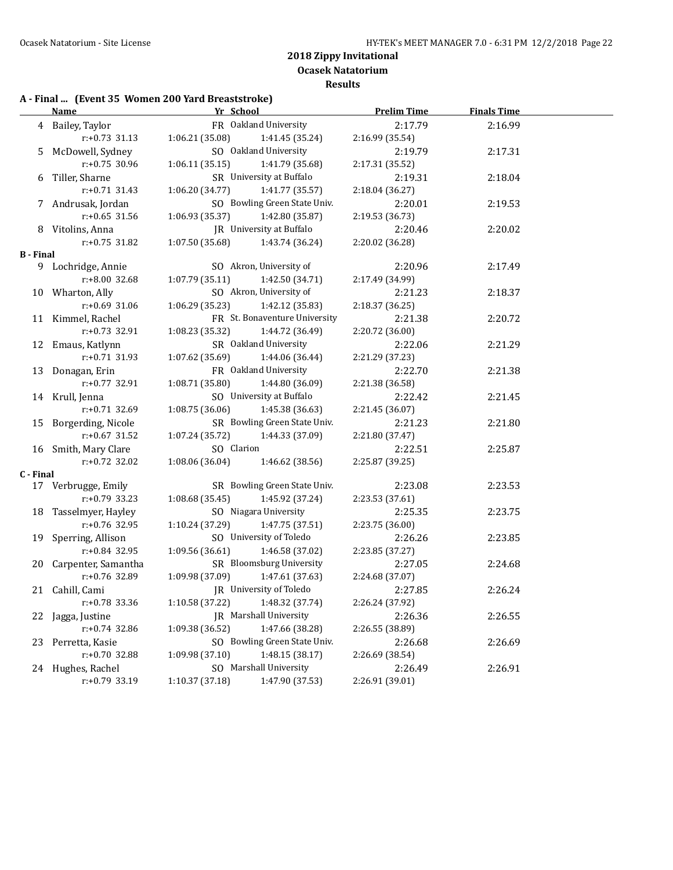**Ocasek Natatorium**

### **Results**

### **A - Final ... (Event 35 Women 200 Yard Breaststroke)**

|           | <b>Name</b>            | Yr School                       |                               | <b>Prelim Time</b> | <b>Finals Time</b> |  |
|-----------|------------------------|---------------------------------|-------------------------------|--------------------|--------------------|--|
|           | 4 Bailey, Taylor       |                                 | FR Oakland University         | 2:17.79            | 2:16.99            |  |
|           | $r: +0.73$ 31.13       | 1:06.21 (35.08)                 | 1:41.45 (35.24)               | 2:16.99 (35.54)    |                    |  |
|           | 5 McDowell, Sydney     |                                 | SO Oakland University         | 2:19.79            | 2:17.31            |  |
|           | $r: +0.75$ 30.96       | 1:06.11(35.15)                  | 1:41.79 (35.68)               | 2:17.31 (35.52)    |                    |  |
|           | 6 Tiller, Sharne       |                                 | SR University at Buffalo      | 2:19.31            | 2:18.04            |  |
|           | $r: +0.71$ 31.43       | 1:06.20(34.77)                  | 1:41.77 (35.57)               | 2:18.04 (36.27)    |                    |  |
|           | 7 Andrusak, Jordan     |                                 | SO Bowling Green State Univ.  | 2:20.01            | 2:19.53            |  |
|           | $r: +0.65$ 31.56       | 1:06.93 (35.37)                 | 1:42.80 (35.87)               | 2:19.53 (36.73)    |                    |  |
|           | 8 Vitolins, Anna       |                                 | JR University at Buffalo      | 2:20.46            | 2:20.02            |  |
|           | $r: +0.75$ 31.82       | 1:07.50(35.68)                  | 1:43.74 (36.24)               | 2:20.02 (36.28)    |                    |  |
| B - Final |                        |                                 |                               |                    |                    |  |
|           | 9 Lochridge, Annie     |                                 | SO Akron, University of       | 2:20.96            | 2:17.49            |  |
|           | r:+8.00 32.68          | 1:07.79 (35.11)                 | 1:42.50 (34.71)               | 2:17.49 (34.99)    |                    |  |
|           | 10 Wharton, Ally       |                                 | SO Akron, University of       | 2:21.23            | 2:18.37            |  |
|           | $r: +0.69$ 31.06       | 1:06.29 (35.23)                 | 1:42.12 (35.83)               | 2:18.37 (36.25)    |                    |  |
|           | 11 Kimmel, Rachel      |                                 | FR St. Bonaventure University | 2:21.38            | 2:20.72            |  |
|           | r:+0.73 32.91          | 1:08.23 (35.32)                 | 1:44.72 (36.49)               | 2:20.72 (36.00)    |                    |  |
|           | 12 Emaus, Katlynn      |                                 | SR Oakland University         | 2:22.06            | 2:21.29            |  |
|           | $r: +0.71$ 31.93       | 1:07.62 (35.69)                 | 1:44.06 (36.44)               | 2:21.29 (37.23)    |                    |  |
|           | 13 Donagan, Erin       |                                 | FR Oakland University         | 2:22.70            | 2:21.38            |  |
|           | r:+0.77 32.91          | 1:08.71(35.80)                  | 1:44.80 (36.09)               | 2:21.38 (36.58)    |                    |  |
|           | 14 Krull, Jenna        |                                 | SO University at Buffalo      | 2:22.42            | 2:21.45            |  |
|           | r:+0.71 32.69          | 1:08.75(36.06)                  | 1:45.38 (36.63)               | 2:21.45 (36.07)    |                    |  |
|           | 15 Borgerding, Nicole  |                                 | SR Bowling Green State Univ.  | 2:21.23            | 2:21.80            |  |
|           | $r: +0.67$ 31.52       | 1:07.24 (35.72)                 | 1:44.33 (37.09)               | 2:21.80 (37.47)    |                    |  |
|           | 16 Smith, Mary Clare   | SO Clarion                      |                               | 2:22.51            | 2:25.87            |  |
|           | $r: +0.72$ 32.02       | 1:08.06 (36.04) 1:46.62 (38.56) |                               | 2:25.87 (39.25)    |                    |  |
| C - Final |                        |                                 |                               |                    |                    |  |
|           | 17 Verbrugge, Emily    |                                 | SR Bowling Green State Univ.  | 2:23.08            | 2:23.53            |  |
|           | r:+0.79 33.23          | 1:08.68(35.45)                  | 1:45.92 (37.24)               | 2:23.53 (37.61)    |                    |  |
|           | 18 Tasselmyer, Hayley  |                                 | SO Niagara University         | 2:25.35            | 2:23.75            |  |
|           | r:+0.76 32.95          | 1:10.24 (37.29)                 | 1:47.75 (37.51)               | 2:23.75 (36.00)    |                    |  |
|           | 19 Sperring, Allison   |                                 | SO University of Toledo       | 2:26.26            | 2:23.85            |  |
|           | r:+0.84 32.95          | 1:09.56(36.61)                  | 1:46.58 (37.02)               | 2:23.85 (37.27)    |                    |  |
|           | 20 Carpenter, Samantha |                                 | SR Bloomsburg University      | 2:27.05            | 2:24.68            |  |
|           | r:+0.76 32.89          | 1:09.98 (37.09)                 | 1:47.61 (37.63)               | 2:24.68 (37.07)    |                    |  |
|           | 21 Cahill, Cami        |                                 | JR University of Toledo       | 2:27.85            | 2:26.24            |  |
|           | r:+0.78 33.36          | 1:10.58 (37.22)                 | 1:48.32 (37.74)               | 2:26.24 (37.92)    |                    |  |
|           | 22 Jagga, Justine      |                                 | JR Marshall University        | 2:26.36            | 2:26.55            |  |
|           | $r: +0.74$ 32.86       | 1:09.38 (36.52)                 | 1:47.66 (38.28)               | 2:26.55 (38.89)    |                    |  |
| 23        | Perretta, Kasie        |                                 | SO Bowling Green State Univ.  | 2:26.68            | 2:26.69            |  |
|           | $r: +0.70$ 32.88       | 1:09.98 (37.10)                 | 1:48.15 (38.17)               | 2:26.69 (38.54)    |                    |  |
|           | 24 Hughes, Rachel      |                                 | SO Marshall University        | 2:26.49            | 2:26.91            |  |
|           | r:+0.79 33.19          | 1:10.37 (37.18)                 | 1:47.90 (37.53)               | 2:26.91 (39.01)    |                    |  |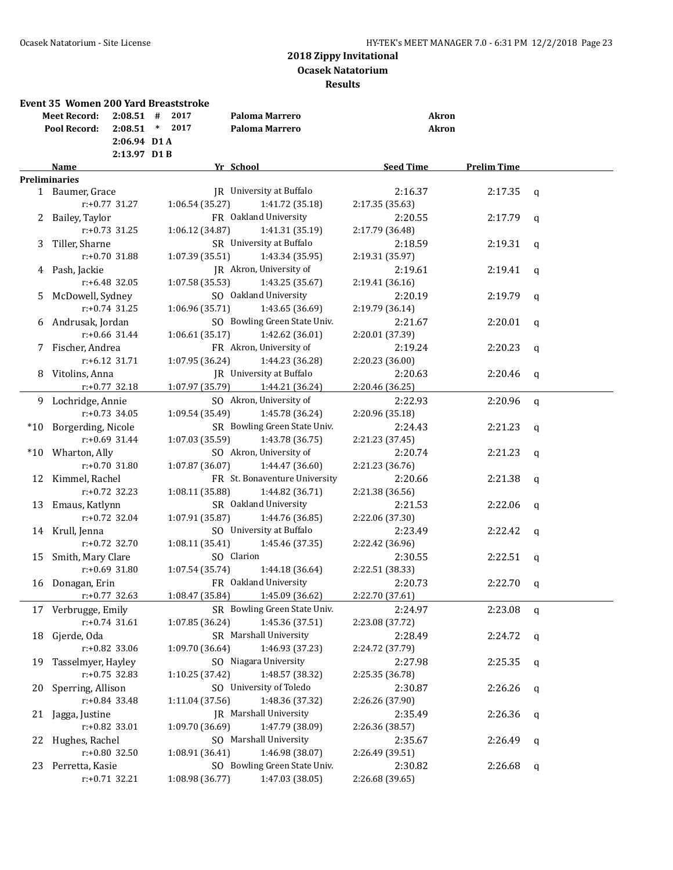|     | <b>Event 35 Women 200 Yard Breaststroke</b> |                  |        |                 |                               |                  |              |                    |             |
|-----|---------------------------------------------|------------------|--------|-----------------|-------------------------------|------------------|--------------|--------------------|-------------|
|     | <b>Meet Record:</b>                         | $2:08.51$ #      |        | 2017            | Paloma Marrero                |                  | <b>Akron</b> |                    |             |
|     | Pool Record:                                | 2:08.51          | $\ast$ | 2017            | Paloma Marrero                |                  | <b>Akron</b> |                    |             |
|     |                                             | 2:06.94 D1A      |        |                 |                               |                  |              |                    |             |
|     |                                             | $2:13.97$ D1B    |        |                 |                               |                  |              |                    |             |
|     | Name                                        |                  |        |                 | Yr School                     | <b>Seed Time</b> |              | <b>Prelim Time</b> |             |
|     | <b>Preliminaries</b>                        |                  |        |                 |                               |                  |              |                    |             |
|     | 1 Baumer, Grace                             |                  |        |                 | JR University at Buffalo      | 2:16.37          |              | 2:17.35            | $\mathbf q$ |
|     |                                             | $r: +0.77$ 31.27 |        | 1:06.54(35.27)  | 1:41.72 (35.18)               | 2:17.35 (35.63)  |              |                    |             |
| 2   | Bailey, Taylor                              |                  |        |                 | FR Oakland University         | 2:20.55          |              | 2:17.79            | q           |
|     |                                             | $r: +0.73$ 31.25 |        | 1:06.12 (34.87) | 1:41.31 (35.19)               | 2:17.79 (36.48)  |              |                    |             |
| 3   | Tiller, Sharne                              |                  |        |                 | SR University at Buffalo      | 2:18.59          |              | 2:19.31            | q           |
|     |                                             | $r: +0.70$ 31.88 |        | 1:07.39 (35.51) | 1:43.34 (35.95)               | 2:19.31 (35.97)  |              |                    |             |
|     | 4 Pash, Jackie                              |                  |        |                 | JR Akron, University of       | 2:19.61          |              | 2:19.41            | q           |
|     |                                             | $r: +6.48$ 32.05 |        | 1:07.58 (35.53) | 1:43.25 (35.67)               | 2:19.41 (36.16)  |              |                    |             |
| 5   | McDowell, Sydney                            |                  |        |                 | SO Oakland University         | 2:20.19          |              | 2:19.79            | q           |
|     |                                             | $r: +0.74$ 31.25 |        | 1:06.96 (35.71) | 1:43.65 (36.69)               | 2:19.79 (36.14)  |              |                    |             |
| 6   | Andrusak, Jordan                            |                  |        |                 | SO Bowling Green State Univ.  | 2:21.67          |              | 2:20.01            | $\mathbf q$ |
|     |                                             | $r: +0.66$ 31.44 |        | 1:06.61(35.17)  | 1:42.62 (36.01)               | 2:20.01 (37.39)  |              |                    |             |
|     | 7 Fischer, Andrea                           |                  |        |                 | FR Akron, University of       | 2:19.24          |              | 2:20.23            | q           |
|     |                                             | $r: +6.12$ 31.71 |        | 1:07.95 (36.24) | 1:44.23 (36.28)               | 2:20.23 (36.00)  |              |                    |             |
|     | 8 Vitolins, Anna                            |                  |        |                 | JR University at Buffalo      | 2:20.63          |              | 2:20.46            | q           |
|     |                                             | $r: +0.77$ 32.18 |        | 1:07.97 (35.79) | 1:44.21 (36.24)               | 2:20.46 (36.25)  |              |                    |             |
|     | 9 Lochridge, Annie                          |                  |        |                 | SO Akron, University of       | 2:22.93          |              | 2:20.96            | $\mathbf q$ |
|     |                                             | $r: +0.73$ 34.05 |        | 1:09.54 (35.49) | 1:45.78 (36.24)               | 2:20.96 (35.18)  |              |                    |             |
|     | *10 Borgerding, Nicole                      |                  |        |                 | SR Bowling Green State Univ.  | 2:24.43          |              | 2:21.23            | q           |
|     |                                             | $r: +0.69$ 31.44 |        | 1:07.03 (35.59) | 1:43.78 (36.75)               | 2:21.23 (37.45)  |              |                    |             |
| *10 | Wharton, Ally                               |                  |        |                 | SO Akron, University of       | 2:20.74          |              | 2:21.23            | $\mathbf q$ |
|     |                                             | $r: +0.70$ 31.80 |        | 1:07.87 (36.07) | 1:44.47 (36.60)               | 2:21.23 (36.76)  |              |                    |             |
| 12  | Kimmel, Rachel                              |                  |        |                 | FR St. Bonaventure University | 2:20.66          |              | 2:21.38            | $\mathbf q$ |
|     |                                             | $r: +0.72$ 32.23 |        | 1:08.11 (35.88) | 1:44.82 (36.71)               | 2:21.38 (36.56)  |              |                    |             |
| 13  | Emaus, Katlynn                              |                  |        |                 | SR Oakland University         | 2:21.53          |              | 2:22.06            | q           |
|     |                                             | $r: +0.72$ 32.04 |        | 1:07.91 (35.87) | 1:44.76 (36.85)               | 2:22.06 (37.30)  |              |                    |             |
|     | 14 Krull, Jenna                             |                  |        |                 | SO University at Buffalo      | 2:23.49          |              | 2:22.42            | $\mathbf q$ |
|     |                                             | $r: +0.72$ 32.70 |        | 1:08.11 (35.41) | 1:45.46 (37.35)               | 2:22.42 (36.96)  |              |                    |             |
|     | Smith, Mary Clare                           |                  |        |                 | SO Clarion                    | 2:30.55          |              | 2:22.51            |             |
| 15  |                                             | $r: +0.69$ 31.80 |        | 1:07.54 (35.74) | 1:44.18 (36.64)               | 2:22.51 (38.33)  |              |                    | q           |
|     |                                             |                  |        |                 | FR Oakland University         | 2:20.73          |              | 2:22.70            |             |
|     | 16 Donagan, Erin                            |                  |        |                 |                               |                  |              |                    | q           |
|     |                                             | $r: +0.77$ 32.63 |        | 1:08.47 (35.84) | 1:45.09 (36.62)               | 2:22.70 (37.61)  |              |                    |             |
|     | 17 Verbrugge, Emily                         |                  |        |                 | SR Bowling Green State Univ.  | 2:24.97          |              | 2:23.08            | q           |
|     |                                             | $r+0.74$ 31.61   |        | 1:07.85 (36.24) | 1:45.36 (37.51)               | 2:23.08 (37.72)  |              |                    |             |
| 18  | Gjerde, Oda                                 |                  |        |                 | SR Marshall University        | 2:28.49          |              | 2:24.72            | q           |
|     |                                             | $r: +0.82$ 33.06 |        | 1:09.70 (36.64) | 1:46.93 (37.23)               | 2:24.72 (37.79)  |              |                    |             |
| 19  | Tasselmyer, Hayley                          |                  |        |                 | SO Niagara University         | 2:27.98          |              | 2:25.35            | q           |
|     |                                             | $r: +0.75$ 32.83 |        | 1:10.25 (37.42) | 1:48.57 (38.32)               | 2:25.35 (36.78)  |              |                    |             |
| 20  | Sperring, Allison                           |                  |        |                 | SO University of Toledo       | 2:30.87          |              | 2:26.26            | q           |
|     |                                             | $r: +0.84$ 33.48 |        | 1:11.04 (37.56) | 1:48.36 (37.32)               | 2:26.26 (37.90)  |              |                    |             |
| 21  | Jagga, Justine                              |                  |        |                 | <b>IR</b> Marshall University | 2:35.49          |              | 2:26.36            | q           |
|     |                                             | $r: +0.82$ 33.01 |        | 1:09.70 (36.69) | 1:47.79 (38.09)               | 2:26.36 (38.57)  |              |                    |             |
|     | 22 Hughes, Rachel                           |                  |        |                 | SO Marshall University        | 2:35.67          |              | 2:26.49            | q           |
|     |                                             | $r+0.80$ 32.50   |        | 1:08.91 (36.41) | 1:46.98 (38.07)               | 2:26.49 (39.51)  |              |                    |             |
|     | 23 Perretta, Kasie                          |                  |        |                 | SO Bowling Green State Univ.  | 2:30.82          |              | 2:26.68            | q           |
|     |                                             | $r.+0.71$ 32.21  |        | 1:08.98 (36.77) | 1:47.03 (38.05)               | 2:26.68 (39.65)  |              |                    |             |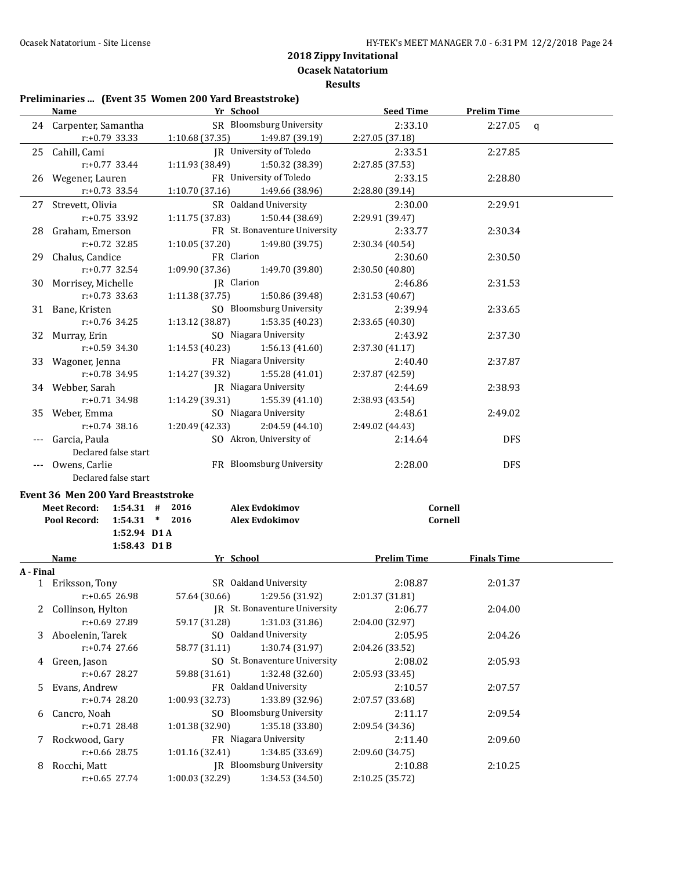# **Preliminaries ... (Event 35 Women 200 Yard Breaststroke)**

|           | <b>Name</b>                             | Yr School       |                               | <b>Seed Time</b>   | <b>Prelim Time</b> |              |
|-----------|-----------------------------------------|-----------------|-------------------------------|--------------------|--------------------|--------------|
|           | 24 Carpenter, Samantha                  |                 | SR Bloomsburg University      | 2:33.10            | 2:27.05            | $\mathbf{q}$ |
|           | r:+0.79 33.33                           | 1:10.68 (37.35) | 1:49.87 (39.19)               | 2:27.05 (37.18)    |                    |              |
|           | 25 Cahill, Cami                         |                 | JR University of Toledo       | 2:33.51            | 2:27.85            |              |
|           | r:+0.77 33.44                           | 1:11.93 (38.49) | 1:50.32 (38.39)               | 2:27.85 (37.53)    |                    |              |
|           | 26 Wegener, Lauren                      |                 | FR University of Toledo       | 2:33.15            | 2:28.80            |              |
|           | $r: +0.73$ 33.54                        | 1:10.70 (37.16) | 1:49.66 (38.96)               | 2:28.80 (39.14)    |                    |              |
| 27        | Strevett, Olivia                        |                 | SR Oakland University         | 2:30.00            | 2:29.91            |              |
|           | $r: +0.75$ 33.92                        | 1:11.75 (37.83) | 1:50.44 (38.69)               | 2:29.91 (39.47)    |                    |              |
| 28        | Graham, Emerson                         |                 | FR St. Bonaventure University | 2:33.77            | 2:30.34            |              |
|           | $r: +0.72$ 32.85                        | 1:10.05 (37.20) | 1:49.80 (39.75)               | 2:30.34 (40.54)    |                    |              |
| 29.       | Chalus, Candice                         | FR Clarion      |                               | 2:30.60            | 2:30.50            |              |
|           | r:+0.77 32.54                           | 1:09.90 (37.36) | 1:49.70 (39.80)               | 2:30.50 (40.80)    |                    |              |
| 30        | Morrisey, Michelle                      | JR Clarion      |                               | 2:46.86            | 2:31.53            |              |
|           | $r: +0.73$ 33.63                        | 1:11.38 (37.75) | 1:50.86 (39.48)               | 2:31.53 (40.67)    |                    |              |
| 31        | Bane, Kristen                           |                 | SO Bloomsburg University      | 2:39.94            | 2:33.65            |              |
|           | $r: +0.76$ 34.25                        | 1:13.12 (38.87) | 1:53.35 (40.23)               | 2:33.65 (40.30)    |                    |              |
|           | 32 Murray, Erin                         |                 | SO Niagara University         | 2:43.92            | 2:37.30            |              |
|           | r:+0.59 34.30                           | 1:14.53 (40.23) | 1:56.13(41.60)                | 2:37.30 (41.17)    |                    |              |
| 33        | Wagoner, Jenna                          |                 | FR Niagara University         | 2:40.40            | 2:37.87            |              |
|           | r:+0.78 34.95                           | 1:14.27 (39.32) | 1:55.28 (41.01)               | 2:37.87 (42.59)    |                    |              |
|           | 34 Webber, Sarah                        |                 | JR Niagara University         | 2:44.69            | 2:38.93            |              |
|           | r:+0.71 34.98                           | 1:14.29 (39.31) | 1:55.39 (41.10)               | 2:38.93 (43.54)    |                    |              |
| 35        | Weber, Emma                             |                 | SO Niagara University         | 2:48.61            | 2:49.02            |              |
|           | $r: +0.74$ 38.16                        | 1:20.49 (42.33) | 2:04.59 (44.10)               | 2:49.02 (44.43)    |                    |              |
| $---$     | Garcia, Paula                           |                 | SO Akron, University of       | 2:14.64            | <b>DFS</b>         |              |
|           | Declared false start                    |                 |                               |                    |                    |              |
|           | --- Owens, Carlie                       |                 | FR Bloomsburg University      | 2:28.00            | <b>DFS</b>         |              |
|           | Declared false start                    |                 |                               |                    |                    |              |
|           | Event 36 Men 200 Yard Breaststroke      |                 |                               |                    |                    |              |
|           | $1:54.31$ # 2016<br><b>Meet Record:</b> |                 | <b>Alex Evdokimov</b>         | Cornell            |                    |              |
|           | $1:54.31$ * 2016<br>Pool Record:        |                 | <b>Alex Evdokimov</b>         | Cornell            |                    |              |
|           | 1:52.94 D1 A                            |                 |                               |                    |                    |              |
|           | 1:58.43 D1B                             |                 |                               |                    |                    |              |
|           | Name                                    | Yr School       |                               | <b>Prelim Time</b> | <b>Finals Time</b> |              |
| A - Final |                                         |                 |                               |                    |                    |              |
|           | 1 Eriksson, Tony                        |                 | SR Oakland University         | 2:08.87            | 2:01.37            |              |
|           | r:+0.65 26.98                           | 57.64 (30.66)   | 1:29.56 (31.92)               | 2:01.37 (31.81)    |                    |              |
| 2         | Collinson, Hylton                       |                 | JR St. Bonaventure University | 2:06.77            | 2:04.00            |              |
|           | r:+0.69 27.89                           | 59.17 (31.28)   | 1:31.03 (31.86)               | 2:04.00 (32.97)    |                    |              |
| 3         | Aboelenin, Tarek                        |                 | SO Oakland University         | 2:05.95            | 2:04.26            |              |
|           | $r: +0.74$ 27.66                        | 58.77 (31.11)   | 1:30.74 (31.97)               | 2:04.26 (33.52)    |                    |              |
| 4         | Green, Jason                            |                 | SO St. Bonaventure University | 2:08.02            | 2:05.93            |              |
|           | $r: +0.67$ 28.27                        | 59.88 (31.61)   | 1:32.48 (32.60)               | 2:05.93 (33.45)    |                    |              |
| 5         | Evans, Andrew                           |                 | FR Oakland University         | 2:10.57            | 2:07.57            |              |
|           | r:+0.74 28.20                           | 1:00.93 (32.73) | 1:33.89 (32.96)               | 2:07.57 (33.68)    |                    |              |
| 6         | Cancro, Noah                            |                 | SO Bloomsburg University      | 2:11.17            | 2:09.54            |              |
|           | r:+0.71 28.48                           | 1:01.38 (32.90) | 1:35.18 (33.80)               | 2:09.54 (34.36)    |                    |              |
| 7         | Rockwood, Gary                          |                 | FR Niagara University         | 2:11.40            | 2:09.60            |              |
|           | r:+0.66 28.75                           | 1:01.16 (32.41) | 1:34.85 (33.69)               | 2:09.60 (34.75)    |                    |              |
| 8         | Rocchi, Matt                            |                 | JR Bloomsburg University      | 2:10.88            | 2:10.25            |              |
|           | $r: +0.65$ 27.74                        | 1:00.03 (32.29) | 1:34.53 (34.50)               | 2:10.25 (35.72)    |                    |              |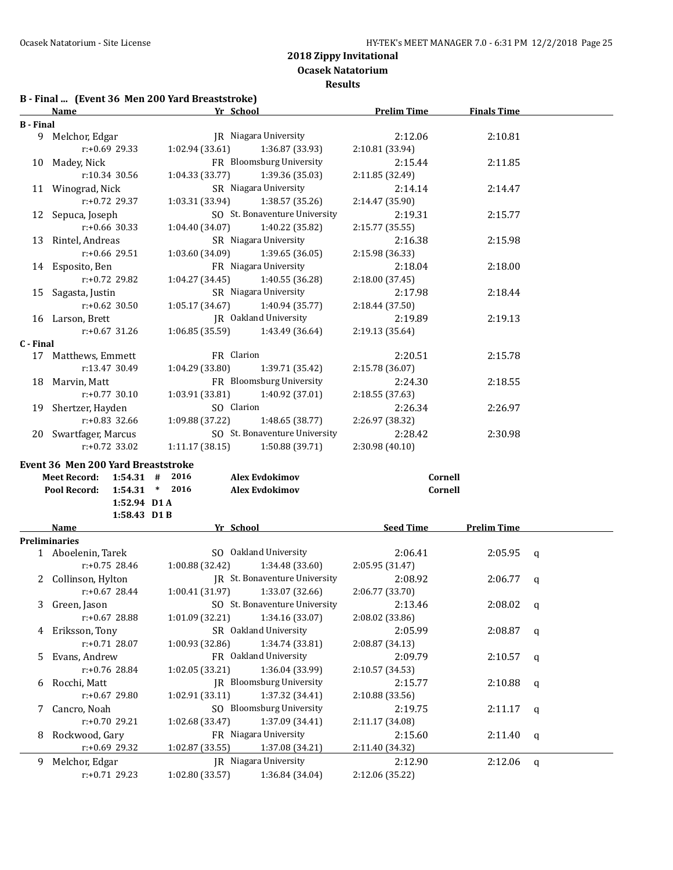**Results**

# **B - Final ... (Event 36 Men 200 Yard Breaststroke)**

|                  | <b>Name</b>                               | Yr School                                                   | <b>Prelim Time</b>         | <b>Finals Time</b>     |  |
|------------------|-------------------------------------------|-------------------------------------------------------------|----------------------------|------------------------|--|
| <b>B</b> - Final |                                           |                                                             |                            |                        |  |
|                  | 9 Melchor, Edgar                          | JR Niagara University                                       | 2:12.06                    | 2:10.81                |  |
|                  | $r+0.69$ 29.33                            | 1:02.94(33.61)<br>1:36.87 (33.93)                           | 2:10.81 (33.94)            |                        |  |
|                  | 10 Madey, Nick                            | FR Bloomsburg University                                    | 2:15.44                    | 2:11.85                |  |
|                  | r:10.34 30.56                             | 1:04.33 (33.77)<br>1:39.36 (35.03)                          | 2:11.85 (32.49)            |                        |  |
|                  | 11 Winograd, Nick                         | SR Niagara University                                       | 2:14.14                    | 2:14.47                |  |
|                  | $r: +0.72$ 29.37                          | 1:03.31 (33.94)<br>1:38.57 (35.26)                          | 2:14.47 (35.90)            |                        |  |
|                  | 12 Sepuca, Joseph                         | SO St. Bonaventure University                               | 2:19.31                    | 2:15.77                |  |
|                  | $r: +0.66$ 30.33                          | 1:04.40 (34.07)<br>1:40.22 (35.82)                          | 2:15.77 (35.55)            |                        |  |
|                  |                                           | SR Niagara University                                       | 2:16.38                    | 2:15.98                |  |
|                  | 13 Rintel, Andreas                        |                                                             |                            |                        |  |
|                  | $r: +0.66$ 29.51                          | 1:03.60(34.09)<br>1:39.65 (36.05)                           | 2:15.98 (36.33)            |                        |  |
|                  | 14 Esposito, Ben                          | FR Niagara University                                       | 2:18.04                    | 2:18.00                |  |
|                  | r:+0.72 29.82                             | 1:04.27 (34.45)<br>1:40.55 (36.28)                          | 2:18.00 (37.45)            |                        |  |
|                  | 15 Sagasta, Justin                        | SR Niagara University                                       | 2:17.98                    | 2:18.44                |  |
|                  | $r: +0.62$ 30.50                          | 1:05.17 (34.67)<br>1:40.94 (35.77)                          | 2:18.44 (37.50)            |                        |  |
|                  | 16 Larson, Brett                          | JR Oakland University                                       | 2:19.89                    | 2:19.13                |  |
|                  | $r: +0.67$ 31.26                          | 1:06.85 (35.59)<br>1:43.49 (36.64)                          | 2:19.13 (35.64)            |                        |  |
| C - Final        |                                           |                                                             |                            |                        |  |
|                  | 17 Matthews, Emmett                       | FR Clarion                                                  | 2:20.51                    | 2:15.78                |  |
|                  | r:13.47 30.49                             | 1:04.29 (33.80)<br>1:39.71 (35.42)                          | 2:15.78 (36.07)            |                        |  |
|                  | 18 Marvin, Matt                           | FR Bloomsburg University                                    | 2:24.30                    | 2:18.55                |  |
|                  | $r: +0.77$ 30.10                          | 1:40.92 (37.01)<br>1:03.91 (33.81)                          | 2:18.55 (37.63)            |                        |  |
|                  | 19 Shertzer, Hayden                       | SO Clarion                                                  | 2:26.34                    | 2:26.97                |  |
|                  | $r: +0.83$ 32.66                          | 1:09.88 (37.22)<br>1:48.65 (38.77)                          | 2:26.97 (38.32)            |                        |  |
|                  | 20 Swartfager, Marcus                     | SO St. Bonaventure University                               | 2:28.42                    | 2:30.98                |  |
|                  | r:+0.72 33.02                             | 1:11.17(38.15)<br>1:50.88 (39.71)                           | 2:30.98(40.10)             |                        |  |
|                  |                                           |                                                             |                            |                        |  |
|                  | <b>Event 36 Men 200 Yard Breaststroke</b> |                                                             |                            |                        |  |
|                  | Meet Record: 1:54.31 # 2016               | <b>Alex Evdokimov</b>                                       | Cornell                    |                        |  |
|                  | Pool Record:<br>$1:54.31$ * 2016          | <b>Alex Evdokimov</b>                                       | Cornell                    |                        |  |
|                  | 1:52.94 D1 A                              |                                                             |                            |                        |  |
|                  | 1:58.43 D1B                               |                                                             |                            |                        |  |
|                  | Name                                      | Yr School                                                   | Seed Time                  | <b>Prelim Time</b>     |  |
|                  | <b>Preliminaries</b>                      | SO Oakland University                                       |                            |                        |  |
|                  | 1 Aboelenin, Tarek                        |                                                             | 2:06.41                    | 2:05.95<br>q           |  |
|                  | $r: +0.75$ 28.46                          | 1:00.88 (32.42)<br>1:34.48 (33.60)                          | 2:05.95 (31.47)            |                        |  |
|                  | 2 Collinson, Hylton                       | IR St. Bonaventure University                               | 2:08.92                    | 2:06.77<br>q           |  |
|                  | $r: +0.67$ 28.44                          | 1:00.41 (31.97)<br>1:33.07 (32.66)                          | 2:06.77 (33.70)            |                        |  |
| 3                | Green, Jason                              | SO St. Bonaventure University                               | 2:13.46                    | 2:08.02<br>q           |  |
|                  | r:+0.67 28.88                             | 1:34.16 (33.07)<br>1:01.09(32.21)                           | 2:08.02 (33.86)            |                        |  |
| 4                | Eriksson, Tony                            | SR Oakland University                                       | 2:05.99                    | 2:08.87<br>$\mathbf q$ |  |
|                  | r:+0.71 28.07                             | 1:00.93(32.86)<br>1:34.74 (33.81)                           | 2:08.87 (34.13)            |                        |  |
| 5                | Evans, Andrew                             | FR Oakland University                                       | 2:09.79                    | 2:10.57<br>q           |  |
|                  | r:+0.76 28.84                             | 1:36.04 (33.99)<br>1:02.05 (33.21)                          | 2:10.57 (34.53)            |                        |  |
| 6                | Rocchi, Matt                              | JR Bloomsburg University                                    | 2:15.77                    | 2:10.88<br>q           |  |
|                  | r:+0.67 29.80                             | 1:02.91 (33.11)<br>1:37.32 (34.41)                          | 2:10.88 (33.56)            |                        |  |
|                  | 7 Cancro, Noah                            | SO Bloomsburg University                                    | 2:19.75                    | 2:11.17<br>$\mathbf q$ |  |
|                  | r:+0.70 29.21                             | 1:02.68 (33.47)<br>1:37.09 (34.41)                          | 2:11.17 (34.08)            |                        |  |
| 8                | Rockwood, Gary                            | FR Niagara University                                       | 2:15.60                    | 2:11.40<br>q           |  |
|                  |                                           |                                                             |                            |                        |  |
|                  |                                           |                                                             |                            |                        |  |
|                  | r:+0.69 29.32                             | 1:02.87 (33.55)<br>1:37.08 (34.21)                          | 2:11.40 (34.32)            |                        |  |
|                  | 9 Melchor, Edgar<br>$r: +0.71$ 29.23      | JR Niagara University<br>1:02.80 (33.57)<br>1:36.84 (34.04) | 2:12.90<br>2:12.06 (35.22) | 2:12.06<br>q           |  |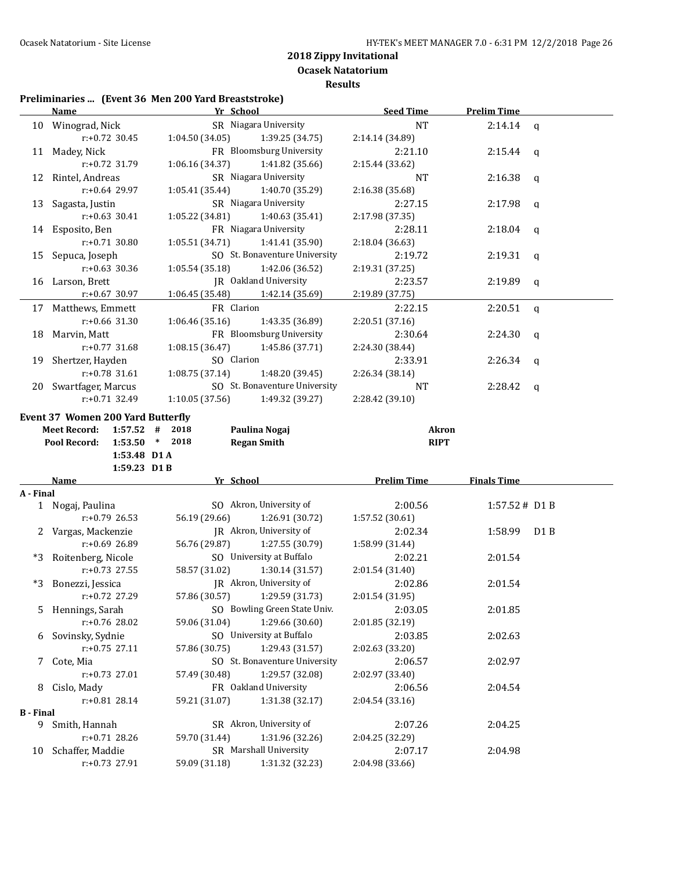**Ocasek Natatorium**

### **Results**

### **Preliminaries ... (Event 36 Men 200 Yard Breaststroke)**

|                  | <u>Name</u>                              | Yr School                                                  | <b>Seed Time</b>   | <b>Prelim Time</b>      |  |
|------------------|------------------------------------------|------------------------------------------------------------|--------------------|-------------------------|--|
|                  | 10 Winograd, Nick                        | SR Niagara University                                      | <b>NT</b>          | 2:14.14<br>$\mathsf{q}$ |  |
|                  | $r: +0.72$ 30.45                         | 1:04.50(34.05)<br>1:39.25 (34.75)                          | 2:14.14 (34.89)    |                         |  |
|                  | 11 Madey, Nick                           | FR Bloomsburg University                                   | 2:21.10            | 2:15.44<br>q            |  |
|                  | r:+0.72 31.79                            | 1:06.16 (34.37)<br>1:41.82 (35.66)                         | 2:15.44 (33.62)    |                         |  |
|                  | 12 Rintel, Andreas                       | SR Niagara University                                      | NT                 | 2:16.38<br>q            |  |
|                  | r:+0.64 29.97                            | 1:05.41(35.44)<br>1:40.70 (35.29)                          | 2:16.38 (35.68)    |                         |  |
| 13               | Sagasta, Justin                          | SR Niagara University                                      | 2:27.15            | 2:17.98<br>q            |  |
|                  | $r: +0.63$ 30.41                         | 1:40.63 (35.41)<br>1:05.22(34.81)                          | 2:17.98 (37.35)    |                         |  |
|                  | 14 Esposito, Ben                         | FR Niagara University                                      | 2:28.11            | 2:18.04<br>q            |  |
|                  | $r: +0.71$ 30.80                         | 1:05.51 (34.71)<br>1:41.41 (35.90)                         | 2:18.04 (36.63)    |                         |  |
|                  | 15 Sepuca, Joseph                        | SO St. Bonaventure University                              | 2:19.72            | 2:19.31<br>q            |  |
|                  | $r: +0.63$ 30.36                         | 1:05.54 (35.18)<br>1:42.06 (36.52)                         | 2:19.31 (37.25)    |                         |  |
|                  | 16 Larson, Brett                         | JR Oakland University                                      | 2:23.57            | 2:19.89<br>q            |  |
|                  | $r: +0.67$ 30.97                         | 1:06.45 (35.48)<br>1:42.14 (35.69)                         | 2:19.89 (37.75)    |                         |  |
| 17               | Matthews, Emmett                         | FR Clarion                                                 | 2:22.15            | 2:20.51<br>$\mathbf q$  |  |
|                  | $r: +0.66$ 31.30                         | 1:06.46 (35.16)<br>1:43.35 (36.89)                         | 2:20.51 (37.16)    |                         |  |
| 18               | Marvin, Matt                             | FR Bloomsburg University                                   | 2:30.64            | 2:24.30<br>q            |  |
|                  | $r: +0.77$ 31.68                         | 1:45.86 (37.71)<br>1:08.15 (36.47)                         | 2:24.30 (38.44)    |                         |  |
| 19               | Shertzer, Hayden                         | SO Clarion                                                 | 2:33.91            | 2:26.34<br>q            |  |
|                  | r:+0.78 31.61                            | 1:08.75 (37.14)<br>1:48.20 (39.45)                         | 2:26.34 (38.14)    |                         |  |
|                  | 20 Swartfager, Marcus                    | SO St. Bonaventure University                              | NT                 | 2:28.42<br>q            |  |
|                  | r:+0.71 32.49                            | 1:49.32 (39.27)<br>1:10.05 (37.56)                         | 2:28.42 (39.10)    |                         |  |
|                  |                                          |                                                            |                    |                         |  |
|                  | <b>Event 37 Women 200 Yard Butterfly</b> |                                                            |                    |                         |  |
|                  | <b>Meet Record:</b><br>$1:57.52$ # 2018  | Paulina Nogaj                                              | <b>Akron</b>       |                         |  |
|                  |                                          |                                                            |                    |                         |  |
|                  | Pool Record:                             | $1:53.50$ * 2018<br><b>Regan Smith</b>                     | <b>RIPT</b>        |                         |  |
|                  | 1:53.48 D1 A                             |                                                            |                    |                         |  |
|                  | 1:59.23 D1 B<br>Name                     | Yr School                                                  |                    | <b>Finals Time</b>      |  |
| A - Final        |                                          |                                                            | <b>Prelim Time</b> |                         |  |
|                  | 1 Nogaj, Paulina                         | SO Akron, University of                                    | 2:00.56            | 1:57.52# D1 B           |  |
|                  | $r: +0.79$ 26.53                         | 56.19 (29.66)<br>1:26.91 (30.72)                           | 1:57.52 (30.61)    |                         |  |
|                  | 2 Vargas, Mackenzie                      | JR Akron, University of                                    | 2:02.34            | 1:58.99<br>D1 B         |  |
|                  | r:+0.69 26.89                            | 56.76 (29.87)<br>1:27.55 (30.79)                           | 1:58.99 (31.44)    |                         |  |
|                  | *3 Roitenberg, Nicole                    | SO University at Buffalo                                   | 2:02.21            | 2:01.54                 |  |
|                  | r:+0.73 27.55                            | 58.57 (31.02)<br>1:30.14 (31.57)                           | 2:01.54 (31.40)    |                         |  |
|                  | *3 Bonezzi, Jessica                      | JR Akron, University of                                    | 2:02.86            | 2:01.54                 |  |
|                  | r:+0.72 27.29                            | 57.86 (30.57) 1:29.59 (31.73)                              | 2:01.54 (31.95)    |                         |  |
|                  | 5 Hennings, Sarah                        | SO Bowling Green State Univ.                               | 2:03.05            | 2:01.85                 |  |
|                  | r:+0.76 28.02                            | 59.06 (31.04)<br>1:29.66 (30.60)                           | 2:01.85 (32.19)    |                         |  |
| 6                | Sovinsky, Sydnie                         | SO University at Buffalo                                   | 2:03.85            | 2:02.63                 |  |
|                  | r:+0.75 27.11                            | 57.86 (30.75)<br>1:29.43 (31.57)                           | 2:02.63 (33.20)    |                         |  |
| 7                | Cote, Mia                                | SO St. Bonaventure University                              | 2:06.57            | 2:02.97                 |  |
|                  | r:+0.73 27.01                            | 57.49 (30.48)<br>1:29.57 (32.08)                           | 2:02.97 (33.40)    |                         |  |
| 8                | Cislo, Mady                              | FR Oakland University                                      | 2:06.56            | 2:04.54                 |  |
|                  | r:+0.81 28.14                            | 59.21 (31.07)<br>1:31.38 (32.17)                           | 2:04.54 (33.16)    |                         |  |
|                  |                                          |                                                            |                    |                         |  |
|                  | 9 Smith, Hannah                          | SR Akron, University of                                    | 2:07.26            | 2:04.25                 |  |
| <b>B</b> - Final | r:+0.71 28.26                            | 1:31.96 (32.26)<br>59.70 (31.44)                           | 2:04.25 (32.29)    |                         |  |
| 10               | Schaffer, Maddie                         | SR Marshall University<br>59.09 (31.18)<br>1:31.32 (32.23) | 2:07.17            | 2:04.98                 |  |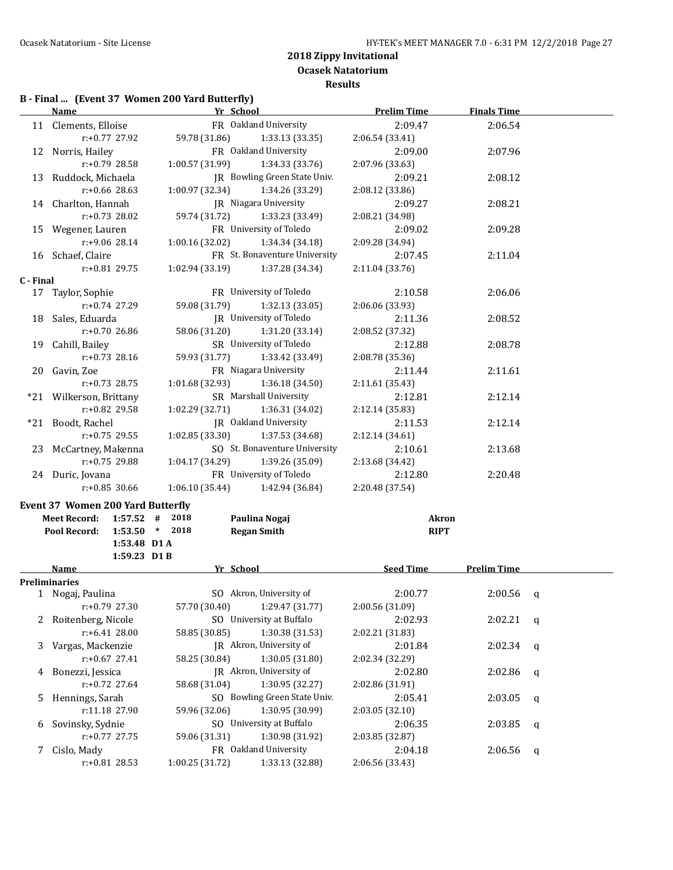# **B - Final ... (Event 37 Women 200 Yard Butterfly)**

|           | Yr School<br><b>Name</b>                 |                                    | <b>Prelim Time</b> | <b>Finals Time</b> |   |
|-----------|------------------------------------------|------------------------------------|--------------------|--------------------|---|
|           | 11 Clements, Elloise                     | FR Oakland University              | 2:09.47            | 2:06.54            |   |
|           | r:+0.77 27.92                            | 59.78 (31.86)<br>1:33.13 (33.35)   | 2:06.54 (33.41)    |                    |   |
|           | 12 Norris, Hailey                        | FR Oakland University              | 2:09.00            | 2:07.96            |   |
|           | r:+0.79 28.58                            | 1:00.57 (31.99)<br>1:34.33 (33.76) | 2:07.96 (33.63)    |                    |   |
|           | 13 Ruddock, Michaela                     | JR Bowling Green State Univ.       | 2:09.21            | 2:08.12            |   |
|           | $r: +0.66$ 28.63                         | 1:00.97 (32.34)<br>1:34.26 (33.29) | 2:08.12 (33.86)    |                    |   |
|           | 14 Charlton, Hannah                      | JR Niagara University              | 2:09.27            | 2:08.21            |   |
|           | $r: +0.73$ 28.02                         | 59.74 (31.72)<br>1:33.23 (33.49)   | 2:08.21 (34.98)    |                    |   |
|           | 15 Wegener, Lauren                       | FR University of Toledo            | 2:09.02            | 2:09.28            |   |
|           | r:+9.06 28.14                            | 1:00.16(32.02)<br>1:34.34 (34.18)  | 2:09.28 (34.94)    |                    |   |
|           | 16 Schaef, Claire                        | FR St. Bonaventure University      | 2:07.45            | 2:11.04            |   |
|           | $r: +0.81$ 29.75                         | $1:02.94(33.19)$ $1:37.28(34.34)$  | 2:11.04 (33.76)    |                    |   |
| C - Final |                                          |                                    |                    |                    |   |
|           | 17 Taylor, Sophie                        | FR University of Toledo            | 2:10.58            | 2:06.06            |   |
|           | r:+0.74 27.29                            | 59.08 (31.79)<br>1:32.13 (33.05)   | 2:06.06 (33.93)    |                    |   |
|           | 18 Sales, Eduarda                        | JR University of Toledo            | 2:11.36            | 2:08.52            |   |
|           | r:+0.70 26.86                            | 58.06 (31.20)<br>1:31.20 (33.14)   | 2:08.52 (37.32)    |                    |   |
|           | 19 Cahill, Bailey                        | SR University of Toledo            | 2:12.88            | 2:08.78            |   |
|           | $r: +0.73$ 28.16                         | 59.93 (31.77)<br>1:33.42 (33.49)   | 2:08.78 (35.36)    |                    |   |
|           | 20 Gavin, Zoe                            | FR Niagara University              | 2:11.44            | 2:11.61            |   |
|           | $r: +0.73$ 28.75                         | 1:01.68 (32.93)<br>1:36.18 (34.50) | 2:11.61 (35.43)    |                    |   |
|           | *21 Wilkerson, Brittany                  | SR Marshall University             | 2:12.81            | 2:12.14            |   |
|           | r:+0.82 29.58                            | 1:02.29 (32.71)<br>1:36.31 (34.02) | 2:12.14 (35.83)    |                    |   |
|           | *21 Boodt, Rachel                        | JR Oakland University              | 2:11.53            | 2:12.14            |   |
|           | $r: +0.75$ 29.55                         | 1:02.85 (33.30)<br>1:37.53 (34.68) | 2:12.14 (34.61)    |                    |   |
|           | 23 McCartney, Makenna                    | SO St. Bonaventure University      | 2:10.61            | 2:13.68            |   |
|           | r:+0.75 29.88                            | 1:04.17 (34.29)<br>1:39.26 (35.09) | 2:13.68 (34.42)    |                    |   |
|           | 24 Duric, Jovana                         | FR University of Toledo            | 2:12.80            | 2:20.48            |   |
|           | $r: +0.85$ 30.66                         | 1:06.10 (35.44)<br>1:42.94 (36.84) | 2:20.48 (37.54)    |                    |   |
|           | <b>Event 37 Women 200 Yard Butterfly</b> |                                    |                    |                    |   |
|           | $1:57.52$ # 2018<br><b>Meet Record:</b>  | Paulina Nogaj                      | Akron              |                    |   |
|           | $1:53.50$ * 2018<br>Pool Record:         | <b>Regan Smith</b>                 | <b>RIPT</b>        |                    |   |
|           | 1:53.48 D1 A                             |                                    |                    |                    |   |
|           | $1:59.23$ D1B                            |                                    |                    |                    |   |
|           | Name                                     | Yr School                          | Seed Time          | <b>Prelim Time</b> |   |
|           | <b>Preliminaries</b>                     |                                    |                    |                    |   |
|           | 1 Nogaj, Paulina                         | SO Akron, University of            | 2:00.77            | 2:00.56            | q |
|           | r:+0.79 27.30                            | 57.70 (30.40)<br>1:29.47 (31.77)   | 2:00.56 (31.09)    |                    |   |
|           | 2 Roitenberg, Nicole                     | SO University at Buffalo           | 2:02.93            | 2:02.21            | q |
|           | r:+6.41 28.00                            | 58.85 (30.85)<br>1:30.38 (31.53)   | 2:02.21 (31.83)    |                    |   |
| 3         | Vargas, Mackenzie                        | JR Akron, University of            | 2:01.84            | 2:02.34            | q |
|           | $r: +0.67$ 27.41                         | 58.25 (30.84)<br>1:30.05 (31.80)   | 2:02.34 (32.29)    |                    |   |
| 4         | Bonezzi, Jessica                         | JR Akron, University of            | 2:02.80            | 2:02.86            | q |
|           | $r: +0.72$ 27.64                         | 58.68 (31.04)<br>1:30.95 (32.27)   | 2:02.86 (31.91)    |                    |   |
| 5         | Hennings, Sarah                          | SO Bowling Green State Univ.       | 2:05.41            | 2:03.05            | q |
|           | r:11.18 27.90                            | 1:30.95 (30.99)<br>59.96 (32.06)   | 2:03.05 (32.10)    |                    |   |
| 6         | Sovinsky, Sydnie                         | SO University at Buffalo           | 2:06.35            | 2:03.85            | q |
|           | $r: +0.77$ 27.75                         | 1:30.98 (31.92)<br>59.06 (31.31)   | 2:03.85 (32.87)    |                    |   |
|           | 7 Cislo, Mady                            | FR Oakland University              | 2:04.18            | 2:06.56            | q |
|           | r:+0.81 28.53                            | 1:00.25 (31.72)<br>1:33.13 (32.88) | 2:06.56 (33.43)    |                    |   |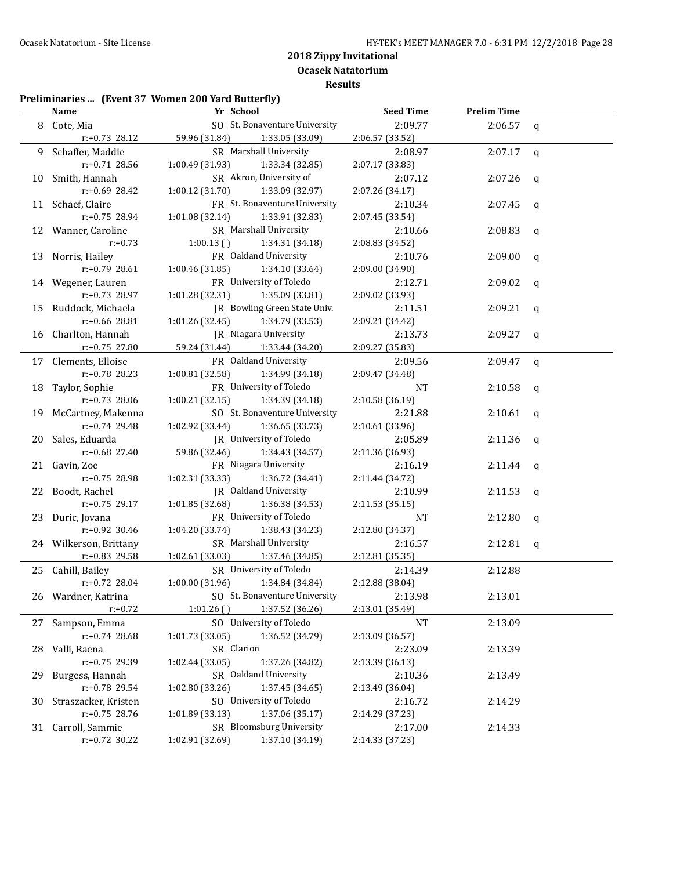#### **Preliminaries ... (Event 37 Women 200 Yard Butterfly)**

|     | <b>Name</b>                    | Yr School                                                 | <b>Seed Time</b>           | <b>Prelim Time</b> |              |
|-----|--------------------------------|-----------------------------------------------------------|----------------------------|--------------------|--------------|
| 8   | Cote, Mia                      | SO St. Bonaventure University                             | 2:09.77                    | 2:06.57            | $\mathsf{q}$ |
|     | r:+0.73 28.12                  | 59.96 (31.84)<br>1:33.05 (33.09)                          | 2:06.57 (33.52)            |                    |              |
| 9   | Schaffer, Maddie               | SR Marshall University                                    | 2:08.97                    | 2:07.17            | $\mathbf q$  |
|     | $r: +0.71$ 28.56               | 1:00.49 (31.93)<br>1:33.34 (32.85)                        | 2:07.17 (33.83)            |                    |              |
| 10  | Smith, Hannah                  | SR Akron, University of                                   | 2:07.12                    | 2:07.26            | q            |
|     | r:+0.69 28.42                  | 1:00.12 (31.70)<br>1:33.09 (32.97)                        | 2:07.26 (34.17)            |                    |              |
|     | 11 Schaef, Claire              | FR St. Bonaventure University                             | 2:10.34                    | 2:07.45            | q            |
|     | r:+0.75 28.94                  | 1:33.91 (32.83)<br>1:01.08(32.14)                         | 2:07.45 (33.54)            |                    |              |
|     | 12 Wanner, Caroline            | SR Marshall University                                    | 2:10.66                    | 2:08.83            | q            |
|     | $r: +0.73$                     | $1:00.13$ ()<br>1:34.31 (34.18)                           | 2:08.83 (34.52)            |                    |              |
|     | 13 Norris, Hailey              | FR Oakland University                                     | 2:10.76                    | 2:09.00            | q            |
|     | r:+0.79 28.61                  | 1:34.10 (33.64)<br>1:00.46 (31.85)                        | 2:09.00 (34.90)            |                    |              |
|     | 14 Wegener, Lauren             | FR University of Toledo                                   | 2:12.71                    | 2:09.02            | q            |
|     | $r: +0.73$ 28.97               | 1:01.28 (32.31)<br>1:35.09 (33.81)                        | 2:09.02 (33.93)            |                    |              |
| 15  | Ruddock, Michaela              | JR Bowling Green State Univ.                              | 2:11.51                    | 2:09.21            | q            |
|     | r:+0.66 28.81                  | 1:01.26 (32.45)<br>1:34.79 (33.53)                        | 2:09.21 (34.42)            |                    |              |
| 16  | Charlton, Hannah               | JR Niagara University                                     | 2:13.73                    | 2:09.27            | q            |
|     | r:+0.75 27.80                  | 59.24 (31.44)<br>1:33.44 (34.20)                          | 2:09.27 (35.83)            |                    |              |
| 17  | Clements, Elloise              | FR Oakland University                                     | 2:09.56                    | 2:09.47            | $\mathbf q$  |
|     | r:+0.78 28.23                  | 1:00.81 (32.58)<br>1:34.99 (34.18)                        | 2:09.47 (34.48)            |                    |              |
| 18  | Taylor, Sophie                 | FR University of Toledo                                   | NT                         | 2:10.58            | q            |
|     | $r: +0.73$ 28.06               | 1:00.21(32.15)<br>1:34.39 (34.18)                         | 2:10.58 (36.19)            |                    |              |
| 19  | McCartney, Makenna             | SO St. Bonaventure University                             | 2:21.88                    | 2:10.61            | q            |
|     | r:+0.74 29.48                  | 1:36.65 (33.73)<br>1:02.92 (33.44)                        | 2:10.61 (33.96)            |                    |              |
| 20  | Sales, Eduarda                 | JR University of Toledo                                   | 2:05.89                    | 2:11.36            | q            |
|     | r:+0.68 27.40                  | 59.86 (32.46)<br>1:34.43 (34.57)<br>FR Niagara University | 2:11.36 (36.93)            |                    |              |
|     | 21 Gavin, Zoe<br>r:+0.75 28.98 | 1:36.72 (34.41)                                           | 2:16.19                    | 2:11.44            | q            |
|     |                                | 1:02.31 (33.33)<br>JR Oakland University                  | 2:11.44 (34.72)<br>2:10.99 |                    |              |
| 22  | Boodt, Rachel<br>r:+0.75 29.17 | 1:01.85 (32.68)<br>1:36.38 (34.53)                        | 2:11.53 (35.15)            | 2:11.53            | q            |
| 23  | Duric, Jovana                  | FR University of Toledo                                   | NT                         | 2:12.80            | q            |
|     | r:+0.92 30.46                  | 1:04.20 (33.74)<br>1:38.43 (34.23)                        | 2:12.80 (34.37)            |                    |              |
|     | 24 Wilkerson, Brittany         | SR Marshall University                                    | 2:16.57                    | 2:12.81            | q            |
|     | r:+0.83 29.58                  | 1:02.61 (33.03)<br>1:37.46 (34.85)                        | 2:12.81 (35.35)            |                    |              |
|     | 25 Cahill, Bailey              | SR University of Toledo                                   | 2:14.39                    | 2:12.88            |              |
|     | $r: +0.72$ 28.04               | 1:00.00(31.96)<br>1:34.84 (34.84)                         | 2:12.88 (38.04)            |                    |              |
|     | 26 Wardner, Katrina            | SO St. Bonaventure University                             | 2:13.98                    | 2:13.01            |              |
|     | $r: +0.72$                     | 1:37.52 (36.26)<br>1:01.26()                              | 2:13.01 (35.49)            |                    |              |
|     | 27 Sampson, Emma               | SO University of Toledo                                   | NT                         | 2:13.09            |              |
|     | $r: +0.74$ 28.68               | 1:01.73 (33.05)<br>1:36.52 (34.79)                        | 2:13.09 (36.57)            |                    |              |
| 28  | Valli, Raena                   | SR Clarion                                                | 2:23.09                    | 2:13.39            |              |
|     | r:+0.75 29.39                  | 1:37.26 (34.82)<br>1:02.44 (33.05)                        | 2:13.39 (36.13)            |                    |              |
| 29. | Burgess, Hannah                | SR Oakland University                                     | 2:10.36                    | 2:13.49            |              |
|     | r:+0.78 29.54                  | 1:37.45 (34.65)<br>1:02.80 (33.26)                        | 2:13.49 (36.04)            |                    |              |
| 30  | Straszacker, Kristen           | SO University of Toledo                                   | 2:16.72                    | 2:14.29            |              |
|     | $r: +0.75$ 28.76               | 1:37.06 (35.17)<br>1:01.89 (33.13)                        | 2:14.29 (37.23)            |                    |              |
|     | 31 Carroll, Sammie             | SR Bloomsburg University                                  | 2:17.00                    | 2:14.33            |              |
|     | r:+0.72 30.22                  | 1:02.91 (32.69)<br>1:37.10 (34.19)                        | 2:14.33 (37.23)            |                    |              |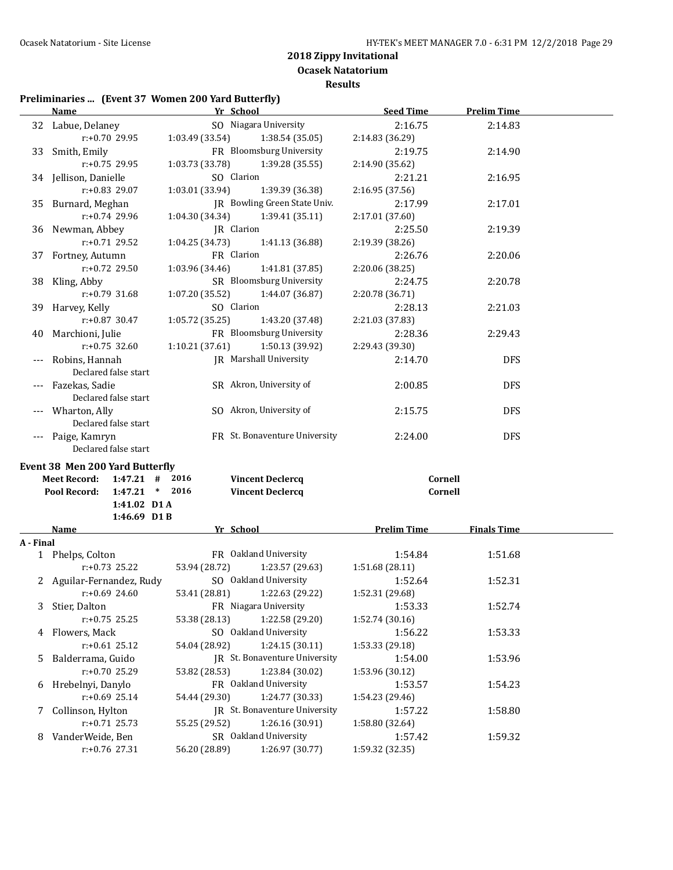**Ocasek Natatorium Results**

# **Preliminaries ... (Event 37 Women 200 Yard Butterfly)**

|           | <b>Name</b>                            | Yr School                          | <b>Seed Time</b>   | <b>Prelim Time</b> |  |
|-----------|----------------------------------------|------------------------------------|--------------------|--------------------|--|
|           | 32 Labue, Delaney                      | SO Niagara University              | 2:16.75            | 2:14.83            |  |
|           | r:+0.70 29.95                          | 1:03.49 (33.54)<br>1:38.54 (35.05) | 2:14.83 (36.29)    |                    |  |
|           | 33 Smith, Emily                        | FR Bloomsburg University           | 2:19.75            | 2:14.90            |  |
|           | r:+0.75 29.95                          | 1:03.73 (33.78)<br>1:39.28 (35.55) | 2:14.90 (35.62)    |                    |  |
|           | 34 Jellison, Danielle                  | SO Clarion                         | 2:21.21            | 2:16.95            |  |
|           | r:+0.83 29.07                          | 1:03.01 (33.94)<br>1:39.39 (36.38) | 2:16.95 (37.56)    |                    |  |
|           | 35 Burnard, Meghan                     | JR Bowling Green State Univ.       | 2:17.99            | 2:17.01            |  |
|           | $r: +0.74$ 29.96                       | 1:04.30 (34.34)<br>1:39.41 (35.11) | 2:17.01 (37.60)    |                    |  |
|           | 36 Newman, Abbey                       | JR Clarion                         | 2:25.50            | 2:19.39            |  |
|           | $r: +0.71$ 29.52                       | 1:04.25 (34.73)<br>1:41.13 (36.88) | 2:19.39 (38.26)    |                    |  |
|           | 37 Fortney, Autumn                     | FR Clarion                         | 2:26.76            | 2:20.06            |  |
|           | $r: +0.72$ 29.50                       | 1:03.96 (34.46)<br>1:41.81 (37.85) | 2:20.06 (38.25)    |                    |  |
|           | 38 Kling, Abby                         | SR Bloomsburg University           | 2:24.75            | 2:20.78            |  |
|           | r:+0.79 31.68                          | 1:07.20 (35.52)<br>1:44.07 (36.87) | 2:20.78 (36.71)    |                    |  |
|           |                                        | SO Clarion                         | 2:28.13            |                    |  |
|           | 39 Harvey, Kelly                       |                                    |                    | 2:21.03            |  |
|           | $r: +0.87$ 30.47                       | 1:05.72 (35.25)<br>1:43.20 (37.48) | 2:21.03 (37.83)    |                    |  |
| 40        | Marchioni, Julie                       | FR Bloomsburg University           | 2:28.36            | 2:29.43            |  |
|           | $r: +0.75$ 32.60                       | 1:10.21(37.61)<br>1:50.13 (39.92)  | 2:29.43 (39.30)    |                    |  |
| ---       | Robins, Hannah                         | <b>IR</b> Marshall University      | 2:14.70            | <b>DFS</b>         |  |
|           | Declared false start                   |                                    |                    |                    |  |
|           | Fazekas, Sadie                         | SR Akron, University of            | 2:00.85            | <b>DFS</b>         |  |
|           | Declared false start                   |                                    |                    |                    |  |
|           | Wharton, Ally                          | SO Akron, University of            | 2:15.75            | <b>DFS</b>         |  |
|           | Declared false start                   |                                    |                    |                    |  |
| $---$     | Paige, Kamryn                          | FR St. Bonaventure University      | 2:24.00            | <b>DFS</b>         |  |
|           | Declared false start                   |                                    |                    |                    |  |
|           | <b>Event 38 Men 200 Yard Butterfly</b> |                                    |                    |                    |  |
|           | <b>Meet Record:</b><br>$1:47.21$ #     | 2016<br><b>Vincent Declercq</b>    | Cornell            |                    |  |
|           | Pool Record:<br>$1:47.21$ * 2016       | <b>Vincent Declercq</b>            | Cornell            |                    |  |
|           | 1:41.02 D1 A                           |                                    |                    |                    |  |
|           | $1:46.69$ D1B                          |                                    |                    |                    |  |
|           | Name                                   | Yr School                          | <b>Prelim Time</b> | <b>Finals Time</b> |  |
| A - Final |                                        |                                    |                    |                    |  |
|           | 1 Phelps, Colton                       | FR Oakland University              | 1:54.84            | 1:51.68            |  |
|           | $r: +0.73$ 25.22                       | 53.94 (28.72)<br>1:23.57 (29.63)   | 1:51.68 (28.11)    |                    |  |
|           | 2 Aguilar-Fernandez, Rudy              | SO Oakland University              | 1:52.64            | 1:52.31            |  |
|           | $r: +0.69$ 24.60                       | 53.41 (28.81)<br>1:22.63 (29.22)   | 1:52.31 (29.68)    |                    |  |
| 3         | Stier, Dalton                          | FR Niagara University              | 1:53.33            | 1:52.74            |  |
|           | $r: +0.75$ 25.25                       | 1:22.58 (29.20)<br>53.38 (28.13)   | 1:52.74 (30.16)    |                    |  |
| 4         | Flowers, Mack                          | SO Oakland University              | 1:56.22            | 1:53.33            |  |
|           | $r: +0.61$ 25.12                       | 54.04 (28.92)<br>1:24.15 (30.11)   | 1:53.33 (29.18)    |                    |  |
| 5.        | Balderrama, Guido                      | JR St. Bonaventure University      | 1:54.00            | 1:53.96            |  |
|           | r:+0.70 25.29                          | 53.82 (28.53)<br>1:23.84 (30.02)   | 1:53.96 (30.12)    |                    |  |
|           | 6 Hrebelnyi, Danylo                    | FR Oakland University              | 1:53.57            | 1:54.23            |  |
|           | $r: +0.69$ 25.14                       | 54.44 (29.30)<br>1:24.77 (30.33)   | 1:54.23 (29.46)    |                    |  |
| 7         | Collinson, Hylton                      | JR St. Bonaventure University      | 1:57.22            | 1:58.80            |  |
|           | $r: +0.71$ 25.73                       | 55.25 (29.52)<br>1:26.16 (30.91)   | 1:58.80 (32.64)    |                    |  |
| 8         |                                        |                                    |                    |                    |  |
|           | VanderWeide, Ben                       | SR Oakland University              | 1:57.42            | 1:59.32            |  |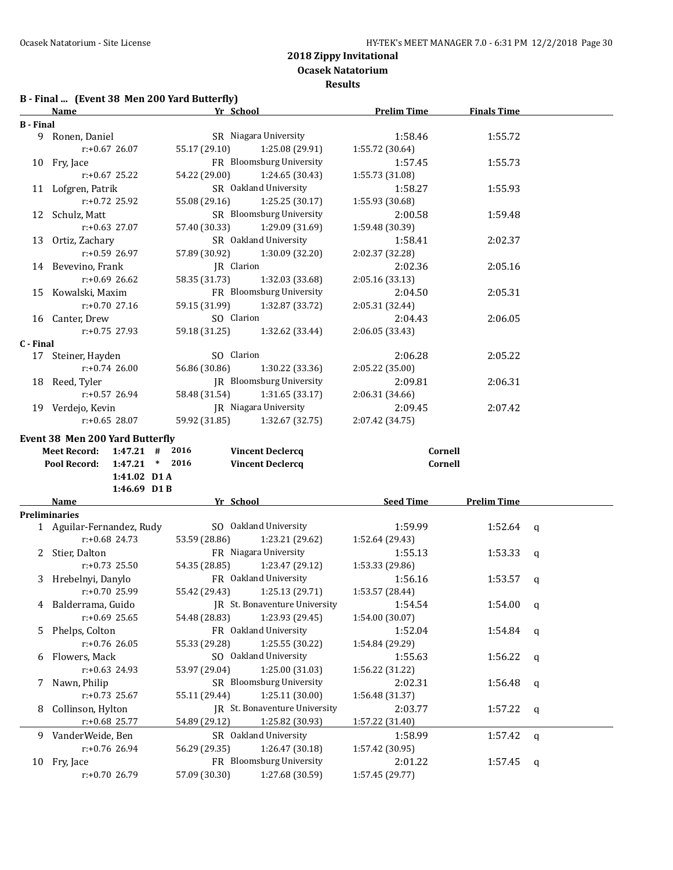**Results**

# **B - Final ... (Event 38 Men 200 Yard Butterfly)**

|                  | <b>Name</b>                         | Yr School                                                    | <b>Prelim Time</b>         | <b>Finals Time</b> |              |
|------------------|-------------------------------------|--------------------------------------------------------------|----------------------------|--------------------|--------------|
| <b>B</b> - Final |                                     |                                                              |                            |                    |              |
|                  | 9 Ronen, Daniel                     | SR Niagara University                                        | 1:58.46                    | 1:55.72            |              |
|                  | $r: +0.67$ 26.07                    | 1:25.08 (29.91)<br>55.17 (29.10)                             | 1:55.72 (30.64)            |                    |              |
|                  | 10 Fry, Jace                        | FR Bloomsburg University                                     | 1:57.45                    | 1:55.73            |              |
|                  | $r: +0.67$ 25.22                    | 54.22 (29.00)<br>1:24.65 (30.43)                             | 1:55.73 (31.08)            |                    |              |
|                  | 11 Lofgren, Patrik                  | SR Oakland University                                        | 1:58.27                    | 1:55.93            |              |
|                  | r:+0.72 25.92                       | 55.08 (29.16)<br>1:25.25 (30.17)                             | 1:55.93 (30.68)            |                    |              |
|                  | 12 Schulz, Matt                     | SR Bloomsburg University                                     | 2:00.58                    | 1:59.48            |              |
|                  | $r: +0.63$ 27.07                    | 57.40 (30.33)<br>1:29.09 (31.69)                             | 1:59.48 (30.39)            |                    |              |
|                  | 13 Ortiz, Zachary                   | SR Oakland University                                        | 1:58.41                    | 2:02.37            |              |
|                  | $r: +0.59$ 26.97                    | 57.89 (30.92)<br>1:30.09 (32.20)                             | 2:02.37 (32.28)            |                    |              |
|                  | 14 Bevevino, Frank                  | JR Clarion                                                   | 2:02.36                    | 2:05.16            |              |
|                  | $r$ :+0.69 26.62                    | 58.35 (31.73)<br>1:32.03 (33.68)                             | 2:05.16 (33.13)            |                    |              |
|                  | 15 Kowalski, Maxim                  | FR Bloomsburg University                                     | 2:04.50                    | 2:05.31            |              |
|                  | $r: +0.70$ 27.16                    | 59.15 (31.99)<br>1:32.87 (33.72)                             | 2:05.31 (32.44)            |                    |              |
|                  |                                     | SO Clarion                                                   | 2:04.43                    |                    |              |
|                  | 16 Canter, Drew<br>$r: +0.75$ 27.93 | 59.18 (31.25)<br>1:32.62 (33.44)                             | 2:06.05 (33.43)            | 2:06.05            |              |
| C - Final        |                                     |                                                              |                            |                    |              |
|                  | 17 Steiner, Hayden                  | SO Clarion                                                   | 2:06.28                    | 2:05.22            |              |
|                  | $r: +0.74$ 26.00                    | 56.86 (30.86)<br>1:30.22 (33.36)                             | 2:05.22 (35.00)            |                    |              |
|                  | 18 Reed, Tyler                      | JR Bloomsburg University                                     | 2:09.81                    | 2:06.31            |              |
|                  | $r: +0.57$ 26.94                    | 58.48 (31.54)<br>1:31.65 (33.17)                             | 2:06.31 (34.66)            |                    |              |
|                  | 19 Verdejo, Kevin                   | <b>IR</b> Niagara University                                 | 2:09.45                    | 2:07.42            |              |
|                  | $r: +0.65$ 28.07                    | 59.92 (31.85)<br>1:32.67 (32.75)                             | 2:07.42 (34.75)            |                    |              |
|                  |                                     |                                                              |                            |                    |              |
|                  | Event 38 Men 200 Yard Butterfly     |                                                              |                            |                    |              |
|                  | Meet Record: 1:47.21 # 2016         | <b>Vincent Declercq</b>                                      | Cornell                    |                    |              |
|                  | Pool Record: 1:47.21 * 2016         | <b>Vincent Declercq</b>                                      | Cornell                    |                    |              |
|                  | 1:41.02 D1 A                        |                                                              |                            |                    |              |
|                  | 1:46.69 D1 B                        |                                                              |                            |                    |              |
|                  | Name                                | Yr School                                                    | <b>Seed Time</b>           | <b>Prelim Time</b> |              |
|                  | <b>Preliminaries</b>                |                                                              |                            |                    |              |
|                  | 1 Aguilar-Fernandez, Rudy           | SO Oakland University                                        | 1:59.99                    | 1:52.64            | q            |
|                  | $r: +0.68$ 24.73                    |                                                              |                            |                    |              |
|                  |                                     | 53.59 (28.86)<br>1:23.21 (29.62)                             | 1:52.64 (29.43)            |                    |              |
|                  | 2 Stier, Dalton                     | FR Niagara University                                        | 1:55.13                    | 1:53.33            | q            |
|                  | $r: +0.73$ 25.50                    | 54.35 (28.85)<br>1:23.47 (29.12)                             | 1:53.33 (29.86)            |                    |              |
|                  | 3 Hrebelnyi, Danylo                 | FR Oakland University                                        | 1:56.16                    | 1:53.57            | q            |
|                  | $r: +0.70$ 25.99                    | 55.42 (29.43)<br>1:25.13 (29.71)                             | 1:53.57 (28.44)            |                    |              |
| 4                | Balderrama, Guido                   | JR St. Bonaventure University                                | 1:54.54                    | 1:54.00            | q            |
|                  | $r: +0.69$ 25.65                    | 1:23.93 (29.45)<br>54.48 (28.83)                             | 1:54.00 (30.07)            |                    |              |
| 5.               | Phelps, Colton                      | FR Oakland University                                        | 1:52.04                    | 1:54.84            | q            |
|                  | $r: +0.76$ 26.05                    | 1:25.55 (30.22)<br>55.33 (29.28)                             | 1:54.84 (29.29)            |                    |              |
| 6                | Flowers, Mack                       | SO Oakland University                                        | 1:55.63                    | 1:56.22            | q            |
|                  | $r: +0.63$ 24.93                    | 1:25.00 (31.03)<br>53.97 (29.04)                             | 1:56.22 (31.22)            |                    |              |
| 7                | Nawn, Philip                        | SR Bloomsburg University                                     | 2:02.31                    | 1:56.48            | q            |
|                  | $r: +0.73$ 25.67                    | 1:25.11(30.00)<br>55.11 (29.44)                              | 1:56.48 (31.37)            |                    |              |
| 8                | Collinson, Hylton                   | JR St. Bonaventure University                                | 2:03.77                    | 1:57.22            | q            |
|                  | r:+0.68 25.77                       | 1:25.82 (30.93)<br>54.89 (29.12)                             | 1:57.22 (31.40)            |                    |              |
|                  | 9 VanderWeide, Ben                  | SR Oakland University                                        | 1:58.99                    | 1:57.42            | $\mathbf{q}$ |
|                  | $r: +0.76$ 26.94                    | 1:26.47 (30.18)<br>56.29 (29.35)                             | 1:57.42 (30.95)            |                    |              |
|                  | 10 Fry, Jace<br>r:+0.70 26.79       | FR Bloomsburg University<br>57.09 (30.30)<br>1:27.68 (30.59) | 2:01.22<br>1:57.45 (29.77) | 1:57.45            | q            |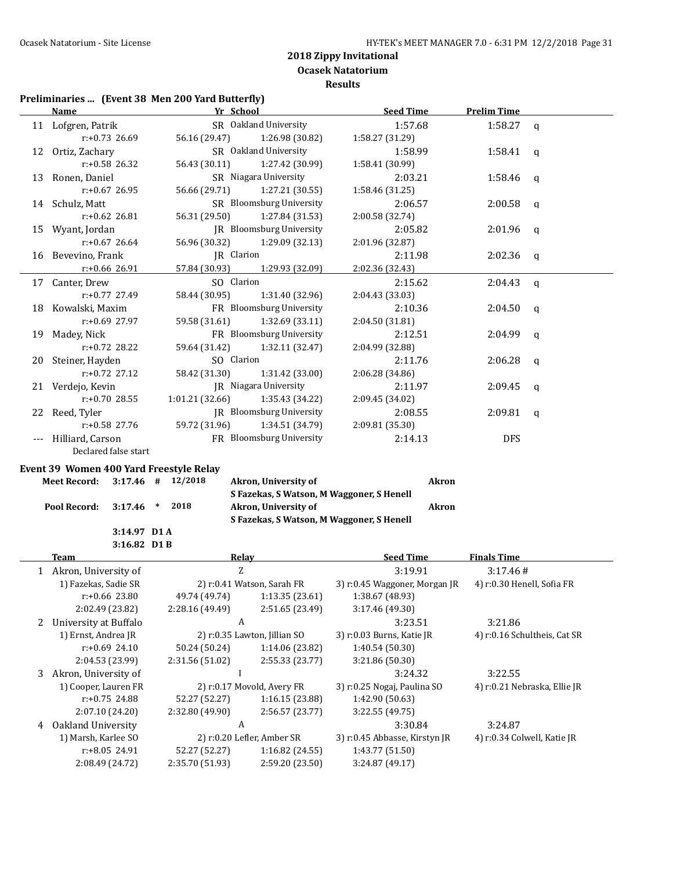**Results**

# **Preliminaries ... (Event 38 Men 200 Yard Butterfly)**

|     | <b>Name</b>                                    |  | Yr School           |                                               | <b>Seed Time</b>                                 | <b>Prelim Time</b>          |                              |
|-----|------------------------------------------------|--|---------------------|-----------------------------------------------|--------------------------------------------------|-----------------------------|------------------------------|
|     | 11 Lofgren, Patrik                             |  |                     | SR Oakland University                         | 1:57.68                                          | 1:58.27                     | $\mathbf q$                  |
|     | r:+0.73 26.69                                  |  | 56.16 (29.47)       | 1:26.98 (30.82)                               | 1:58.27 (31.29)                                  |                             |                              |
|     | 12 Ortiz, Zachary                              |  |                     | SR Oakland University                         | 1:58.99                                          | 1:58.41                     | q                            |
|     | r:+0.58 26.32                                  |  | 56.43 (30.11)       | 1:27.42 (30.99)                               | 1:58.41 (30.99)                                  |                             |                              |
|     | 13 Ronen, Daniel                               |  |                     | SR Niagara University                         | 2:03.21                                          | 1:58.46                     | q                            |
|     | r:+0.67 26.95                                  |  | 56.66 (29.71)       | 1:27.21 (30.55)                               | 1:58.46 (31.25)                                  |                             |                              |
|     | 14 Schulz, Matt                                |  |                     | SR Bloomsburg University                      | 2:06.57                                          | 2:00.58                     | q                            |
|     | $r: +0.62$ 26.81                               |  | 56.31 (29.50)       | 1:27.84 (31.53)                               | 2:00.58 (32.74)                                  |                             |                              |
|     | 15 Wyant, Jordan                               |  |                     | JR Bloomsburg University                      | 2:05.82                                          | 2:01.96                     | q                            |
|     | $r: +0.67$ 26.64                               |  | 56.96 (30.32)       | 1:29.09 (32.13)                               | 2:01.96 (32.87)                                  |                             |                              |
|     | 16 Bevevino, Frank                             |  |                     | JR Clarion                                    | 2:11.98                                          | 2:02.36                     | q                            |
|     | r:+0.66 26.91                                  |  | 57.84 (30.93)       | 1:29.93 (32.09)                               | 2:02.36 (32.43)                                  |                             |                              |
|     | 17 Canter, Drew                                |  |                     | SO Clarion                                    | 2:15.62                                          | 2:04.43                     | $\mathbf q$                  |
|     | r:+0.77 27.49                                  |  | 58.44 (30.95)       | 1:31.40 (32.96)                               | 2:04.43 (33.03)                                  |                             |                              |
|     | 18 Kowalski, Maxim                             |  |                     | FR Bloomsburg University                      | 2:10.36                                          | 2:04.50                     | q                            |
|     | r:+0.69 27.97                                  |  | 59.58 (31.61)       | 1:32.69 (33.11)                               | 2:04.50 (31.81)                                  |                             |                              |
| 19  | Madey, Nick                                    |  |                     | FR Bloomsburg University                      | 2:12.51                                          | 2:04.99                     | q                            |
|     | r:+0.72 28.22                                  |  | 59.64 (31.42)       | 1:32.11 (32.47)                               | 2:04.99 (32.88)                                  |                             |                              |
|     | 20 Steiner, Hayden                             |  |                     | SO Clarion                                    | 2:11.76                                          | 2:06.28                     | $\mathbf q$                  |
|     | r:+0.72 27.12                                  |  | 58.42 (31.30)       | 1:31.42 (33.00)                               | 2:06.28 (34.86)                                  |                             |                              |
|     | 21 Verdejo, Kevin                              |  |                     | JR Niagara University                         | 2:11.97                                          | 2:09.45                     | $\mathbf q$                  |
|     | r:+0.70 28.55                                  |  | 1:01.21(32.66)      | 1:35.43 (34.22)                               | 2:09.45 (34.02)                                  |                             |                              |
|     | 22 Reed, Tyler                                 |  |                     | JR Bloomsburg University                      | 2:08.55                                          | 2:09.81                     | $\mathbf q$                  |
|     | r:+0.58 27.76                                  |  | 59.72 (31.96)       | 1:34.51 (34.79)                               | 2:09.81 (35.30)                                  |                             |                              |
| --- | Hilliard, Carson                               |  |                     | FR Bloomsburg University                      | 2:14.13                                          | <b>DFS</b>                  |                              |
|     | Declared false start                           |  |                     |                                               |                                                  |                             |                              |
|     | <b>Event 39 Women 400 Yard Freestyle Relay</b> |  |                     |                                               |                                                  |                             |                              |
|     |                                                |  | $3:17.46$ # 12/2018 | Akron, University of                          | <b>Akron</b>                                     |                             |                              |
|     | <b>Meet Record:</b>                            |  |                     |                                               |                                                  |                             |                              |
|     |                                                |  |                     | S Fazekas, S Watson, M Waggoner, S Henell     |                                                  |                             |                              |
|     | Pool Record:                                   |  | $3:17.46$ * 2018    | Akron, University of                          | <b>Akron</b>                                     |                             |                              |
|     |                                                |  |                     | S Fazekas, S Watson, M Waggoner, S Henell     |                                                  |                             |                              |
|     | 3:14.97 D1 A                                   |  |                     |                                               |                                                  |                             |                              |
|     | 3:16.82 D1B                                    |  |                     |                                               |                                                  |                             |                              |
|     | Team                                           |  |                     | <b>Relay</b>                                  | <b>Seed Time</b>                                 | <b>Finals Time</b>          |                              |
|     | 1 Akron, University of                         |  |                     | $\rm{Z}$                                      | 3:19.91                                          | 3:17.46#                    |                              |
|     | 1) Fazekas, Sadie SR                           |  |                     | 2) r:0.41 Watson, Sarah FR                    | 3) r:0.45 Waggoner, Morgan JR                    | 4) r:0.30 Henell, Sofia FR  |                              |
|     | r:+0.66 23.80                                  |  |                     | 49.74 (49.74) 1:13.35 (23.61)                 | 1:38.67 (48.93)                                  |                             |                              |
|     | 2:02.49 (23.82)                                |  | 2:28.16 (49.49)     | 2:51.65 (23.49)                               | 3:17.46 (49.30)                                  |                             |                              |
|     | 2 University at Buffalo                        |  |                     | A                                             | 3:23.51                                          | 3:21.86                     |                              |
|     | 1) Ernst, Andrea JR                            |  |                     | 2) r:0.35 Lawton, Jillian SO                  | 3) r:0.03 Burns, Katie JR                        |                             | 4) r:0.16 Schultheis, Cat SR |
|     | $r+0.69$ 24.10                                 |  | 50.24 (50.24)       | 1:14.06 (23.82)                               | 1:40.54 (50.30)                                  |                             |                              |
|     | 2:04.53 (23.99)                                |  | 2:31.56 (51.02)     | 2:55.33 (23.77)                               | 3:21.86 (50.30)                                  |                             |                              |
| 3   | Akron, University of                           |  |                     | I                                             | 3:24.32                                          | 3:22.55                     |                              |
|     | 1) Cooper, Lauren FR                           |  |                     | 2) r:0.17 Movold, Avery FR                    | 3) r:0.25 Nogaj, Paulina SO                      |                             | 4) r:0.21 Nebraska, Ellie JR |
|     | r:+0.75 24.88                                  |  | 52.27 (52.27)       | 1:16.15 (23.88)                               | 1:42.90 (50.63)                                  |                             |                              |
|     | 2:07.10 (24.20)                                |  | 2:32.80 (49.90)     | 2:56.57 (23.77)<br>A                          | 3:22.55 (49.75)                                  |                             |                              |
| 4   | Oakland University                             |  |                     |                                               | 3:30.84                                          | 3:24.87                     |                              |
|     | 1) Marsh, Karlee SO<br>r:+8.05 24.91           |  | 52.27 (52.27)       | 2) r:0.20 Lefler, Amber SR<br>1:16.82 (24.55) | 3) r:0.45 Abbasse, Kirstyn JR<br>1:43.77 (51.50) | 4) r:0.34 Colwell, Katie JR |                              |
|     | 2:08.49 (24.72)                                |  | 2:35.70 (51.93)     | 2:59.20 (23.50)                               | 3:24.87 (49.17)                                  |                             |                              |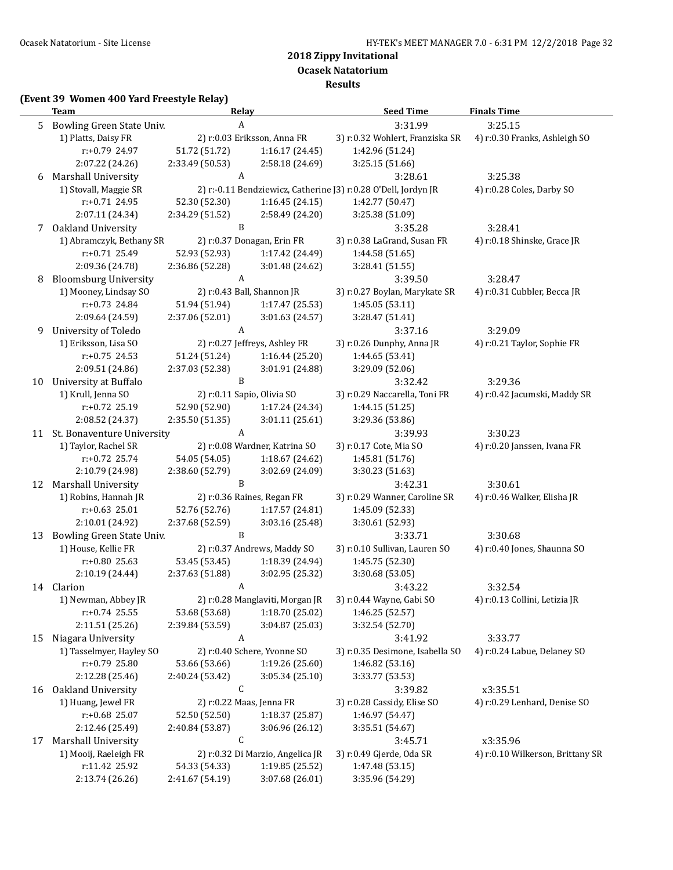**Ocasek Natatorium**

**Results**

### **(Event 39 Women 400 Yard Freestyle Relay)**

|    | <u>Team</u><br><b>Relay</b>                      |                  |                                  | <b>Seed Time</b>                                               | <b>Finals Time</b>               |
|----|--------------------------------------------------|------------------|----------------------------------|----------------------------------------------------------------|----------------------------------|
| 5. | Bowling Green State Univ.                        |                  | A                                | 3:31.99                                                        | 3:25.15                          |
|    | 1) Platts, Daisy FR                              |                  | 2) r:0.03 Eriksson, Anna FR      | 3) r:0.32 Wohlert, Franziska SR                                | 4) r:0.30 Franks, Ashleigh SO    |
|    | r:+0.79 24.97                                    | 51.72 (51.72)    | 1:16.17 (24.45)                  | 1:42.96 (51.24)                                                |                                  |
|    | 2:07.22 (24.26)                                  | 2:33.49 (50.53)  | 2:58.18 (24.69)                  | 3:25.15 (51.66)                                                |                                  |
| 6  | Marshall University                              | A                |                                  | 3:28.61                                                        | 3:25.38                          |
|    | 1) Stovall, Maggie SR                            |                  |                                  | 2) r:-0.11 Bendziewicz, Catherine J3) r:0.28 O'Dell, Jordyn JR | 4) r:0.28 Coles, Darby SO        |
|    | r:+0.71 24.95                                    | 52.30 (52.30)    | 1:16.45(24.15)                   | 1:42.77 (50.47)                                                |                                  |
|    | 2:07.11 (24.34)                                  | 2:34.29 (51.52)  | 2:58.49 (24.20)                  | 3:25.38 (51.09)                                                |                                  |
|    | 7 Oakland University                             | B                |                                  | 3:35.28                                                        | 3:28.41                          |
|    | 1) Abramczyk, Bethany SR                         |                  | 2) r:0.37 Donagan, Erin FR       | 3) r:0.38 LaGrand, Susan FR                                    | 4) r:0.18 Shinske, Grace JR      |
|    | $r: +0.71$ 25.49                                 | 52.93 (52.93)    | 1:17.42 (24.49)                  | 1:44.58 (51.65)                                                |                                  |
|    | 2:09.36 (24.78)                                  | 2:36.86 (52.28)  | 3:01.48 (24.62)                  | 3:28.41 (51.55)                                                |                                  |
| 8  | <b>Bloomsburg University</b>                     | $\boldsymbol{A}$ |                                  | 3:39.50                                                        | 3:28.47                          |
|    | 1) Mooney, Lindsay SO                            |                  | 2) r:0.43 Ball, Shannon JR       | 3) r:0.27 Boylan, Marykate SR                                  | 4) r:0.31 Cubbler, Becca JR      |
|    | r:+0.73 24.84                                    | 51.94 (51.94)    | 1:17.47 (25.53)                  | 1:45.05 (53.11)                                                |                                  |
|    | 2:09.64 (24.59)                                  | 2:37.06 (52.01)  | 3:01.63 (24.57)                  | 3:28.47 (51.41)                                                |                                  |
| 9  | University of Toledo                             |                  | A                                | 3:37.16                                                        | 3:29.09                          |
|    | 1) Eriksson, Lisa SO                             |                  | 2) r:0.27 Jeffreys, Ashley FR    | 3) r:0.26 Dunphy, Anna JR                                      | 4) r:0.21 Taylor, Sophie FR      |
|    | $r: +0.75$ 24.53                                 | 51.24 (51.24)    | 1:16.44(25.20)                   | 1:44.65 (53.41)                                                |                                  |
|    | 2:09.51 (24.86)                                  | 2:37.03 (52.38)  | 3:01.91 (24.88)                  | 3:29.09 (52.06)                                                |                                  |
| 10 | University at Buffalo                            | B                |                                  | 3:32.42                                                        | 3:29.36                          |
|    | 1) Krull, Jenna SO                               |                  | 2) r:0.11 Sapio, Olivia SO       | 3) r:0.29 Naccarella, Toni FR                                  | 4) r:0.42 Jacumski, Maddy SR     |
|    | r:+0.72 25.19                                    | 52.90 (52.90)    | 1:17.24 (24.34)                  | 1:44.15 (51.25)                                                |                                  |
|    | 2:08.52 (24.37)                                  | 2:35.50 (51.35)  | 3:01.11(25.61)                   | 3:29.36 (53.86)                                                |                                  |
|    | 11 St. Bonaventure University                    | A                |                                  | 3:39.93                                                        | 3:30.23                          |
|    | 1) Taylor, Rachel SR                             |                  | 2) r:0.08 Wardner, Katrina SO    | 3) r:0.17 Cote, Mia SO                                         | 4) r:0.20 Janssen, Ivana FR      |
|    | r:+0.72 25.74                                    | 54.05 (54.05)    | 1:18.67 (24.62)                  | 1:45.81 (51.76)                                                |                                  |
|    | 2:10.79 (24.98)                                  | 2:38.60 (52.79)  | 3:02.69 (24.09)                  | 3:30.23 (51.63)                                                |                                  |
| 12 | <b>Marshall University</b>                       | $\, {\bf B}$     |                                  | 3:42.31                                                        | 3:30.61                          |
|    | 1) Robins, Hannah JR                             |                  | 2) r:0.36 Raines, Regan FR       | 3) r:0.29 Wanner, Caroline SR                                  | 4) r:0.46 Walker, Elisha JR      |
|    | $r: +0.63$ 25.01                                 | 52.76 (52.76)    | 1:17.57 (24.81)                  | 1:45.09 (52.33)                                                |                                  |
|    | 2:10.01 (24.92)                                  | 2:37.68 (52.59)  | 3:03.16 (25.48)<br>B             | 3:30.61 (52.93)                                                | 3:30.68                          |
| 13 | Bowling Green State Univ.<br>1) House, Kellie FR |                  | 2) r:0.37 Andrews, Maddy SO      | 3:33.71<br>3) r:0.10 Sullivan, Lauren SO                       | 4) r:0.40 Jones, Shaunna SO      |
|    | r:+0.80 25.63                                    | 53.45 (53.45)    | 1:18.39 (24.94)                  | 1:45.75 (52.30)                                                |                                  |
|    | 2:10.19 (24.44)                                  | 2:37.63 (51.88)  | 3:02.95 (25.32)                  | 3:30.68 (53.05)                                                |                                  |
|    | 14 Clarion                                       |                  | A                                | 3:43.22                                                        | 3:32.54                          |
|    | 1) Newman, Abbey JR                              |                  | 2) r:0.28 Manglaviti, Morgan JR  | 3) r:0.44 Wayne, Gabi SO                                       | 4) r:0.13 Collini, Letizia JR    |
|    | $r: +0.74$ 25.55                                 | 53.68 (53.68)    | 1:18.70 (25.02)                  | 1:46.25 (52.57)                                                |                                  |
|    | 2:11.51 (25.26)                                  | 2:39.84 (53.59)  | 3:04.87 (25.03)                  | 3:32.54 (52.70)                                                |                                  |
| 15 | Niagara University                               | A                |                                  | 3:41.92                                                        | 3:33.77                          |
|    | 1) Tasselmyer, Hayley SO                         |                  | 2) r:0.40 Schere, Yvonne SO      | 3) r:0.35 Desimone, Isabella SO                                | 4) r:0.24 Labue, Delaney SO      |
|    | r:+0.79 25.80                                    | 53.66 (53.66)    | 1:19.26 (25.60)                  | 1:46.82 (53.16)                                                |                                  |
|    | 2:12.28 (25.46)                                  | 2:40.24 (53.42)  | 3:05.34(25.10)                   | 3:33.77 (53.53)                                                |                                  |
| 16 | Oakland University                               | $\mathsf C$      |                                  | 3:39.82                                                        | x3:35.51                         |
|    | 1) Huang, Jewel FR                               |                  | 2) r:0.22 Maas, Jenna FR         | 3) r:0.28 Cassidy, Elise SO                                    | 4) r:0.29 Lenhard, Denise SO     |
|    | r:+0.68 25.07                                    | 52.50 (52.50)    | 1:18.37 (25.87)                  | 1:46.97 (54.47)                                                |                                  |
|    | 2:12.46 (25.49)                                  | 2:40.84 (53.87)  | 3:06.96 (26.12)                  | 3:35.51 (54.67)                                                |                                  |
| 17 | <b>Marshall University</b>                       | С                |                                  | 3:45.71                                                        | x3:35.96                         |
|    | 1) Mooij, Raeleigh FR                            |                  | 2) r:0.32 Di Marzio, Angelica JR | 3) r:0.49 Gjerde, Oda SR                                       | 4) r:0.10 Wilkerson, Brittany SR |
|    | r:11.42 25.92                                    | 54.33 (54.33)    | 1:19.85 (25.52)                  | 1:47.48 (53.15)                                                |                                  |
|    | 2:13.74 (26.26)                                  | 2:41.67 (54.19)  | 3:07.68 (26.01)                  | 3:35.96 (54.29)                                                |                                  |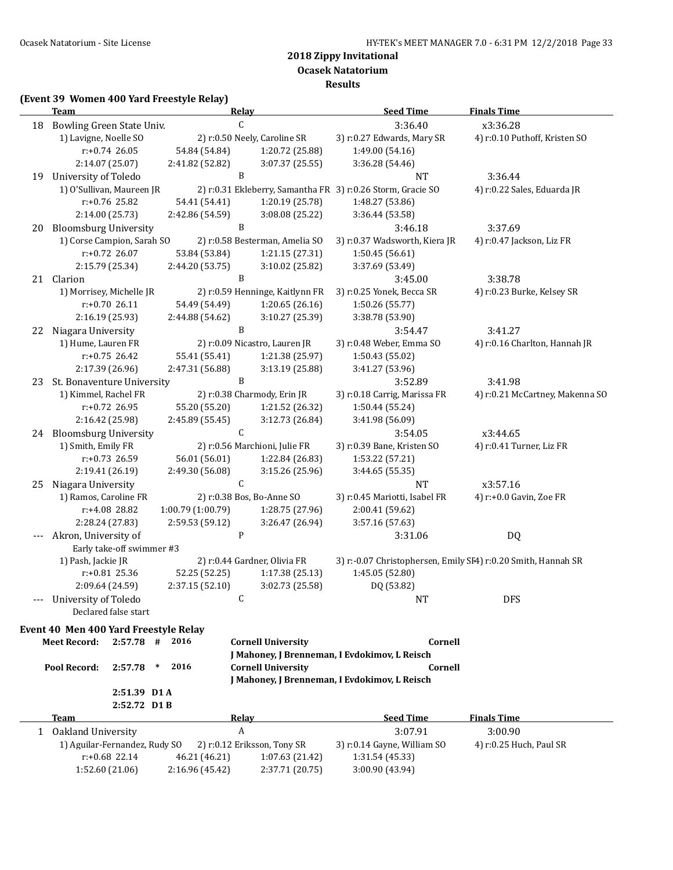**Ocasek Natatorium**

**Results**

### **(Event 39 Women 400 Yard Freestyle Relay)**

| C<br>3:36.40<br>x3:36.28<br>Bowling Green State Univ.<br>18<br>1) Lavigne, Noelle SO<br>2) r:0.50 Neely, Caroline SR<br>3) r:0.27 Edwards, Mary SR<br>4) r:0.10 Puthoff, Kristen SO<br>$r: +0.74$ 26.05<br>54.84 (54.84)<br>1:20.72 (25.88)<br>1:49.00 (54.16)<br>2:14.07 (25.07)<br>2:41.82 (52.82)<br>3:07.37 (25.55)<br>3:36.28 (54.46)<br>B<br>University of Toledo<br>3:36.44<br>19<br>NT<br>1) O'Sullivan, Maureen JR<br>2) r:0.31 Ekleberry, Samantha FR 3) r:0.26 Storm, Gracie SO<br>4) r:0.22 Sales, Eduarda JR<br>r:+0.76 25.82<br>54.41 (54.41)<br>1:20.19 (25.78)<br>1:48.27 (53.86)<br>2:14.00 (25.73)<br>2:42.86 (54.59)<br>3:08.08 (25.22)<br>3:36.44 (53.58)<br><b>Bloomsburg University</b><br>B<br>3:46.18<br>3:37.69<br>20<br>1) Corse Campion, Sarah SO<br>2) r:0.58 Besterman, Amelia SO<br>3) r:0.37 Wadsworth, Kiera JR<br>4) r:0.47 Jackson, Liz FR<br>$r: +0.72$ 26.07<br>53.84 (53.84)<br>1:21.15 (27.31)<br>1:50.45 (56.61)<br>2:15.79 (25.34)<br>2:44.20 (53.75)<br>3:10.02 (25.82)<br>3:37.69 (53.49)<br>B<br>21<br>Clarion<br>3:45.00<br>3:38.78<br>1) Morrisey, Michelle JR<br>2) r:0.59 Henninge, Kaitlynn FR<br>3) r:0.25 Yonek, Becca SR<br>4) r:0.23 Burke, Kelsey SR<br>$r: +0.7026.11$<br>54.49 (54.49)<br>1:20.65(26.16)<br>1:50.26 (55.77)<br>2:16.19 (25.93)<br>2:44.88 (54.62)<br>3:10.27 (25.39)<br>3:38.78 (53.90)<br>B<br>Niagara University<br>3:41.27<br>3:54.47<br>22<br>1) Hume, Lauren FR<br>2) r:0.09 Nicastro, Lauren JR<br>3) r:0.48 Weber, Emma SO<br>4) r:0.16 Charlton, Hannah JR<br>$r: +0.75$ 26.42<br>55.41 (55.41)<br>1:21.38 (25.97)<br>1:50.43 (55.02)<br>2:17.39 (26.96)<br>2:47.31 (56.88)<br>3:13.19 (25.88)<br>3:41.27 (53.96)<br>B<br>St. Bonaventure University<br>3:52.89<br>3:41.98<br>23<br>1) Kimmel, Rachel FR<br>2) r:0.38 Charmody, Erin JR<br>3) r:0.18 Carrig, Marissa FR<br>4) r:0.21 McCartney, Makenna SO<br>r:+0.72 26.95<br>55.20 (55.20)<br>1:21.52 (26.32)<br>1:50.44 (55.24)<br>2:16.42 (25.98)<br>3:12.73 (26.84)<br>2:45.89 (55.45)<br>3:41.98 (56.09)<br>C<br>24 Bloomsburg University<br>x3:44.65<br>3:54.05<br>1) Smith, Emily FR<br>2) r:0.56 Marchioni, Julie FR<br>3) r:0.39 Bane, Kristen SO<br>4) r:0.41 Turner, Liz FR<br>r:+0.73 26.59<br>56.01 (56.01)<br>1:53.22 (57.21)<br>1:22.84 (26.83)<br>2:19.41 (26.19)<br>2:49.30 (56.08)<br>3:15.26 (25.96)<br>3:44.65 (55.35)<br>$\mathsf C$<br>Niagara University<br><b>NT</b><br>x3:57.16<br>25<br>1) Ramos, Caroline FR<br>2) r:0.38 Bos, Bo-Anne SO<br>3) r:0.45 Mariotti, Isabel FR<br>4) r:+0.0 Gavin, Zoe FR<br>r:+4.08 28.82<br>1:00.79 (1:00.79)<br>1:28.75 (27.96)<br>2:00.41 (59.62)<br>2:59.53 (59.12)<br>2:28.24 (27.83)<br>3:26.47 (26.94)<br>3:57.16 (57.63)<br>P<br>Akron, University of<br>DQ<br>3:31.06<br>Early take-off swimmer #3<br>1) Pash, Jackie JR<br>3) r:-0.07 Christophersen, Emily SI4) r:0.20 Smith, Hannah SR<br>2) r:0.44 Gardner, Olivia FR<br>r:+0.81 25.36<br>52.25 (52.25)<br>1:17.38 (25.13)<br>1:45.05 (52.80)<br>2:09.64 (24.59)<br>2:37.15 (52.10)<br>3:02.73 (25.58)<br>DQ (53.82)<br>University of Toledo<br><b>DFS</b><br>C<br>NT.<br>Declared false start<br>Event 40 Men 400 Yard Freestyle Relay<br>2016<br><b>Meet Record:</b><br>$2:57.78$ #<br><b>Cornell University</b><br>Cornell<br>J Mahoney, J Brenneman, I Evdokimov, L Reisch<br>2016<br>Pool Record:<br><b>Cornell University</b><br>Cornell<br>2:57.78<br>$\ast$<br>J Mahoney, J Brenneman, I Evdokimov, L Reisch<br>2:51.39 D1 A<br>2:52.72 D1B<br><b>Relay</b><br><b>Seed Time</b><br><b>Finals Time</b><br><b>Team</b><br>$\boldsymbol{A}$<br>1 Oakland University<br>3:07.91<br>3:00.90<br>1) Aguilar-Fernandez, Rudy SO<br>2) r:0.12 Eriksson, Tony SR<br>3) r:0.14 Gayne, William SO<br>4) r:0.25 Huch, Paul SR<br>$r: +0.68$ 22.14<br>1:31.54 (45.33)<br>46.21 (46.21)<br>1:07.63 (21.42)<br>1:52.60 (21.06) | <b>Team</b> |                 | <u>Relay</u> |                 | <b>Seed Time</b> | <b>Finals Time</b> |
|-----------------------------------------------------------------------------------------------------------------------------------------------------------------------------------------------------------------------------------------------------------------------------------------------------------------------------------------------------------------------------------------------------------------------------------------------------------------------------------------------------------------------------------------------------------------------------------------------------------------------------------------------------------------------------------------------------------------------------------------------------------------------------------------------------------------------------------------------------------------------------------------------------------------------------------------------------------------------------------------------------------------------------------------------------------------------------------------------------------------------------------------------------------------------------------------------------------------------------------------------------------------------------------------------------------------------------------------------------------------------------------------------------------------------------------------------------------------------------------------------------------------------------------------------------------------------------------------------------------------------------------------------------------------------------------------------------------------------------------------------------------------------------------------------------------------------------------------------------------------------------------------------------------------------------------------------------------------------------------------------------------------------------------------------------------------------------------------------------------------------------------------------------------------------------------------------------------------------------------------------------------------------------------------------------------------------------------------------------------------------------------------------------------------------------------------------------------------------------------------------------------------------------------------------------------------------------------------------------------------------------------------------------------------------------------------------------------------------------------------------------------------------------------------------------------------------------------------------------------------------------------------------------------------------------------------------------------------------------------------------------------------------------------------------------------------------------------------------------------------------------------------------------------------------------------------------------------------------------------------------------------------------------------------------------------------------------------------------------------------------------------------------------------------------------------------------------------------------------------------------------------------------------------------------------------------------------------------------------------------------------------------------------------------------------------------------------------------------------------------------------------------------------------------------------------------------------------------------------------------------------|-------------|-----------------|--------------|-----------------|------------------|--------------------|
|                                                                                                                                                                                                                                                                                                                                                                                                                                                                                                                                                                                                                                                                                                                                                                                                                                                                                                                                                                                                                                                                                                                                                                                                                                                                                                                                                                                                                                                                                                                                                                                                                                                                                                                                                                                                                                                                                                                                                                                                                                                                                                                                                                                                                                                                                                                                                                                                                                                                                                                                                                                                                                                                                                                                                                                                                                                                                                                                                                                                                                                                                                                                                                                                                                                                                                                                                                                                                                                                                                                                                                                                                                                                                                                                                                                                                                                                             |             |                 |              |                 |                  |                    |
|                                                                                                                                                                                                                                                                                                                                                                                                                                                                                                                                                                                                                                                                                                                                                                                                                                                                                                                                                                                                                                                                                                                                                                                                                                                                                                                                                                                                                                                                                                                                                                                                                                                                                                                                                                                                                                                                                                                                                                                                                                                                                                                                                                                                                                                                                                                                                                                                                                                                                                                                                                                                                                                                                                                                                                                                                                                                                                                                                                                                                                                                                                                                                                                                                                                                                                                                                                                                                                                                                                                                                                                                                                                                                                                                                                                                                                                                             |             |                 |              |                 |                  |                    |
|                                                                                                                                                                                                                                                                                                                                                                                                                                                                                                                                                                                                                                                                                                                                                                                                                                                                                                                                                                                                                                                                                                                                                                                                                                                                                                                                                                                                                                                                                                                                                                                                                                                                                                                                                                                                                                                                                                                                                                                                                                                                                                                                                                                                                                                                                                                                                                                                                                                                                                                                                                                                                                                                                                                                                                                                                                                                                                                                                                                                                                                                                                                                                                                                                                                                                                                                                                                                                                                                                                                                                                                                                                                                                                                                                                                                                                                                             |             |                 |              |                 |                  |                    |
|                                                                                                                                                                                                                                                                                                                                                                                                                                                                                                                                                                                                                                                                                                                                                                                                                                                                                                                                                                                                                                                                                                                                                                                                                                                                                                                                                                                                                                                                                                                                                                                                                                                                                                                                                                                                                                                                                                                                                                                                                                                                                                                                                                                                                                                                                                                                                                                                                                                                                                                                                                                                                                                                                                                                                                                                                                                                                                                                                                                                                                                                                                                                                                                                                                                                                                                                                                                                                                                                                                                                                                                                                                                                                                                                                                                                                                                                             |             |                 |              |                 |                  |                    |
|                                                                                                                                                                                                                                                                                                                                                                                                                                                                                                                                                                                                                                                                                                                                                                                                                                                                                                                                                                                                                                                                                                                                                                                                                                                                                                                                                                                                                                                                                                                                                                                                                                                                                                                                                                                                                                                                                                                                                                                                                                                                                                                                                                                                                                                                                                                                                                                                                                                                                                                                                                                                                                                                                                                                                                                                                                                                                                                                                                                                                                                                                                                                                                                                                                                                                                                                                                                                                                                                                                                                                                                                                                                                                                                                                                                                                                                                             |             |                 |              |                 |                  |                    |
|                                                                                                                                                                                                                                                                                                                                                                                                                                                                                                                                                                                                                                                                                                                                                                                                                                                                                                                                                                                                                                                                                                                                                                                                                                                                                                                                                                                                                                                                                                                                                                                                                                                                                                                                                                                                                                                                                                                                                                                                                                                                                                                                                                                                                                                                                                                                                                                                                                                                                                                                                                                                                                                                                                                                                                                                                                                                                                                                                                                                                                                                                                                                                                                                                                                                                                                                                                                                                                                                                                                                                                                                                                                                                                                                                                                                                                                                             |             |                 |              |                 |                  |                    |
|                                                                                                                                                                                                                                                                                                                                                                                                                                                                                                                                                                                                                                                                                                                                                                                                                                                                                                                                                                                                                                                                                                                                                                                                                                                                                                                                                                                                                                                                                                                                                                                                                                                                                                                                                                                                                                                                                                                                                                                                                                                                                                                                                                                                                                                                                                                                                                                                                                                                                                                                                                                                                                                                                                                                                                                                                                                                                                                                                                                                                                                                                                                                                                                                                                                                                                                                                                                                                                                                                                                                                                                                                                                                                                                                                                                                                                                                             |             |                 |              |                 |                  |                    |
|                                                                                                                                                                                                                                                                                                                                                                                                                                                                                                                                                                                                                                                                                                                                                                                                                                                                                                                                                                                                                                                                                                                                                                                                                                                                                                                                                                                                                                                                                                                                                                                                                                                                                                                                                                                                                                                                                                                                                                                                                                                                                                                                                                                                                                                                                                                                                                                                                                                                                                                                                                                                                                                                                                                                                                                                                                                                                                                                                                                                                                                                                                                                                                                                                                                                                                                                                                                                                                                                                                                                                                                                                                                                                                                                                                                                                                                                             |             |                 |              |                 |                  |                    |
|                                                                                                                                                                                                                                                                                                                                                                                                                                                                                                                                                                                                                                                                                                                                                                                                                                                                                                                                                                                                                                                                                                                                                                                                                                                                                                                                                                                                                                                                                                                                                                                                                                                                                                                                                                                                                                                                                                                                                                                                                                                                                                                                                                                                                                                                                                                                                                                                                                                                                                                                                                                                                                                                                                                                                                                                                                                                                                                                                                                                                                                                                                                                                                                                                                                                                                                                                                                                                                                                                                                                                                                                                                                                                                                                                                                                                                                                             |             |                 |              |                 |                  |                    |
|                                                                                                                                                                                                                                                                                                                                                                                                                                                                                                                                                                                                                                                                                                                                                                                                                                                                                                                                                                                                                                                                                                                                                                                                                                                                                                                                                                                                                                                                                                                                                                                                                                                                                                                                                                                                                                                                                                                                                                                                                                                                                                                                                                                                                                                                                                                                                                                                                                                                                                                                                                                                                                                                                                                                                                                                                                                                                                                                                                                                                                                                                                                                                                                                                                                                                                                                                                                                                                                                                                                                                                                                                                                                                                                                                                                                                                                                             |             |                 |              |                 |                  |                    |
|                                                                                                                                                                                                                                                                                                                                                                                                                                                                                                                                                                                                                                                                                                                                                                                                                                                                                                                                                                                                                                                                                                                                                                                                                                                                                                                                                                                                                                                                                                                                                                                                                                                                                                                                                                                                                                                                                                                                                                                                                                                                                                                                                                                                                                                                                                                                                                                                                                                                                                                                                                                                                                                                                                                                                                                                                                                                                                                                                                                                                                                                                                                                                                                                                                                                                                                                                                                                                                                                                                                                                                                                                                                                                                                                                                                                                                                                             |             |                 |              |                 |                  |                    |
|                                                                                                                                                                                                                                                                                                                                                                                                                                                                                                                                                                                                                                                                                                                                                                                                                                                                                                                                                                                                                                                                                                                                                                                                                                                                                                                                                                                                                                                                                                                                                                                                                                                                                                                                                                                                                                                                                                                                                                                                                                                                                                                                                                                                                                                                                                                                                                                                                                                                                                                                                                                                                                                                                                                                                                                                                                                                                                                                                                                                                                                                                                                                                                                                                                                                                                                                                                                                                                                                                                                                                                                                                                                                                                                                                                                                                                                                             |             |                 |              |                 |                  |                    |
|                                                                                                                                                                                                                                                                                                                                                                                                                                                                                                                                                                                                                                                                                                                                                                                                                                                                                                                                                                                                                                                                                                                                                                                                                                                                                                                                                                                                                                                                                                                                                                                                                                                                                                                                                                                                                                                                                                                                                                                                                                                                                                                                                                                                                                                                                                                                                                                                                                                                                                                                                                                                                                                                                                                                                                                                                                                                                                                                                                                                                                                                                                                                                                                                                                                                                                                                                                                                                                                                                                                                                                                                                                                                                                                                                                                                                                                                             |             |                 |              |                 |                  |                    |
|                                                                                                                                                                                                                                                                                                                                                                                                                                                                                                                                                                                                                                                                                                                                                                                                                                                                                                                                                                                                                                                                                                                                                                                                                                                                                                                                                                                                                                                                                                                                                                                                                                                                                                                                                                                                                                                                                                                                                                                                                                                                                                                                                                                                                                                                                                                                                                                                                                                                                                                                                                                                                                                                                                                                                                                                                                                                                                                                                                                                                                                                                                                                                                                                                                                                                                                                                                                                                                                                                                                                                                                                                                                                                                                                                                                                                                                                             |             |                 |              |                 |                  |                    |
|                                                                                                                                                                                                                                                                                                                                                                                                                                                                                                                                                                                                                                                                                                                                                                                                                                                                                                                                                                                                                                                                                                                                                                                                                                                                                                                                                                                                                                                                                                                                                                                                                                                                                                                                                                                                                                                                                                                                                                                                                                                                                                                                                                                                                                                                                                                                                                                                                                                                                                                                                                                                                                                                                                                                                                                                                                                                                                                                                                                                                                                                                                                                                                                                                                                                                                                                                                                                                                                                                                                                                                                                                                                                                                                                                                                                                                                                             |             |                 |              |                 |                  |                    |
|                                                                                                                                                                                                                                                                                                                                                                                                                                                                                                                                                                                                                                                                                                                                                                                                                                                                                                                                                                                                                                                                                                                                                                                                                                                                                                                                                                                                                                                                                                                                                                                                                                                                                                                                                                                                                                                                                                                                                                                                                                                                                                                                                                                                                                                                                                                                                                                                                                                                                                                                                                                                                                                                                                                                                                                                                                                                                                                                                                                                                                                                                                                                                                                                                                                                                                                                                                                                                                                                                                                                                                                                                                                                                                                                                                                                                                                                             |             |                 |              |                 |                  |                    |
|                                                                                                                                                                                                                                                                                                                                                                                                                                                                                                                                                                                                                                                                                                                                                                                                                                                                                                                                                                                                                                                                                                                                                                                                                                                                                                                                                                                                                                                                                                                                                                                                                                                                                                                                                                                                                                                                                                                                                                                                                                                                                                                                                                                                                                                                                                                                                                                                                                                                                                                                                                                                                                                                                                                                                                                                                                                                                                                                                                                                                                                                                                                                                                                                                                                                                                                                                                                                                                                                                                                                                                                                                                                                                                                                                                                                                                                                             |             |                 |              |                 |                  |                    |
|                                                                                                                                                                                                                                                                                                                                                                                                                                                                                                                                                                                                                                                                                                                                                                                                                                                                                                                                                                                                                                                                                                                                                                                                                                                                                                                                                                                                                                                                                                                                                                                                                                                                                                                                                                                                                                                                                                                                                                                                                                                                                                                                                                                                                                                                                                                                                                                                                                                                                                                                                                                                                                                                                                                                                                                                                                                                                                                                                                                                                                                                                                                                                                                                                                                                                                                                                                                                                                                                                                                                                                                                                                                                                                                                                                                                                                                                             |             |                 |              |                 |                  |                    |
|                                                                                                                                                                                                                                                                                                                                                                                                                                                                                                                                                                                                                                                                                                                                                                                                                                                                                                                                                                                                                                                                                                                                                                                                                                                                                                                                                                                                                                                                                                                                                                                                                                                                                                                                                                                                                                                                                                                                                                                                                                                                                                                                                                                                                                                                                                                                                                                                                                                                                                                                                                                                                                                                                                                                                                                                                                                                                                                                                                                                                                                                                                                                                                                                                                                                                                                                                                                                                                                                                                                                                                                                                                                                                                                                                                                                                                                                             |             |                 |              |                 |                  |                    |
|                                                                                                                                                                                                                                                                                                                                                                                                                                                                                                                                                                                                                                                                                                                                                                                                                                                                                                                                                                                                                                                                                                                                                                                                                                                                                                                                                                                                                                                                                                                                                                                                                                                                                                                                                                                                                                                                                                                                                                                                                                                                                                                                                                                                                                                                                                                                                                                                                                                                                                                                                                                                                                                                                                                                                                                                                                                                                                                                                                                                                                                                                                                                                                                                                                                                                                                                                                                                                                                                                                                                                                                                                                                                                                                                                                                                                                                                             |             |                 |              |                 |                  |                    |
|                                                                                                                                                                                                                                                                                                                                                                                                                                                                                                                                                                                                                                                                                                                                                                                                                                                                                                                                                                                                                                                                                                                                                                                                                                                                                                                                                                                                                                                                                                                                                                                                                                                                                                                                                                                                                                                                                                                                                                                                                                                                                                                                                                                                                                                                                                                                                                                                                                                                                                                                                                                                                                                                                                                                                                                                                                                                                                                                                                                                                                                                                                                                                                                                                                                                                                                                                                                                                                                                                                                                                                                                                                                                                                                                                                                                                                                                             |             |                 |              |                 |                  |                    |
|                                                                                                                                                                                                                                                                                                                                                                                                                                                                                                                                                                                                                                                                                                                                                                                                                                                                                                                                                                                                                                                                                                                                                                                                                                                                                                                                                                                                                                                                                                                                                                                                                                                                                                                                                                                                                                                                                                                                                                                                                                                                                                                                                                                                                                                                                                                                                                                                                                                                                                                                                                                                                                                                                                                                                                                                                                                                                                                                                                                                                                                                                                                                                                                                                                                                                                                                                                                                                                                                                                                                                                                                                                                                                                                                                                                                                                                                             |             |                 |              |                 |                  |                    |
|                                                                                                                                                                                                                                                                                                                                                                                                                                                                                                                                                                                                                                                                                                                                                                                                                                                                                                                                                                                                                                                                                                                                                                                                                                                                                                                                                                                                                                                                                                                                                                                                                                                                                                                                                                                                                                                                                                                                                                                                                                                                                                                                                                                                                                                                                                                                                                                                                                                                                                                                                                                                                                                                                                                                                                                                                                                                                                                                                                                                                                                                                                                                                                                                                                                                                                                                                                                                                                                                                                                                                                                                                                                                                                                                                                                                                                                                             |             |                 |              |                 |                  |                    |
|                                                                                                                                                                                                                                                                                                                                                                                                                                                                                                                                                                                                                                                                                                                                                                                                                                                                                                                                                                                                                                                                                                                                                                                                                                                                                                                                                                                                                                                                                                                                                                                                                                                                                                                                                                                                                                                                                                                                                                                                                                                                                                                                                                                                                                                                                                                                                                                                                                                                                                                                                                                                                                                                                                                                                                                                                                                                                                                                                                                                                                                                                                                                                                                                                                                                                                                                                                                                                                                                                                                                                                                                                                                                                                                                                                                                                                                                             |             |                 |              |                 |                  |                    |
|                                                                                                                                                                                                                                                                                                                                                                                                                                                                                                                                                                                                                                                                                                                                                                                                                                                                                                                                                                                                                                                                                                                                                                                                                                                                                                                                                                                                                                                                                                                                                                                                                                                                                                                                                                                                                                                                                                                                                                                                                                                                                                                                                                                                                                                                                                                                                                                                                                                                                                                                                                                                                                                                                                                                                                                                                                                                                                                                                                                                                                                                                                                                                                                                                                                                                                                                                                                                                                                                                                                                                                                                                                                                                                                                                                                                                                                                             |             |                 |              |                 |                  |                    |
|                                                                                                                                                                                                                                                                                                                                                                                                                                                                                                                                                                                                                                                                                                                                                                                                                                                                                                                                                                                                                                                                                                                                                                                                                                                                                                                                                                                                                                                                                                                                                                                                                                                                                                                                                                                                                                                                                                                                                                                                                                                                                                                                                                                                                                                                                                                                                                                                                                                                                                                                                                                                                                                                                                                                                                                                                                                                                                                                                                                                                                                                                                                                                                                                                                                                                                                                                                                                                                                                                                                                                                                                                                                                                                                                                                                                                                                                             |             |                 |              |                 |                  |                    |
|                                                                                                                                                                                                                                                                                                                                                                                                                                                                                                                                                                                                                                                                                                                                                                                                                                                                                                                                                                                                                                                                                                                                                                                                                                                                                                                                                                                                                                                                                                                                                                                                                                                                                                                                                                                                                                                                                                                                                                                                                                                                                                                                                                                                                                                                                                                                                                                                                                                                                                                                                                                                                                                                                                                                                                                                                                                                                                                                                                                                                                                                                                                                                                                                                                                                                                                                                                                                                                                                                                                                                                                                                                                                                                                                                                                                                                                                             |             |                 |              |                 |                  |                    |
|                                                                                                                                                                                                                                                                                                                                                                                                                                                                                                                                                                                                                                                                                                                                                                                                                                                                                                                                                                                                                                                                                                                                                                                                                                                                                                                                                                                                                                                                                                                                                                                                                                                                                                                                                                                                                                                                                                                                                                                                                                                                                                                                                                                                                                                                                                                                                                                                                                                                                                                                                                                                                                                                                                                                                                                                                                                                                                                                                                                                                                                                                                                                                                                                                                                                                                                                                                                                                                                                                                                                                                                                                                                                                                                                                                                                                                                                             |             |                 |              |                 |                  |                    |
|                                                                                                                                                                                                                                                                                                                                                                                                                                                                                                                                                                                                                                                                                                                                                                                                                                                                                                                                                                                                                                                                                                                                                                                                                                                                                                                                                                                                                                                                                                                                                                                                                                                                                                                                                                                                                                                                                                                                                                                                                                                                                                                                                                                                                                                                                                                                                                                                                                                                                                                                                                                                                                                                                                                                                                                                                                                                                                                                                                                                                                                                                                                                                                                                                                                                                                                                                                                                                                                                                                                                                                                                                                                                                                                                                                                                                                                                             |             |                 |              |                 |                  |                    |
|                                                                                                                                                                                                                                                                                                                                                                                                                                                                                                                                                                                                                                                                                                                                                                                                                                                                                                                                                                                                                                                                                                                                                                                                                                                                                                                                                                                                                                                                                                                                                                                                                                                                                                                                                                                                                                                                                                                                                                                                                                                                                                                                                                                                                                                                                                                                                                                                                                                                                                                                                                                                                                                                                                                                                                                                                                                                                                                                                                                                                                                                                                                                                                                                                                                                                                                                                                                                                                                                                                                                                                                                                                                                                                                                                                                                                                                                             |             |                 |              |                 |                  |                    |
|                                                                                                                                                                                                                                                                                                                                                                                                                                                                                                                                                                                                                                                                                                                                                                                                                                                                                                                                                                                                                                                                                                                                                                                                                                                                                                                                                                                                                                                                                                                                                                                                                                                                                                                                                                                                                                                                                                                                                                                                                                                                                                                                                                                                                                                                                                                                                                                                                                                                                                                                                                                                                                                                                                                                                                                                                                                                                                                                                                                                                                                                                                                                                                                                                                                                                                                                                                                                                                                                                                                                                                                                                                                                                                                                                                                                                                                                             |             |                 |              |                 |                  |                    |
|                                                                                                                                                                                                                                                                                                                                                                                                                                                                                                                                                                                                                                                                                                                                                                                                                                                                                                                                                                                                                                                                                                                                                                                                                                                                                                                                                                                                                                                                                                                                                                                                                                                                                                                                                                                                                                                                                                                                                                                                                                                                                                                                                                                                                                                                                                                                                                                                                                                                                                                                                                                                                                                                                                                                                                                                                                                                                                                                                                                                                                                                                                                                                                                                                                                                                                                                                                                                                                                                                                                                                                                                                                                                                                                                                                                                                                                                             |             |                 |              |                 |                  |                    |
|                                                                                                                                                                                                                                                                                                                                                                                                                                                                                                                                                                                                                                                                                                                                                                                                                                                                                                                                                                                                                                                                                                                                                                                                                                                                                                                                                                                                                                                                                                                                                                                                                                                                                                                                                                                                                                                                                                                                                                                                                                                                                                                                                                                                                                                                                                                                                                                                                                                                                                                                                                                                                                                                                                                                                                                                                                                                                                                                                                                                                                                                                                                                                                                                                                                                                                                                                                                                                                                                                                                                                                                                                                                                                                                                                                                                                                                                             |             |                 |              |                 |                  |                    |
|                                                                                                                                                                                                                                                                                                                                                                                                                                                                                                                                                                                                                                                                                                                                                                                                                                                                                                                                                                                                                                                                                                                                                                                                                                                                                                                                                                                                                                                                                                                                                                                                                                                                                                                                                                                                                                                                                                                                                                                                                                                                                                                                                                                                                                                                                                                                                                                                                                                                                                                                                                                                                                                                                                                                                                                                                                                                                                                                                                                                                                                                                                                                                                                                                                                                                                                                                                                                                                                                                                                                                                                                                                                                                                                                                                                                                                                                             |             |                 |              |                 |                  |                    |
|                                                                                                                                                                                                                                                                                                                                                                                                                                                                                                                                                                                                                                                                                                                                                                                                                                                                                                                                                                                                                                                                                                                                                                                                                                                                                                                                                                                                                                                                                                                                                                                                                                                                                                                                                                                                                                                                                                                                                                                                                                                                                                                                                                                                                                                                                                                                                                                                                                                                                                                                                                                                                                                                                                                                                                                                                                                                                                                                                                                                                                                                                                                                                                                                                                                                                                                                                                                                                                                                                                                                                                                                                                                                                                                                                                                                                                                                             |             |                 |              |                 |                  |                    |
|                                                                                                                                                                                                                                                                                                                                                                                                                                                                                                                                                                                                                                                                                                                                                                                                                                                                                                                                                                                                                                                                                                                                                                                                                                                                                                                                                                                                                                                                                                                                                                                                                                                                                                                                                                                                                                                                                                                                                                                                                                                                                                                                                                                                                                                                                                                                                                                                                                                                                                                                                                                                                                                                                                                                                                                                                                                                                                                                                                                                                                                                                                                                                                                                                                                                                                                                                                                                                                                                                                                                                                                                                                                                                                                                                                                                                                                                             |             |                 |              |                 |                  |                    |
|                                                                                                                                                                                                                                                                                                                                                                                                                                                                                                                                                                                                                                                                                                                                                                                                                                                                                                                                                                                                                                                                                                                                                                                                                                                                                                                                                                                                                                                                                                                                                                                                                                                                                                                                                                                                                                                                                                                                                                                                                                                                                                                                                                                                                                                                                                                                                                                                                                                                                                                                                                                                                                                                                                                                                                                                                                                                                                                                                                                                                                                                                                                                                                                                                                                                                                                                                                                                                                                                                                                                                                                                                                                                                                                                                                                                                                                                             |             |                 |              |                 |                  |                    |
|                                                                                                                                                                                                                                                                                                                                                                                                                                                                                                                                                                                                                                                                                                                                                                                                                                                                                                                                                                                                                                                                                                                                                                                                                                                                                                                                                                                                                                                                                                                                                                                                                                                                                                                                                                                                                                                                                                                                                                                                                                                                                                                                                                                                                                                                                                                                                                                                                                                                                                                                                                                                                                                                                                                                                                                                                                                                                                                                                                                                                                                                                                                                                                                                                                                                                                                                                                                                                                                                                                                                                                                                                                                                                                                                                                                                                                                                             |             |                 |              |                 |                  |                    |
|                                                                                                                                                                                                                                                                                                                                                                                                                                                                                                                                                                                                                                                                                                                                                                                                                                                                                                                                                                                                                                                                                                                                                                                                                                                                                                                                                                                                                                                                                                                                                                                                                                                                                                                                                                                                                                                                                                                                                                                                                                                                                                                                                                                                                                                                                                                                                                                                                                                                                                                                                                                                                                                                                                                                                                                                                                                                                                                                                                                                                                                                                                                                                                                                                                                                                                                                                                                                                                                                                                                                                                                                                                                                                                                                                                                                                                                                             |             |                 |              |                 |                  |                    |
|                                                                                                                                                                                                                                                                                                                                                                                                                                                                                                                                                                                                                                                                                                                                                                                                                                                                                                                                                                                                                                                                                                                                                                                                                                                                                                                                                                                                                                                                                                                                                                                                                                                                                                                                                                                                                                                                                                                                                                                                                                                                                                                                                                                                                                                                                                                                                                                                                                                                                                                                                                                                                                                                                                                                                                                                                                                                                                                                                                                                                                                                                                                                                                                                                                                                                                                                                                                                                                                                                                                                                                                                                                                                                                                                                                                                                                                                             |             |                 |              |                 |                  |                    |
|                                                                                                                                                                                                                                                                                                                                                                                                                                                                                                                                                                                                                                                                                                                                                                                                                                                                                                                                                                                                                                                                                                                                                                                                                                                                                                                                                                                                                                                                                                                                                                                                                                                                                                                                                                                                                                                                                                                                                                                                                                                                                                                                                                                                                                                                                                                                                                                                                                                                                                                                                                                                                                                                                                                                                                                                                                                                                                                                                                                                                                                                                                                                                                                                                                                                                                                                                                                                                                                                                                                                                                                                                                                                                                                                                                                                                                                                             |             |                 |              |                 |                  |                    |
|                                                                                                                                                                                                                                                                                                                                                                                                                                                                                                                                                                                                                                                                                                                                                                                                                                                                                                                                                                                                                                                                                                                                                                                                                                                                                                                                                                                                                                                                                                                                                                                                                                                                                                                                                                                                                                                                                                                                                                                                                                                                                                                                                                                                                                                                                                                                                                                                                                                                                                                                                                                                                                                                                                                                                                                                                                                                                                                                                                                                                                                                                                                                                                                                                                                                                                                                                                                                                                                                                                                                                                                                                                                                                                                                                                                                                                                                             |             |                 |              |                 |                  |                    |
|                                                                                                                                                                                                                                                                                                                                                                                                                                                                                                                                                                                                                                                                                                                                                                                                                                                                                                                                                                                                                                                                                                                                                                                                                                                                                                                                                                                                                                                                                                                                                                                                                                                                                                                                                                                                                                                                                                                                                                                                                                                                                                                                                                                                                                                                                                                                                                                                                                                                                                                                                                                                                                                                                                                                                                                                                                                                                                                                                                                                                                                                                                                                                                                                                                                                                                                                                                                                                                                                                                                                                                                                                                                                                                                                                                                                                                                                             |             |                 |              |                 |                  |                    |
|                                                                                                                                                                                                                                                                                                                                                                                                                                                                                                                                                                                                                                                                                                                                                                                                                                                                                                                                                                                                                                                                                                                                                                                                                                                                                                                                                                                                                                                                                                                                                                                                                                                                                                                                                                                                                                                                                                                                                                                                                                                                                                                                                                                                                                                                                                                                                                                                                                                                                                                                                                                                                                                                                                                                                                                                                                                                                                                                                                                                                                                                                                                                                                                                                                                                                                                                                                                                                                                                                                                                                                                                                                                                                                                                                                                                                                                                             |             |                 |              |                 |                  |                    |
|                                                                                                                                                                                                                                                                                                                                                                                                                                                                                                                                                                                                                                                                                                                                                                                                                                                                                                                                                                                                                                                                                                                                                                                                                                                                                                                                                                                                                                                                                                                                                                                                                                                                                                                                                                                                                                                                                                                                                                                                                                                                                                                                                                                                                                                                                                                                                                                                                                                                                                                                                                                                                                                                                                                                                                                                                                                                                                                                                                                                                                                                                                                                                                                                                                                                                                                                                                                                                                                                                                                                                                                                                                                                                                                                                                                                                                                                             |             |                 |              |                 |                  |                    |
|                                                                                                                                                                                                                                                                                                                                                                                                                                                                                                                                                                                                                                                                                                                                                                                                                                                                                                                                                                                                                                                                                                                                                                                                                                                                                                                                                                                                                                                                                                                                                                                                                                                                                                                                                                                                                                                                                                                                                                                                                                                                                                                                                                                                                                                                                                                                                                                                                                                                                                                                                                                                                                                                                                                                                                                                                                                                                                                                                                                                                                                                                                                                                                                                                                                                                                                                                                                                                                                                                                                                                                                                                                                                                                                                                                                                                                                                             |             |                 |              |                 |                  |                    |
|                                                                                                                                                                                                                                                                                                                                                                                                                                                                                                                                                                                                                                                                                                                                                                                                                                                                                                                                                                                                                                                                                                                                                                                                                                                                                                                                                                                                                                                                                                                                                                                                                                                                                                                                                                                                                                                                                                                                                                                                                                                                                                                                                                                                                                                                                                                                                                                                                                                                                                                                                                                                                                                                                                                                                                                                                                                                                                                                                                                                                                                                                                                                                                                                                                                                                                                                                                                                                                                                                                                                                                                                                                                                                                                                                                                                                                                                             |             |                 |              |                 |                  |                    |
|                                                                                                                                                                                                                                                                                                                                                                                                                                                                                                                                                                                                                                                                                                                                                                                                                                                                                                                                                                                                                                                                                                                                                                                                                                                                                                                                                                                                                                                                                                                                                                                                                                                                                                                                                                                                                                                                                                                                                                                                                                                                                                                                                                                                                                                                                                                                                                                                                                                                                                                                                                                                                                                                                                                                                                                                                                                                                                                                                                                                                                                                                                                                                                                                                                                                                                                                                                                                                                                                                                                                                                                                                                                                                                                                                                                                                                                                             |             |                 |              |                 |                  |                    |
|                                                                                                                                                                                                                                                                                                                                                                                                                                                                                                                                                                                                                                                                                                                                                                                                                                                                                                                                                                                                                                                                                                                                                                                                                                                                                                                                                                                                                                                                                                                                                                                                                                                                                                                                                                                                                                                                                                                                                                                                                                                                                                                                                                                                                                                                                                                                                                                                                                                                                                                                                                                                                                                                                                                                                                                                                                                                                                                                                                                                                                                                                                                                                                                                                                                                                                                                                                                                                                                                                                                                                                                                                                                                                                                                                                                                                                                                             |             |                 |              |                 |                  |                    |
|                                                                                                                                                                                                                                                                                                                                                                                                                                                                                                                                                                                                                                                                                                                                                                                                                                                                                                                                                                                                                                                                                                                                                                                                                                                                                                                                                                                                                                                                                                                                                                                                                                                                                                                                                                                                                                                                                                                                                                                                                                                                                                                                                                                                                                                                                                                                                                                                                                                                                                                                                                                                                                                                                                                                                                                                                                                                                                                                                                                                                                                                                                                                                                                                                                                                                                                                                                                                                                                                                                                                                                                                                                                                                                                                                                                                                                                                             |             |                 |              |                 |                  |                    |
|                                                                                                                                                                                                                                                                                                                                                                                                                                                                                                                                                                                                                                                                                                                                                                                                                                                                                                                                                                                                                                                                                                                                                                                                                                                                                                                                                                                                                                                                                                                                                                                                                                                                                                                                                                                                                                                                                                                                                                                                                                                                                                                                                                                                                                                                                                                                                                                                                                                                                                                                                                                                                                                                                                                                                                                                                                                                                                                                                                                                                                                                                                                                                                                                                                                                                                                                                                                                                                                                                                                                                                                                                                                                                                                                                                                                                                                                             |             | 2:16.96 (45.42) |              | 2:37.71 (20.75) | 3:00.90 (43.94)  |                    |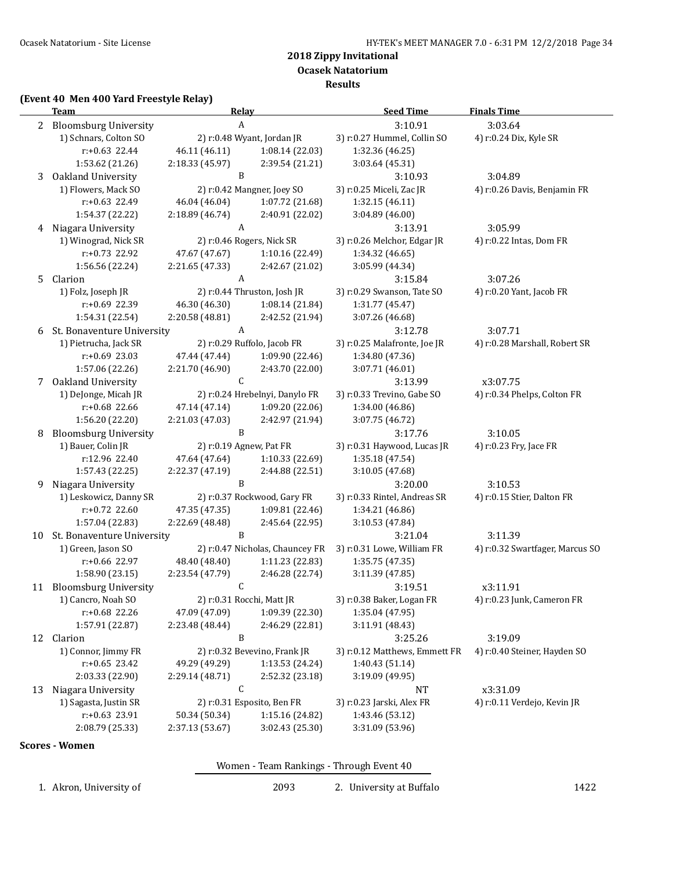**Results**

### **(Event 40 Men 400 Yard Freestyle Relay)**

|    | <b>Team</b>                                 | Relay                            |                                    | <b>Seed Time</b>                         | <b>Finals Time</b>                      |
|----|---------------------------------------------|----------------------------------|------------------------------------|------------------------------------------|-----------------------------------------|
|    | 2 Bloomsburg University                     | $\, {\bf A}$                     |                                    | 3:10.91                                  | 3:03.64                                 |
|    | 1) Schnars, Colton SO                       |                                  | 2) r:0.48 Wyant, Jordan JR         | 3) r:0.27 Hummel, Collin SO              | 4) r:0.24 Dix, Kyle SR                  |
|    | $r: +0.63$ 22.44                            | 46.11 (46.11)                    | 1:08.14 (22.03)                    | 1:32.36 (46.25)                          |                                         |
|    | 1:53.62 (21.26)                             | 2:18.33 (45.97)                  | 2:39.54 (21.21)                    | 3:03.64 (45.31)                          |                                         |
| 3  | Oakland University                          | B                                |                                    | 3:10.93                                  | 3:04.89                                 |
|    | 1) Flowers, Mack SO                         |                                  | 2) r:0.42 Mangner, Joey SO         | 3) r:0.25 Miceli, Zac JR                 | 4) r:0.26 Davis, Benjamin FR            |
|    | r:+0.63 22.49                               | 46.04 (46.04)                    | 1:07.72 (21.68)                    | 1:32.15 (46.11)                          |                                         |
|    | 1:54.37 (22.22)                             | 2:18.89 (46.74)                  | 2:40.91 (22.02)                    | 3:04.89 (46.00)                          |                                         |
|    | 4 Niagara University                        | A                                |                                    | 3:13.91                                  | 3:05.99                                 |
|    | 1) Winograd, Nick SR                        |                                  | 2) r:0.46 Rogers, Nick SR          | 3) r:0.26 Melchor, Edgar JR              | 4) r:0.22 Intas, Dom FR                 |
|    | r:+0.73 22.92                               | 47.67 (47.67)                    | 1:10.16 (22.49)                    | 1:34.32 (46.65)                          |                                         |
|    | 1:56.56 (22.24)                             | 2:21.65 (47.33)                  | 2:42.67 (21.02)                    | 3:05.99 (44.34)                          |                                         |
| 5  | Clarion                                     | A                                |                                    | 3:15.84                                  | 3:07.26                                 |
|    | 1) Folz, Joseph JR                          |                                  | 2) r:0.44 Thruston, Josh JR        | 3) r:0.29 Swanson, Tate SO               | 4) r:0.20 Yant, Jacob FR                |
|    | r:+0.69 22.39                               | 46.30 (46.30)                    | 1:08.14 (21.84)                    | 1:31.77 (45.47)                          |                                         |
|    | 1:54.31 (22.54)                             | 2:20.58 (48.81)                  | 2:42.52 (21.94)                    | 3:07.26 (46.68)                          |                                         |
| 6  | St. Bonaventure University                  | A                                |                                    | 3:12.78                                  | 3:07.71                                 |
|    | 1) Pietrucha, Jack SR                       |                                  | 2) r:0.29 Ruffolo, Jacob FR        | 3) r:0.25 Malafronte, Joe JR             | 4) r:0.28 Marshall, Robert SR           |
|    | $r: +0.69$ 23.03                            | 47.44 (47.44)                    | 1:09.90 (22.46)                    |                                          |                                         |
|    | 1:57.06 (22.26)                             | 2:21.70 (46.90)                  | 2:43.70 (22.00)                    | 1:34.80 (47.36)<br>3:07.71 (46.01)       |                                         |
|    | Oakland University                          | $\mathsf C$                      |                                    |                                          |                                         |
| 7  | 1) DeJonge, Micah JR                        |                                  | 2) r:0.24 Hrebelnyi, Danylo FR     | 3:13.99<br>3) r:0.33 Trevino, Gabe SO    | x3:07.75<br>4) r:0.34 Phelps, Colton FR |
|    | r:+0.68 22.66                               | 47.14 (47.14)                    | 1:09.20 (22.06)                    | 1:34.00 (46.86)                          |                                         |
|    | 1:56.20 (22.20)                             | 2:21.03 (47.03)                  | 2:42.97 (21.94)                    | 3:07.75 (46.72)                          |                                         |
|    | <b>Bloomsburg University</b>                | $\mathbf B$                      |                                    | 3:17.76                                  | 3:10.05                                 |
| 8  | 1) Bauer, Colin JR                          | 2) r:0.19 Agnew, Pat FR          |                                    | 3) r:0.31 Haywood, Lucas JR              | 4) r:0.23 Fry, Jace FR                  |
|    | r:12.96 22.40                               | 47.64 (47.64)                    | 1:10.33 (22.69)                    | 1:35.18 (47.54)                          |                                         |
|    | 1:57.43 (22.25)                             | 2:22.37 (47.19)                  | 2:44.88 (22.51)                    | 3:10.05 (47.68)                          |                                         |
| 9  | Niagara University                          | B                                |                                    | 3:20.00                                  | 3:10.53                                 |
|    | 1) Leskowicz, Danny SR                      |                                  | 2) r:0.37 Rockwood, Gary FR        | 3) r:0.33 Rintel, Andreas SR             | 4) r:0.15 Stier, Dalton FR              |
|    | r:+0.72 22.60                               | 47.35 (47.35)                    | 1:09.81 (22.46)                    | 1:34.21 (46.86)                          |                                         |
|    | 1:57.04 (22.83)                             | 2:22.69 (48.48)                  | 2:45.64 (22.95)                    | 3:10.53 (47.84)                          |                                         |
| 10 | St. Bonaventure University                  | B                                |                                    | 3:21.04                                  | 3:11.39                                 |
|    | 1) Green, Jason SO                          |                                  | 2) r:0.47 Nicholas, Chauncey FR    | 3) r:0.31 Lowe, William FR               | 4) r:0.32 Swartfager, Marcus SO         |
|    | r:+0.66 22.97                               | 48.40 (48.40)                    | 1:11.23 (22.83)                    | 1:35.75 (47.35)                          |                                         |
|    | 1:58.90 (23.15)                             | 2:23.54 (47.79)                  | 2:46.28 (22.74)                    | 3:11.39 (47.85)                          |                                         |
|    | 11 Bloomsburg University                    | C                                |                                    | 3:19.51                                  | x3:11.91                                |
|    | 1) Cancro, Noah SO                          |                                  | 2) r:0.31 Rocchi, Matt JR          | 3) r:0.38 Baker, Logan FR                | 4) r:0.23 Junk, Cameron FR              |
|    |                                             | 47.09 (47.09)                    | 1:09.39 (22.30)                    |                                          |                                         |
|    | r:+0.68 22.26<br>1:57.91 (22.87)            | 2:23.48 (48.44)                  | 2:46.29 (22.81)                    | 1:35.04 (47.95)<br>3:11.91 (48.43)       |                                         |
|    | 12 Clarion                                  | B                                |                                    | 3:25.26                                  | 3:19.09                                 |
|    | 1) Connor, Jimmy FR                         |                                  | 2) r:0.32 Bevevino, Frank JR       | 3) r:0.12 Matthews, Emmett FR            | 4) r:0.40 Steiner, Hayden SO            |
|    | $r: +0.65$ 23.42                            | 49.29 (49.29)                    | 1:13.53 (24.24)                    | 1:40.43 (51.14)                          |                                         |
|    | 2:03.33 (22.90)                             |                                  |                                    | 3:19.09 (49.95)                          |                                         |
|    |                                             | 2:29.14 (48.71)<br>C             | 2:52.32 (23.18)                    |                                          |                                         |
| 13 | Niagara University<br>1) Sagasta, Justin SR |                                  | 2) r:0.31 Esposito, Ben FR         | NT<br>3) r:0.23 Jarski, Alex FR          | x3:31.09<br>4) r:0.11 Verdejo, Kevin JR |
|    |                                             |                                  |                                    |                                          |                                         |
|    | r:+0.63 23.91<br>2:08.79 (25.33)            | 50.34 (50.34)<br>2:37.13 (53.67) | 1:15.16 (24.82)<br>3:02.43 (25.30) | 1:43.46 (53.12)<br>3:31.09 (53.96)       |                                         |
|    |                                             |                                  |                                    |                                          |                                         |
|    | <b>Scores - Women</b>                       |                                  |                                    |                                          |                                         |
|    |                                             |                                  |                                    | Women - Team Rankings - Through Event 40 |                                         |
|    | 1. Akron, University of                     |                                  | 2093                               | 2. University at Buffalo                 | 1422                                    |